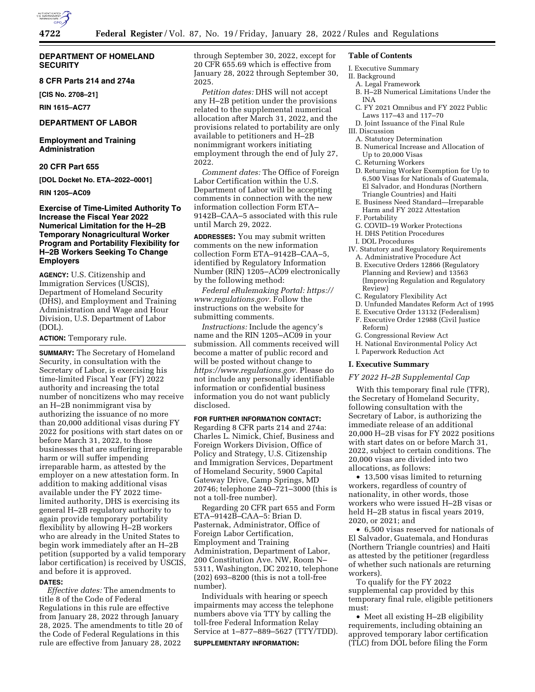

## **DEPARTMENT OF HOMELAND SECURITY**

## **8 CFR Parts 214 and 274a**

**[CIS No. 2708–21]** 

**RIN 1615–AC77** 

## **DEPARTMENT OF LABOR**

**Employment and Training Administration** 

## **20 CFR Part 655**

**[DOL Docket No. ETA–2022–0001]** 

#### **RIN 1205–AC09**

## **Exercise of Time-Limited Authority To Increase the Fiscal Year 2022 Numerical Limitation for the H–2B Temporary Nonagricultural Worker Program and Portability Flexibility for H–2B Workers Seeking To Change Employers**

**AGENCY:** U.S. Citizenship and Immigration Services (USCIS), Department of Homeland Security (DHS), and Employment and Training Administration and Wage and Hour Division, U.S. Department of Labor (DOL).

#### **ACTION:** Temporary rule.

**SUMMARY:** The Secretary of Homeland Security, in consultation with the Secretary of Labor, is exercising his time-limited Fiscal Year (FY) 2022 authority and increasing the total number of noncitizens who may receive an H–2B nonimmigrant visa by authorizing the issuance of no more than 20,000 additional visas during FY 2022 for positions with start dates on or before March 31, 2022, to those businesses that are suffering irreparable harm or will suffer impending irreparable harm, as attested by the employer on a new attestation form. In addition to making additional visas available under the FY 2022 timelimited authority, DHS is exercising its general H–2B regulatory authority to again provide temporary portability flexibility by allowing H–2B workers who are already in the United States to begin work immediately after an H–2B petition (supported by a valid temporary labor certification) is received by USCIS, and before it is approved.

#### **DATES:**

*Effective dates:* The amendments to title 8 of the Code of Federal Regulations in this rule are effective from January 28, 2022 through January 28, 2025. The amendments to title 20 of the Code of Federal Regulations in this rule are effective from January 28, 2022

through September 30, 2022, except for 20 CFR 655.69 which is effective from January 28, 2022 through September 30, 2025.

*Petition dates:* DHS will not accept any H–2B petition under the provisions related to the supplemental numerical allocation after March 31, 2022, and the provisions related to portability are only available to petitioners and H–2B nonimmigrant workers initiating employment through the end of July 27, 2022.

*Comment dates:* The Office of Foreign Labor Certification within the U.S. Department of Labor will be accepting comments in connection with the new information collection Form ETA– 9142B–CAA–5 associated with this rule until March 29, 2022.

**ADDRESSES:** You may submit written comments on the new information collection Form ETA–9142B–CAA–5, identified by Regulatory Information Number (RIN) 1205–AC09 electronically by the following method:

*Federal eRulemaking Portal: [https://](https://www.regulations.gov) [www.regulations.gov.](https://www.regulations.gov)* Follow the instructions on the website for submitting comments.

*Instructions:* Include the agency's name and the RIN 1205–AC09 in your submission. All comments received will become a matter of public record and will be posted without change to *[https://www.regulations.gov.](https://www.regulations.gov)* Please do not include any personally identifiable information or confidential business information you do not want publicly disclosed.

## **FOR FURTHER INFORMATION CONTACT:**

Regarding 8 CFR parts 214 and 274a: Charles L. Nimick, Chief, Business and Foreign Workers Division, Office of Policy and Strategy, U.S. Citizenship and Immigration Services, Department of Homeland Security, 5900 Capital Gateway Drive, Camp Springs, MD 20746; telephone 240–721–3000 (this is not a toll-free number).

Regarding 20 CFR part 655 and Form ETA–9142B–CAA–5: Brian D. Pasternak, Administrator, Office of Foreign Labor Certification, Employment and Training Administration, Department of Labor, 200 Constitution Ave. NW, Room N– 5311, Washington, DC 20210, telephone (202) 693–8200 (this is not a toll-free number).

Individuals with hearing or speech impairments may access the telephone numbers above via TTY by calling the toll-free Federal Information Relay Service at 1–877–889–5627 (TTY/TDD).

#### **SUPPLEMENTARY INFORMATION:**

#### **Table of Contents**

- I. Executive Summary
- II. Background
	- A. Legal Framework
	- B. H–2B Numerical Limitations Under the INA
	- C. FY 2021 Omnibus and FY 2022 Public Laws 117–43 and 117–70

D. Joint Issuance of the Final Rule III. Discussion

- A. Statutory Determination
- B. Numerical Increase and Allocation of Up to 20,000 Visas
- C. Returning Workers
- D. Returning Worker Exemption for Up to 6,500 Visas for Nationals of Guatemala, El Salvador, and Honduras (Northern Triangle Countries) and Haiti
- E. Business Need Standard—Irreparable Harm and FY 2022 Attestation F. Portability
- 
- G. COVID–19 Worker Protections H. DHS Petition Procedures
- 
- I. DOL Procedures
- IV. Statutory and Regulatory Requirements A. Administrative Procedure Act
- B. Executive Orders 12866 (Regulatory Planning and Review) and 13563 (Improving Regulation and Regulatory Review)
- C. Regulatory Flexibility Act
- D. Unfunded Mandates Reform Act of 1995
- E. Executive Order 13132 (Federalism) F. Executive Order 12988 (Civil Justice
- Reform)
- G. Congressional Review Act
- H. National Environmental Policy Act
- I. Paperwork Reduction Act

## **I. Executive Summary**

### *FY 2022 H–2B Supplemental Cap*

With this temporary final rule (TFR), the Secretary of Homeland Security, following consultation with the Secretary of Labor, is authorizing the immediate release of an additional 20,000 H–2B visas for FY 2022 positions with start dates on or before March 31, 2022, subject to certain conditions. The 20,000 visas are divided into two allocations, as follows:

• 13,500 visas limited to returning workers, regardless of country of nationality, in other words, those workers who were issued H–2B visas or held H–2B status in fiscal years 2019, 2020, or 2021; and

• 6,500 visas reserved for nationals of El Salvador, Guatemala, and Honduras (Northern Triangle countries) and Haiti as attested by the petitioner (regardless of whether such nationals are returning workers).

To qualify for the FY 2022 supplemental cap provided by this temporary final rule, eligible petitioners must:

• Meet all existing H–2B eligibility requirements, including obtaining an approved temporary labor certification (TLC) from DOL before filing the Form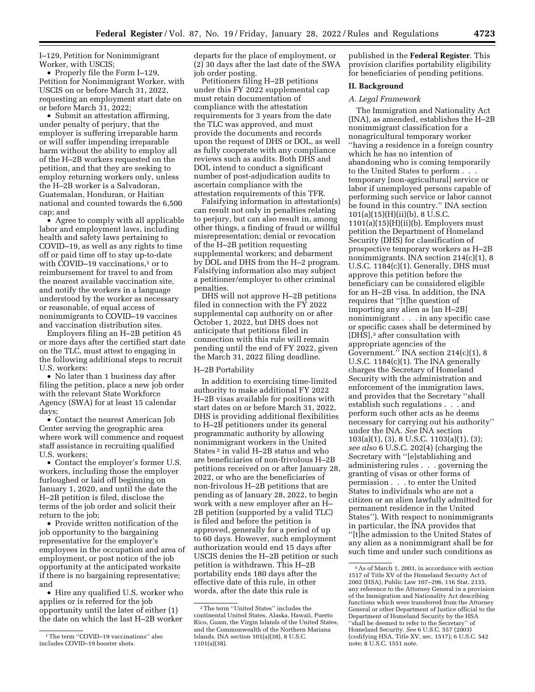I–129, Petition for Nonimmigrant Worker, with USCIS;

• Properly file the Form I–129, Petition for Nonimmigrant Worker, with USCIS on or before March 31, 2022, requesting an employment start date on or before March 31, 2022;

• Submit an attestation affirming, under penalty of perjury, that the employer is suffering irreparable harm or will suffer impending irreparable harm without the ability to employ all of the H–2B workers requested on the petition, and that they are seeking to employ returning workers only, unless the H–2B worker is a Salvadoran, Guatemalan, Honduran, or Haitian national and counted towards the 6,500 cap; and

• Agree to comply with all applicable labor and employment laws, including health and safety laws pertaining to COVID–19, as well as any rights to time off or paid time off to stay up-to-date with COVID-19 vaccinations,<sup>1</sup> or to reimbursement for travel to and from the nearest available vaccination site, and notify the workers in a language understood by the worker as necessary or reasonable, of equal access of nonimmigrants to COVID–19 vaccines and vaccination distribution sites.

Employers filing an H–2B petition 45 or more days after the certified start date on the TLC, must attest to engaging in the following additional steps to recruit U.S. workers:

• No later than 1 business day after filing the petition, place a new job order with the relevant State Workforce Agency (SWA) for at least 15 calendar days;

• Contact the nearest American Job Center serving the geographic area where work will commence and request staff assistance in recruiting qualified U.S. workers;

• Contact the employer's former U.S. workers, including those the employer furloughed or laid off beginning on January 1, 2020, and until the date the H–2B petition is filed, disclose the terms of the job order and solicit their return to the job;

• Provide written notification of the job opportunity to the bargaining representative for the employer's employees in the occupation and area of employment, or post notice of the job opportunity at the anticipated worksite if there is no bargaining representative; and

• Hire any qualified U.S. worker who applies or is referred for the job opportunity until the later of either (1) the date on which the last H–2B worker

departs for the place of employment, or (2) 30 days after the last date of the SWA job order posting.

Petitioners filing H–2B petitions under this FY 2022 supplemental cap must retain documentation of compliance with the attestation requirements for 3 years from the date the TLC was approved, and must provide the documents and records upon the request of DHS or DOL, as well as fully cooperate with any compliance reviews such as audits. Both DHS and DOL intend to conduct a significant number of post-adjudication audits to ascertain compliance with the attestation requirements of this TFR.

Falsifying information in attestation(s) can result not only in penalties relating to perjury, but can also result in, among other things, a finding of fraud or willful misrepresentation; denial or revocation of the H–2B petition requesting supplemental workers; and debarment by DOL and DHS from the H–2 program. Falsifying information also may subject a petitioner/employer to other criminal penalties.

DHS will not approve H–2B petitions filed in connection with the FY 2022 supplemental cap authority on or after October 1, 2022, but DHS does not anticipate that petitions filed in connection with this rule will remain pending until the end of FY 2022, given the March 31, 2022 filing deadline.

### H–2B Portability

In addition to exercising time-limited authority to make additional FY 2022 H–2B visas available for positions with start dates on or before March 31, 2022, DHS is providing additional flexibilities to H–2B petitioners under its general programmatic authority by allowing nonimmigrant workers in the United States 2 in valid H–2B status and who are beneficiaries of non-frivolous H–2B petitions received on or after January 28, 2022, or who are the beneficiaries of non-frivolous H–2B petitions that are pending as of January 28, 2022, to begin work with a new employer after an H– 2B petition (supported by a valid TLC) is filed and before the petition is approved, generally for a period of up to 60 days. However, such employment authorization would end 15 days after USCIS denies the H–2B petition or such petition is withdrawn. This H–2B portability ends 180 days after the effective date of this rule, in other words, after the date this rule is

published in the **Federal Register**. This provision clarifies portability eligibility for beneficiaries of pending petitions.

## **II. Background**

## *A. Legal Framework*

The Immigration and Nationality Act (INA), as amended, establishes the H–2B nonimmigrant classification for a nonagricultural temporary worker ''having a residence in a foreign country which he has no intention of abandoning who is coming temporarily to the United States to perform . . . temporary [non-agricultural] service or labor if unemployed persons capable of performing such service or labor cannot be found in this country.'' INA section  $101(a)(15)(H)(ii)(b)$ , 8 U.S.C.  $1101(a)(15)(H)(ii)(b)$ . Employers must petition the Department of Homeland Security (DHS) for classification of prospective temporary workers as H–2B nonimmigrants. INA section 214(c)(1), 8 U.S.C. 1184(c)(1). Generally, DHS must approve this petition before the beneficiary can be considered eligible for an H–2B visa. In addition, the INA requires that ''[t]he question of importing any alien as [an H–2B] nonimmigrant . . . in any specific case or specific cases shall be determined by [DHS],3 after consultation with appropriate agencies of the Government.'' INA section 214(c)(1), 8 U.S.C. 1184(c)(1). The INA generally charges the Secretary of Homeland Security with the administration and enforcement of the immigration laws, and provides that the Secretary ''shall establish such regulations . . . and perform such other acts as he deems necessary for carrying out his authority'' under the INA. *See* INA section 103(a)(1), (3), 8 U.S.C. 1103(a)(1), (3); *see also* 6 U.S.C. 202(4) (charging the Secretary with ''[e]stablishing and administering rules . . . governing the granting of visas or other forms of permission . . . to enter the United States to individuals who are not a citizen or an alien lawfully admitted for permanent residence in the United States''). With respect to nonimmigrants in particular, the INA provides that ''[t]he admission to the United States of any alien as a nonimmigrant shall be for such time and under such conditions as

<sup>1</sup>The term ''COVID–19 vaccinations'' also includes COVID–19 booster shots.

<sup>2</sup>The term ''United States'' includes the continental United States, Alaska, Hawaii, Puerto Rico, Guam, the Virgin Islands of the United States, and the Commonwealth of the Northern Mariana Islands. INA section 101(a)(38), 8 U.S.C. 1101(a)(38).

<sup>3</sup>As of March 1, 2003, in accordance with section 1517 of Title XV of the Homeland Security Act of 2002 (HSA), Public Law 107–296, 116 Stat. 2135, any reference to the Attorney General in a provision of the Immigration and Nationality Act describing functions which were transferred from the Attorney General or other Department of Justice official to the Department of Homeland Security by the HSA 'shall be deemed to refer to the Secretary" of Homeland Security. *See* 6 U.S.C. 557 (2003) (codifying HSA, Title XV, sec. 1517); 6 U.S.C. 542 note; 8 U.S.C. 1551 note.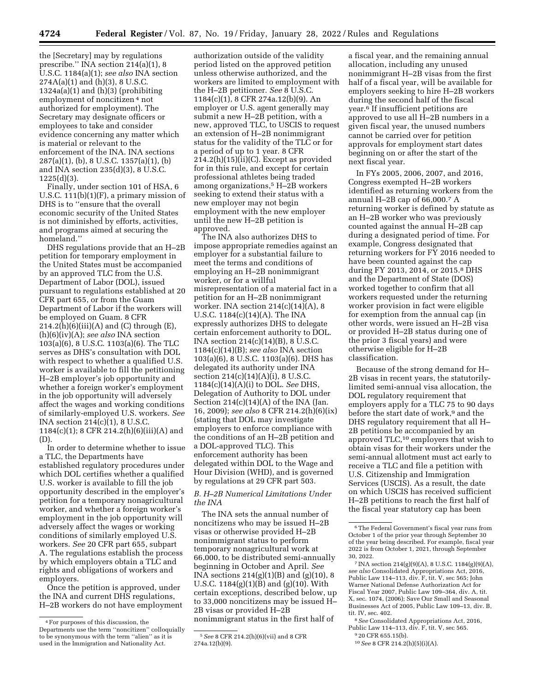the [Secretary] may by regulations prescribe.'' INA section 214(a)(1), 8 U.S.C. 1184(a)(1); *see also* INA section  $274A(a)(1)$  and (h)(3), 8 U.S.C. 1324a(a)(1) and (h)(3) (prohibiting employment of noncitizen 4 not authorized for employment). The Secretary may designate officers or employees to take and consider evidence concerning any matter which is material or relevant to the enforcement of the INA. INA sections 287(a)(1), (b), 8 U.S.C. 1357(a)(1), (b) and INA section 235(d)(3), 8 U.S.C. 1225(d)(3).

Finally, under section 101 of HSA, 6 U.S.C.  $111(b)(1)(F)$ , a primary mission of DHS is to ''ensure that the overall economic security of the United States is not diminished by efforts, activities, and programs aimed at securing the homeland.''

DHS regulations provide that an H–2B petition for temporary employment in the United States must be accompanied by an approved TLC from the U.S. Department of Labor (DOL), issued pursuant to regulations established at 20 CFR part 655, or from the Guam Department of Labor if the workers will be employed on Guam. 8 CFR  $214.2(h)(6)(iii)(A)$  and (C) through (E), (h)(6)(iv)(A); *see also* INA section 103(a)(6), 8 U.S.C. 1103(a)(6). The TLC serves as DHS's consultation with DOL with respect to whether a qualified U.S. worker is available to fill the petitioning H–2B employer's job opportunity and whether a foreign worker's employment in the job opportunity will adversely affect the wages and working conditions of similarly-employed U.S. workers. *See*  INA section 214(c)(1), 8 U.S.C. 1184(c)(1); 8 CFR 214.2(h)(6)(iii)(A) and (D).

In order to determine whether to issue a TLC, the Departments have established regulatory procedures under which DOL certifies whether a qualified U.S. worker is available to fill the job opportunity described in the employer's petition for a temporary nonagricultural worker, and whether a foreign worker's employment in the job opportunity will adversely affect the wages or working conditions of similarly employed U.S. workers. *See* 20 CFR part 655, subpart A. The regulations establish the process by which employers obtain a TLC and rights and obligations of workers and employers.

Once the petition is approved, under the INA and current DHS regulations, H–2B workers do not have employment

authorization outside of the validity period listed on the approved petition unless otherwise authorized, and the workers are limited to employment with the H–2B petitioner. *See* 8 U.S.C. 1184(c)(1), 8 CFR 274a.12(b)(9). An employer or U.S. agent generally may submit a new H–2B petition, with a new, approved TLC, to USCIS to request an extension of H–2B nonimmigrant status for the validity of the TLC or for a period of up to 1 year. 8 CFR  $214.2(h)(15)(ii)(C)$ . Except as provided for in this rule, and except for certain professional athletes being traded among organizations,5 H–2B workers seeking to extend their status with a new employer may not begin employment with the new employer until the new H–2B petition is approved.

The INA also authorizes DHS to impose appropriate remedies against an employer for a substantial failure to meet the terms and conditions of employing an H–2B nonimmigrant worker, or for a willful misrepresentation of a material fact in a petition for an H–2B nonimmigrant worker. INA section  $214(c)(14)(A)$ , 8 U.S.C. 1184(c)(14)(A). The INA expressly authorizes DHS to delegate certain enforcement authority to DOL. INA section 214(c)(14)(B), 8 U.S.C. 1184(c)(14)(B); *see also* INA section 103(a)(6), 8 U.S.C. 1103(a)(6). DHS has delegated its authority under INA section  $214(c)(14)(A)(i)$ , 8 U.S.C. 1184(c)(14)(A)(i) to DOL. *See* DHS, Delegation of Authority to DOL under Section  $214(c)(14)(A)$  of the INA (Jan. 16, 2009); *see also* 8 CFR 214.2(h)(6)(ix) (stating that DOL may investigate employers to enforce compliance with the conditions of an H–2B petition and a DOL-approved TLC). This enforcement authority has been delegated within DOL to the Wage and Hour Division (WHD), and is governed by regulations at 29 CFR part 503.

## *B. H–2B Numerical Limitations Under the INA*

The INA sets the annual number of noncitizens who may be issued H–2B visas or otherwise provided H–2B nonimmigrant status to perform temporary nonagricultural work at 66,000, to be distributed semi-annually beginning in October and April. *See*  INA sections 214(g)(1)(B) and (g)(10), 8 U.S.C. 1184(g)(1)(B) and (g)(10). With certain exceptions, described below, up to 33,000 noncitizens may be issued H– 2B visas or provided H–2B nonimmigrant status in the first half of

a fiscal year, and the remaining annual allocation, including any unused nonimmigrant H–2B visas from the first half of a fiscal year, will be available for employers seeking to hire H–2B workers during the second half of the fiscal year.6 If insufficient petitions are approved to use all H–2B numbers in a given fiscal year, the unused numbers cannot be carried over for petition approvals for employment start dates beginning on or after the start of the next fiscal year.

In FYs 2005, 2006, 2007, and 2016, Congress exempted H–2B workers identified as returning workers from the annual H–2B cap of 66,000.7 A returning worker is defined by statute as an H–2B worker who was previously counted against the annual H–2B cap during a designated period of time. For example, Congress designated that returning workers for FY 2016 needed to have been counted against the cap during FY 2013, 2014, or 2015.8 DHS and the Department of State (DOS) worked together to confirm that all workers requested under the returning worker provision in fact were eligible for exemption from the annual cap (in other words, were issued an H–2B visa or provided H–2B status during one of the prior 3 fiscal years) and were otherwise eligible for H–2B classification.

Because of the strong demand for H– 2B visas in recent years, the statutorilylimited semi-annual visa allocation, the DOL regulatory requirement that employers apply for a TLC 75 to 90 days before the start date of work,<sup>9</sup> and the DHS regulatory requirement that all H– 2B petitions be accompanied by an approved TLC,10 employers that wish to obtain visas for their workers under the semi-annual allotment must act early to receive a TLC and file a petition with U.S. Citizenship and Immigration Services (USCIS). As a result, the date on which USCIS has received sufficient H–2B petitions to reach the first half of the fiscal year statutory cap has been

<sup>4</sup>For purposes of this discussion, the Departments use the term ''noncitizen'' colloquially to be synonymous with the term ''alien'' as it is used in the Immigration and Nationality Act.

<sup>5</sup>*See* 8 CFR 214.2(h)(6)(vii) and 8 CFR 274a.12(b)(9).

<sup>6</sup>The Federal Government's fiscal year runs from October 1 of the prior year through September 30 of the year being described. For example, fiscal year 2022 is from October 1, 2021, through September 30, 2022.

<sup>7</sup> INA section 214(g)(9)(A), 8 U.S.C. 1184(g)(9)(A), *see also* Consolidated Appropriations Act, 2016, Public Law 114–113, div. F, tit. V, sec 565; John Warner National Defense Authorization Act for Fiscal Year 2007, Public Law 109–364, div. A, tit. X, sec. 1074, (2006); Save Our Small and Seasonal Businesses Act of 2005, Public Law 109–13, div. B, tit. IV, sec. 402.

<sup>8</sup>*See* Consolidated Appropriations Act, 2016, Public Law 114–113, div. F, tit. V, sec 565.

<sup>9</sup> 20 CFR 655.15(b).

<sup>10</sup>*See* 8 CFR 214.2(h)(5)(i)(A).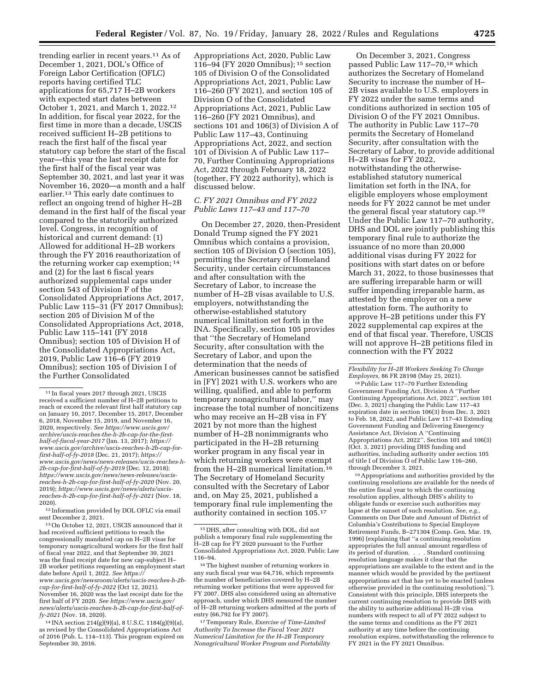trending earlier in recent years.11 As of December 1, 2021, DOL's Office of Foreign Labor Certification (OFLC) reports having certified TLC applications for 65,717 H–2B workers with expected start dates between October 1, 2021, and March 1, 2022.12 In addition, for fiscal year 2022, for the first time in more than a decade, USCIS received sufficient H–2B petitions to reach the first half of the fiscal year statutory cap before the start of the fiscal year—this year the last receipt date for the first half of the fiscal year was September 30, 2021, and last year it was November 16, 2020—a month and a half earlier.13 This early date continues to reflect an ongoing trend of higher H–2B demand in the first half of the fiscal year compared to the statutorily authorized level. Congress, in recognition of historical and current demand: (1) Allowed for additional H–2B workers through the FY 2016 reauthorization of the returning worker cap exemption; 14 and (2) for the last 6 fiscal years authorized supplemental caps under section 543 of Division F of the Consolidated Appropriations Act, 2017, Public Law 115–31 (FY 2017 Omnibus); section 205 of Division M of the Consolidated Appropriations Act, 2018, Public Law 115–141 (FY 2018 Omnibus); section 105 of Division H of the Consolidated Appropriations Act, 2019, Public Law 116–6 (FY 2019 Omnibus); section 105 of Division I of the Further Consolidated

12 Information provided by DOL OFLC via email sent December 2, 2021.

13On October 12, 2021, USCIS announced that it had received sufficient petitions to reach the congressionally mandated cap on H–2B visas for temporary nonagricultural workers for the first half of fiscal year 2022, and that September 30, 2021 was the final receipt date for new cap-subject H– 2B worker petitions requesting an employment start date before April 1, 2022. *See [https://](https://www.uscis.gov/newsroom/alerts/uscis-reaches-h-2b-cap-for-first-half-of-fy-2022) [www.uscis.gov/newsroom/alerts/uscis-reaches-h-2b](https://www.uscis.gov/newsroom/alerts/uscis-reaches-h-2b-cap-for-first-half-of-fy-2022)[cap-for-first-half-of-fy-2022](https://www.uscis.gov/newsroom/alerts/uscis-reaches-h-2b-cap-for-first-half-of-fy-2022)* (Oct 12, 2021). November 16, 2020 was the last receipt date for the first half of FY 2020. *See [https://www.uscis.gov/](https://www.uscis.gov/news/alerts/uscis-reaches-h-2b-cap-for-first-half-of-fy-2021)  [news/alerts/uscis-reaches-h-2b-cap-for-first-half-of](https://www.uscis.gov/news/alerts/uscis-reaches-h-2b-cap-for-first-half-of-fy-2021)[fy-2021](https://www.uscis.gov/news/alerts/uscis-reaches-h-2b-cap-for-first-half-of-fy-2021)* (Nov. 18, 2020).

14 INA section 214(g)(9)(a), 8 U.S.C. 1184(g)(9)(a), as revised by the Consolidated Appropriations Act of 2016 (Pub. L. 114–113). This program expired on September 30, 2016.

Appropriations Act, 2020, Public Law 116–94 (FY 2020 Omnibus); 15 section 105 of Division O of the Consolidated Appropriations Act, 2021, Public Law 116–260 (FY 2021), and section 105 of Division O of the Consolidated Appropriations Act, 2021, Public Law 116–260 (FY 2021 Omnibus), and sections 101 and 106(3) of Division A of Public Law 117–43, Continuing Appropriations Act, 2022, and section 101 of Division A of Public Law 117– 70, Further Continuing Appropriations Act, 2022 through February 18, 2022 (together, FY 2022 authority), which is discussed below.

## *C. FY 2021 Omnibus and FY 2022 Public Laws 117–43 and 117–70*

On December 27, 2020, then-President Donald Trump signed the FY 2021 Omnibus which contains a provision, section 105 of Division O (section 105), permitting the Secretary of Homeland Security, under certain circumstances and after consultation with the Secretary of Labor, to increase the number of H–2B visas available to U.S. employers, notwithstanding the otherwise-established statutory numerical limitation set forth in the INA. Specifically, section 105 provides that ''the Secretary of Homeland Security, after consultation with the Secretary of Labor, and upon the determination that the needs of American businesses cannot be satisfied in [FY] 2021 with U.S. workers who are willing, qualified, and able to perform temporary nonagricultural labor,'' may increase the total number of noncitizens who may receive an H–2B visa in FY 2021 by not more than the highest number of H–2B nonimmigrants who participated in the H–2B returning worker program in any fiscal year in which returning workers were exempt from the H–2B numerical limitation.16 The Secretary of Homeland Security consulted with the Secretary of Labor and, on May 25, 2021, published a temporary final rule implementing the authority contained in section 105.17

On December 3, 2021, Congress passed Public Law 117–70,18 which authorizes the Secretary of Homeland Security to increase the number of H– 2B visas available to U.S. employers in FY 2022 under the same terms and conditions authorized in section 105 of Division O of the FY 2021 Omnibus. The authority in Public Law 117–70 permits the Secretary of Homeland Security, after consultation with the Secretary of Labor, to provide additional H–2B visas for FY 2022, notwithstanding the otherwiseestablished statutory numerical limitation set forth in the INA, for eligible employers whose employment needs for FY 2022 cannot be met under the general fiscal year statutory cap.19 Under the Public Law 117–70 authority, DHS and DOL are jointly publishing this temporary final rule to authorize the issuance of no more than 20,000 additional visas during FY 2022 for positions with start dates on or before March 31, 2022, to those businesses that are suffering irreparable harm or will suffer impending irreparable harm, as attested by the employer on a new attestation form. The authority to approve H–2B petitions under this FY 2022 supplemental cap expires at the end of that fiscal year. Therefore, USCIS will not approve H–2B petitions filed in connection with the FY 2022

18Public Law 117–70 Further Extending Government Funding Act, Division A ''Further Continuing Appropriations Act, 2022'', section 101 (Dec. 3, 2021) changing the Public Law 117–43 expiration date in section 106(3) from Dec. 3, 2021 to Feb. 18, 2022, and Public Law 117–43 Extending Government Funding and Delivering Emergency Assistance Act, Division A ''Continuing Appropriations Act, 2022'', Section 101 and 106(3) (Oct. 3, 2021) providing DHS funding and authorities, including authority under section 105 of title I of Division O of Public Law 116–260, through December 3, 2021.

19Appropriations and authorities provided by the continuing resolutions are available for the needs of the entire fiscal year to which the continuing resolution applies, although DHS's ability to obligate funds or exercise such authorities may lapse at the sunset of such resolution. See, e.g. Comments on Due Date and Amount of District of Columbia's Contributions to Special Employee Retirement Funds, B–271304 (Comp. Gen. Mar. 19, 1996) (explaining that ''a continuing resolution appropriates the full annual amount regardless of its period of duration. . . . Standard continuing resolution language makes it clear that the appropriations are available to the extent and in the manner which would be provided by the pertinent appropriations act that has yet to be enacted (unless otherwise provided in the continuing resolution).''). Consistent with this principle, DHS interprets the current continuing resolution to provide DHS with the ability to authorize additional H–2B visa numbers with respect to all of FY 2022 subject to the same terms and conditions as the FY 2021 authority at any time before the continuing resolution expires, notwithstanding the reference to FY 2021 in the FY 2021 Omnibus.

 $^{\rm 11}\!$  In fiscal years 2017 through 2021, USCIS received a sufficient number of H–2B petitions to reach or exceed the relevant first half statutory cap on January 10, 2017, December 15, 2017, December 6, 2018, November 15, 2019, and November 16, 2020, respectively. *See [https://www.uscis.gov/](https://www.uscis.gov/archive/uscis-reaches-the-h-2b-cap-for-the-first-half-of-fiscal-year-2017)  [archive/uscis-reaches-the-h-2b-cap-for-the-first](https://www.uscis.gov/archive/uscis-reaches-the-h-2b-cap-for-the-first-half-of-fiscal-year-2017)[half-of-fiscal-year-2017](https://www.uscis.gov/archive/uscis-reaches-the-h-2b-cap-for-the-first-half-of-fiscal-year-2017)* (Jan. 13, 2017); *[https://](https://www.uscis.gov/archive/uscis-reaches-h-2b-cap-for-first-half-of-fy-2018) [www.uscis.gov/archive/uscis-reaches-h-2b-cap-for](https://www.uscis.gov/archive/uscis-reaches-h-2b-cap-for-first-half-of-fy-2018)[first-half-of-fy-2018](https://www.uscis.gov/archive/uscis-reaches-h-2b-cap-for-first-half-of-fy-2018)* (Dec. 21, 2017); *[https://](https://www.uscis.gov/news/news-releases/uscis-reaches-h-2b-cap-for-first-half-of-fy-2019) [www.uscis.gov/news/news-releases/uscis-reaches-h-](https://www.uscis.gov/news/news-releases/uscis-reaches-h-2b-cap-for-first-half-of-fy-2019)[2b-cap-for-first-half-of-fy-2019](https://www.uscis.gov/news/news-releases/uscis-reaches-h-2b-cap-for-first-half-of-fy-2019)* (Dec. 12, 2018); *[https://www.uscis.gov/news/news-releases/uscis](https://www.uscis.gov/news/news-releases/uscis-reaches-h-2b-cap-for-first-half-of-fy-2020)[reaches-h-2b-cap-for-first-half-of-fy-2020](https://www.uscis.gov/news/news-releases/uscis-reaches-h-2b-cap-for-first-half-of-fy-2020)* (Nov. 20, 2019); *[https://www.uscis.gov/news/alerts/uscis](https://www.uscis.gov/news/alerts/uscis-reaches-h-2b-cap-for-first-half-of-fy-2021)[reaches-h-2b-cap-for-first-half-of-fy-2021](https://www.uscis.gov/news/alerts/uscis-reaches-h-2b-cap-for-first-half-of-fy-2021)* (Nov. 18, 2020).

 $^{\rm 15}$  DHS, after consulting with DOL, did not publish a temporary final rule supplementing the H–2B cap for FY 2020 pursuant to the Further Consolidated Appropriations Act, 2020, Public Law 116–94.

 $^{\rm 16}$  The highest number of returning workers in any such fiscal year was 64,716, which represents the number of beneficiaries covered by H–2B returning worker petitions that were approved for FY 2007. DHS also considered using an alternative approach, under which DHS measured the number of H–2B returning workers admitted at the ports of entry (66,792 for FY 2007).

<sup>17</sup>Temporary Rule, *Exercise of Time-Limited Authority To Increase the Fiscal Year 2021 Numerical Limitation for the H–2B Temporary Nonagricultural Worker Program and Portability* 

*Flexibility for H–2B Workers Seeking To Change Employers,* 86 FR 28198 (May 25, 2021).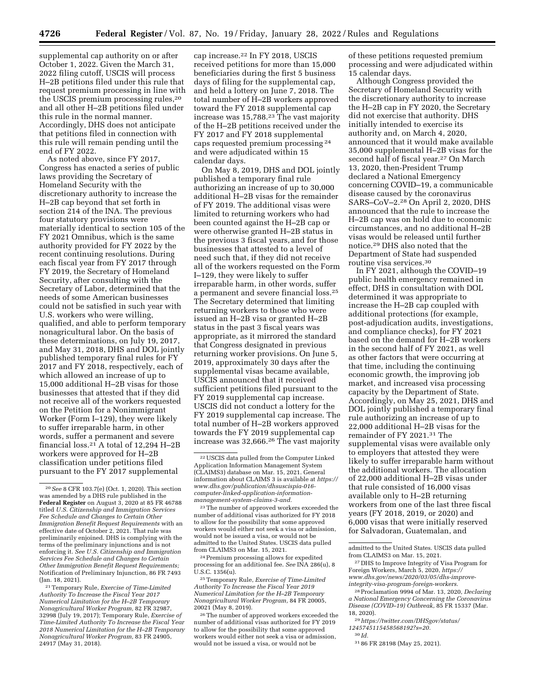supplemental cap authority on or after October 1, 2022. Given the March 31, 2022 filing cutoff, USCIS will process H–2B petitions filed under this rule that request premium processing in line with the USCIS premium processing rules,20 and all other H–2B petitions filed under this rule in the normal manner. Accordingly, DHS does not anticipate that petitions filed in connection with this rule will remain pending until the end of FY 2022.

As noted above, since FY 2017, Congress has enacted a series of public laws providing the Secretary of Homeland Security with the discretionary authority to increase the H–2B cap beyond that set forth in section 214 of the INA. The previous four statutory provisions were materially identical to section 105 of the FY 2021 Omnibus, which is the same authority provided for FY 2022 by the recent continuing resolutions. During each fiscal year from FY 2017 through FY 2019, the Secretary of Homeland Security, after consulting with the Secretary of Labor, determined that the needs of some American businesses could not be satisfied in such year with U.S. workers who were willing, qualified, and able to perform temporary nonagricultural labor. On the basis of these determinations, on July 19, 2017, and May 31, 2018, DHS and DOL jointly published temporary final rules for FY 2017 and FY 2018, respectively, each of which allowed an increase of up to 15,000 additional H–2B visas for those businesses that attested that if they did not receive all of the workers requested on the Petition for a Nonimmigrant Worker (Form I–129), they were likely to suffer irreparable harm, in other words, suffer a permanent and severe financial loss.21 A total of 12,294 H–2B workers were approved for H–2B classification under petitions filed pursuant to the FY 2017 supplemental

21Temporary Rule, *Exercise of Time-Limited Authority To Increase the Fiscal Year 2017 Numerical Limitation for the H–2B Temporary Nonagricultural Worker Program,* 82 FR 32987, 32998 (July 19, 2017); Temporary Rule, *Exercise of Time-Limited Authority To Increase the Fiscal Year 2018 Numerical Limitation for the H–2B Temporary Nonagricultural Worker Program,* 83 FR 24905, 24917 (May 31, 2018).

cap increase.22 In FY 2018, USCIS received petitions for more than 15,000 beneficiaries during the first 5 business days of filing for the supplemental cap, and held a lottery on June 7, 2018. The total number of H–2B workers approved toward the FY 2018 supplemental cap increase was 15,788.23 The vast majority of the H–2B petitions received under the FY 2017 and FY 2018 supplemental caps requested premium processing 24 and were adjudicated within 15 calendar days.

On May 8, 2019, DHS and DOL jointly published a temporary final rule authorizing an increase of up to 30,000 additional H–2B visas for the remainder of FY 2019. The additional visas were limited to returning workers who had been counted against the H–2B cap or were otherwise granted H–2B status in the previous 3 fiscal years, and for those businesses that attested to a level of need such that, if they did not receive all of the workers requested on the Form I–129, they were likely to suffer irreparable harm, in other words, suffer a permanent and severe financial loss.25 The Secretary determined that limiting returning workers to those who were issued an H–2B visa or granted H–2B status in the past 3 fiscal years was appropriate, as it mirrored the standard that Congress designated in previous returning worker provisions. On June 5, 2019, approximately 30 days after the supplemental visas became available, USCIS announced that it received sufficient petitions filed pursuant to the FY 2019 supplemental cap increase. USCIS did not conduct a lottery for the FY 2019 supplemental cap increase. The total number of H–2B workers approved towards the FY 2019 supplemental cap increase was 32,666.26 The vast majority

23The number of approved workers exceeded the number of additional visas authorized for FY 2018 to allow for the possibility that some approved workers would either not seek a visa or admission, would not be issued a visa, or would not be admitted to the United States. USCIS data pulled from CLAIMS3 on Mar. 15, 2021.

24Premium processing allows for expedited processing for an additional fee. *See* INA 286(u), 8 U.S.C. 1356(u).

25Temporary Rule, *Exercise of Time-Limited Authority To Increase the Fiscal Year 2019 Numerical Limitation for the H–2B Temporary Nonagricultural Worker Program,* 84 FR 20005, 20021 (May 8, 2019).

26The number of approved workers exceeded the number of additional visas authorized for FY 2019 to allow for the possibility that some approved workers would either not seek a visa or admission, would not be issued a visa, or would not be

of these petitions requested premium processing and were adjudicated within 15 calendar days.

Although Congress provided the Secretary of Homeland Security with the discretionary authority to increase the H–2B cap in FY 2020, the Secretary did not exercise that authority. DHS initially intended to exercise its authority and, on March 4, 2020, announced that it would make available 35,000 supplemental H–2B visas for the second half of fiscal year.<sup>27</sup> On March 13, 2020, then-President Trump declared a National Emergency concerning COVID–19, a communicable disease caused by the coronavirus SARS–CoV–2.28 On April 2, 2020, DHS announced that the rule to increase the H–2B cap was on hold due to economic circumstances, and no additional H–2B visas would be released until further notice.29 DHS also noted that the Department of State had suspended routine visa services.30

In FY 2021, although the COVID–19 public health emergency remained in effect, DHS in consultation with DOL determined it was appropriate to increase the H–2B cap coupled with additional protections (for example, post-adjudication audits, investigations, and compliance checks), for FY 2021 based on the demand for H–2B workers in the second half of FY 2021, as well as other factors that were occurring at that time, including the continuing economic growth, the improving job market, and increased visa processing capacity by the Department of State. Accordingly, on May 25, 2021, DHS and DOL jointly published a temporary final rule authorizing an increase of up to 22,000 additional H–2B visas for the remainder of FY 2021.31 The supplemental visas were available only to employers that attested they were likely to suffer irreparable harm without the additional workers. The allocation of 22,000 additional H–2B visas under that rule consisted of 16,000 visas available only to H–2B returning workers from one of the last three fiscal years (FY 2018, 2019, or 2020) and 6,000 visas that were initially reserved for Salvadoran, Guatemalan, and

29*[https://twitter.com/DHSgov/status/](https://twitter.com/DHSgov/status/1245745115458568192?s=20) [1245745115458568192?s=20.](https://twitter.com/DHSgov/status/1245745115458568192?s=20)* 

<sup>20</sup>*See* 8 CFR 103.7(e) (Oct. 1, 2020). This section was amended by a DHS rule published in the **Federal Register** on August 3, 2020 at 85 FR 46788 titled *U.S. Citizenship and Immigration Services Fee Schedule and Changes to Certain Other Immigration Benefit Request Requirements* with an effective date of October 2, 2021. That rule was preliminarily enjoined. DHS is complying with the terms of the preliminary injunctions and is not enforcing it. *See U.S. Citizenship and Immigration Services Fee Schedule and Changes to Certain Other Immigration Benefit Request Requirements;*  Notification of Preliminary Injunction, 86 FR 7493 (Jan. 18, 2021).

<sup>22</sup>USCIS data pulled from the Computer Linked Application Information Management System (CLAIMS3) database on Mar. 15, 2021. General information about CLAIMS 3 is available at *[https://](https://www.dhs.gov/publication/dhsuscispia-016-computer-linked-application-information-management-system-claims-3-and)  [www.dhs.gov/publication/dhsuscispia-016](https://www.dhs.gov/publication/dhsuscispia-016-computer-linked-application-information-management-system-claims-3-and)  [computer-linked-application-information](https://www.dhs.gov/publication/dhsuscispia-016-computer-linked-application-information-management-system-claims-3-and)[management-system-claims-3-and.](https://www.dhs.gov/publication/dhsuscispia-016-computer-linked-application-information-management-system-claims-3-and)* 

admitted to the United States. USCIS data pulled from CLAIMS3 on Mar. 15, 2021.

<sup>27</sup> DHS to Improve Integrity of Visa Program for Foreign Workers, March 5, 2020, *[https://](https://www.dhs.gov/news/2020/03/05/dhs-improve-integrity-visa-program-foreign-workers) [www.dhs.gov/news/2020/03/05/dhs-improve](https://www.dhs.gov/news/2020/03/05/dhs-improve-integrity-visa-program-foreign-workers)[integrity-visa-program-foreign-workers.](https://www.dhs.gov/news/2020/03/05/dhs-improve-integrity-visa-program-foreign-workers)* 

<sup>28</sup>Proclamation 9994 of Mar. 13, 2020, *Declaring a National Emergency Concerning the Coronavirus Disease (COVID–19) Outbreak,* 85 FR 15337 (Mar. 18, 2020).

<sup>30</sup> *Id.* 

<sup>31</sup> 86 FR 28198 (May 25, 2021).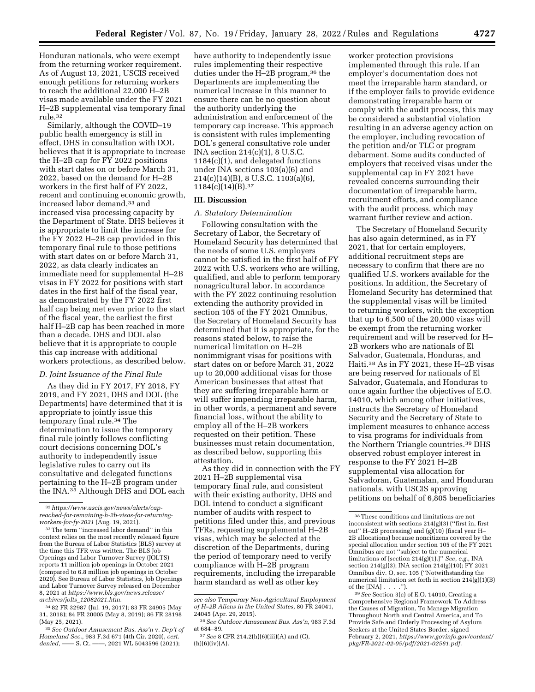Honduran nationals, who were exempt from the returning worker requirement. As of August 13, 2021, USCIS received enough petitions for returning workers to reach the additional 22,000 H–2B visas made available under the FY 2021 H–2B supplemental visa temporary final rule.32

Similarly, although the COVID–19 public health emergency is still in effect, DHS in consultation with DOL believes that it is appropriate to increase the H–2B cap for FY 2022 positions with start dates on or before March 31, 2022, based on the demand for H–2B workers in the first half of FY 2022, recent and continuing economic growth, increased labor demand,<sup>33</sup> and increased visa processing capacity by the Department of State. DHS believes it is appropriate to limit the increase for the FY 2022 H–2B cap provided in this temporary final rule to those petitions with start dates on or before March 31, 2022, as data clearly indicates an immediate need for supplemental H–2B visas in FY 2022 for positions with start dates in the first half of the fiscal year, as demonstrated by the FY 2022 first half cap being met even prior to the start of the fiscal year, the earliest the first half H–2B cap has been reached in more than a decade. DHS and DOL also believe that it is appropriate to couple this cap increase with additional workers protections, as described below.

### *D. Joint Issuance of the Final Rule*

As they did in FY 2017, FY 2018, FY 2019, and FY 2021, DHS and DOL (the Departments) have determined that it is appropriate to jointly issue this temporary final rule.34 The determination to issue the temporary final rule jointly follows conflicting court decisions concerning DOL's authority to independently issue legislative rules to carry out its consultative and delegated functions pertaining to the H–2B program under the INA.35 Although DHS and DOL each

have authority to independently issue rules implementing their respective duties under the H–2B program,36 the Departments are implementing the numerical increase in this manner to ensure there can be no question about the authority underlying the administration and enforcement of the temporary cap increase. This approach is consistent with rules implementing DOL's general consultative role under INA section 214(c)(1), 8 U.S.C. 1184(c)(1), and delegated functions under INA sections 103(a)(6) and 214(c)(14)(B), 8 U.S.C. 1103(a)(6),  $1184(c)(14)(B).$ <sup>37</sup>

## **III. Discussion**

#### *A. Statutory Determination*

Following consultation with the Secretary of Labor, the Secretary of Homeland Security has determined that the needs of some U.S. employers cannot be satisfied in the first half of FY 2022 with U.S. workers who are willing, qualified, and able to perform temporary nonagricultural labor. In accordance with the FY 2022 continuing resolution extending the authority provided in section 105 of the FY 2021 Omnibus, the Secretary of Homeland Security has determined that it is appropriate, for the reasons stated below, to raise the numerical limitation on H–2B nonimmigrant visas for positions with start dates on or before March 31, 2022 up to 20,000 additional visas for those American businesses that attest that they are suffering irreparable harm or will suffer impending irreparable harm, in other words, a permanent and severe financial loss, without the ability to employ all of the H–2B workers requested on their petition. These businesses must retain documentation, as described below, supporting this attestation.

As they did in connection with the FY 2021 H–2B supplemental visa temporary final rule, and consistent with their existing authority, DHS and DOL intend to conduct a significant number of audits with respect to petitions filed under this, and previous TFRs, requesting supplemental H–2B visas, which may be selected at the discretion of the Departments, during the period of temporary need to verify compliance with H–2B program requirements, including the irreparable harm standard as well as other key

worker protection provisions implemented through this rule. If an employer's documentation does not meet the irreparable harm standard, or if the employer fails to provide evidence demonstrating irreparable harm or comply with the audit process, this may be considered a substantial violation resulting in an adverse agency action on the employer, including revocation of the petition and/or TLC or program debarment. Some audits conducted of employers that received visas under the supplemental cap in FY 2021 have revealed concerns surrounding their documentation of irreparable harm, recruitment efforts, and compliance with the audit process, which may warrant further review and action.

The Secretary of Homeland Security has also again determined, as in FY 2021, that for certain employers, additional recruitment steps are necessary to confirm that there are no qualified U.S. workers available for the positions. In addition, the Secretary of Homeland Security has determined that the supplemental visas will be limited to returning workers, with the exception that up to 6,500 of the 20,000 visas will be exempt from the returning worker requirement and will be reserved for H– 2B workers who are nationals of El Salvador, Guatemala, Honduras, and Haiti.38 As in FY 2021, these H–2B visas are being reserved for nationals of El Salvador, Guatemala, and Honduras to once again further the objectives of E.O. 14010, which among other initiatives, instructs the Secretary of Homeland Security and the Secretary of State to implement measures to enhance access to visa programs for individuals from the Northern Triangle countries.39 DHS observed robust employer interest in response to the FY 2021 H–2B supplemental visa allocation for Salvadoran, Guatemalan, and Honduran nationals, with USCIS approving petitions on behalf of 6,805 beneficiaries

<sup>32</sup>*[https://www.uscis.gov/news/alerts/cap](https://www.uscis.gov/news/alerts/cap-reached-for-remaining-h-2b-visas-for-returning-workers-for-fy-2021)[reached-for-remaining-h-2b-visas-for-returning](https://www.uscis.gov/news/alerts/cap-reached-for-remaining-h-2b-visas-for-returning-workers-for-fy-2021)[workers-for-fy-2021](https://www.uscis.gov/news/alerts/cap-reached-for-remaining-h-2b-visas-for-returning-workers-for-fy-2021)* (Aug. 19, 2021).

<sup>33</sup>The term ''increased labor demand'' in this context relies on the most recently released figure from the Bureau of Labor Statistics (BLS) survey at the time this TFR was written. The BLS Job Openings and Labor Turnover Survey (JOLTS) reports 11 million job openings in October 2021 (compared to 6.8 million job openings in October 2020). See Bureau of Labor Statistics, Job Openings and Labor Turnover Survey released on December 8, 2021 at *[https://www.bls.gov/news.release/](https://www.bls.gov/news.release/archives/jolts_12082021.htm)  archives/jolts*\_*[12082021.htm.](https://www.bls.gov/news.release/archives/jolts_12082021.htm)* 

<sup>34</sup> 82 FR 32987 (Jul. 19, 2017); 83 FR 24905 (May 31, 2018); 84 FR 20005 (May 8, 2019); 86 FR 28198 (May 25, 2021).

<sup>35</sup>*See Outdoor Amusement Bus. Ass'n* v. *Dep't of Homeland Sec.,* 983 F.3d 671 (4th Cir. 2020), *cert. denied,* —— S. Ct. ——, 2021 WL 5043596 (2021);

*see also Temporary Non-Agricultural Employment of H–2B Aliens in the United States,* 80 FR 24041, 24045 (Apr. 29, 2015).

<sup>36</sup>*See Outdoor Amusement Bus. Ass'n,* 983 F.3d at 684–89.

<sup>37</sup>*See* 8 CFR 214.2(h)(6)(iii)(A) and (C), (h)(6)(iv)(A).

<sup>38</sup>These conditions and limitations are not inconsistent with sections 214(g)(3) (''first in, first out" H–2B processing) and  $(g)(10)$  (fiscal year H– 2B allocations) because noncitizens covered by the special allocation under section 105 of the FY 2021 Omnibus are not ''subject to the numerical limitations of [section 214(g)(1).]'' *See, e.g.,* INA section 214(g)(3); INA section 214(g)(10); FY 2021 Omnibus div. O, sec. 105 (''Notwithstanding the numerical limitation set forth in section 214(g)(1)(B) of the  $[INA] \ldots$  .'').

<sup>39</sup>*See* Section 3(c) of E.O. 14010, Creating a Comprehensive Regional Framework To Address the Causes of Migration, To Manage Migration Throughout North and Central America, and To Provide Safe and Orderly Processing of Asylum Seekers at the United States Border, signed February 2, 2021, *[https://www.govinfo.gov/content/](https://www.govinfo.gov/content/pkg/FR-2021-02-05/pdf/2021-02561.pdf)  [pkg/FR-2021-02-05/pdf/2021-02561.pdf.](https://www.govinfo.gov/content/pkg/FR-2021-02-05/pdf/2021-02561.pdf)*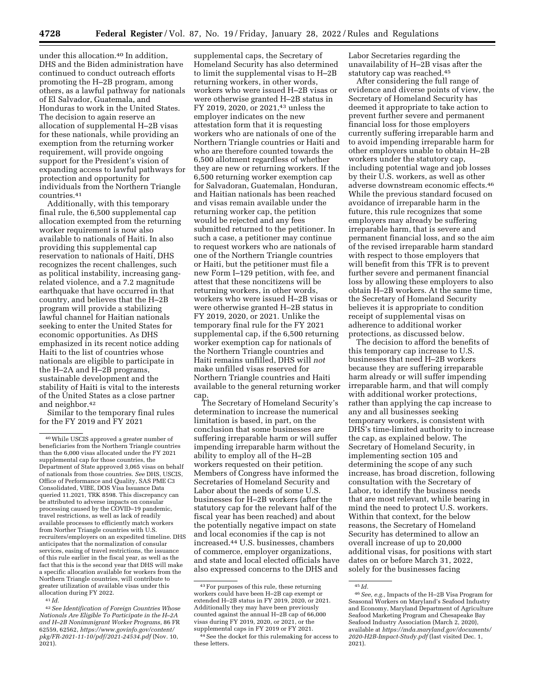under this allocation.<sup>40</sup> In addition, DHS and the Biden administration have continued to conduct outreach efforts promoting the H–2B program, among others, as a lawful pathway for nationals of El Salvador, Guatemala, and Honduras to work in the United States. The decision to again reserve an allocation of supplemental H–2B visas for these nationals, while providing an exemption from the returning worker requirement, will provide ongoing support for the President's vision of expanding access to lawful pathways for protection and opportunity for individuals from the Northern Triangle countries.41

Additionally, with this temporary final rule, the 6,500 supplemental cap allocation exempted from the returning worker requirement is now also available to nationals of Haiti. In also providing this supplemental cap reservation to nationals of Haiti, DHS recognizes the recent challenges, such as political instability, increasing gangrelated violence, and a 7.2 magnitude earthquake that have occurred in that country, and believes that the H–2B program will provide a stabilizing lawful channel for Haitian nationals seeking to enter the United States for economic opportunities. As DHS emphasized in its recent notice adding Haiti to the list of countries whose nationals are eligible to participate in the H–2A and H–2B programs, sustainable development and the stability of Haiti is vital to the interests of the United States as a close partner and neighbor.42

Similar to the temporary final rules for the FY 2019 and FY 2021

supplemental caps, the Secretary of Homeland Security has also determined to limit the supplemental visas to H–2B returning workers, in other words, workers who were issued H–2B visas or were otherwise granted H–2B status in FY 2019, 2020, or 2021,43 unless the employer indicates on the new attestation form that it is requesting workers who are nationals of one of the Northern Triangle countries or Haiti and who are therefore counted towards the 6,500 allotment regardless of whether they are new or returning workers. If the 6,500 returning worker exemption cap for Salvadoran, Guatemalan, Honduran, and Haitian nationals has been reached and visas remain available under the returning worker cap, the petition would be rejected and any fees submitted returned to the petitioner. In such a case, a petitioner may continue to request workers who are nationals of one of the Northern Triangle countries or Haiti, but the petitioner must file a new Form I–129 petition, with fee, and attest that these noncitizens will be returning workers, in other words, workers who were issued H–2B visas or were otherwise granted H–2B status in FY 2019, 2020, or 2021. Unlike the temporary final rule for the FY 2021 supplemental cap, if the 6,500 returning worker exemption cap for nationals of the Northern Triangle countries and Haiti remains unfilled, DHS will *not*  make unfilled visas reserved for Northern Triangle countries and Haiti available to the general returning worker cap

The Secretary of Homeland Security's determination to increase the numerical limitation is based, in part, on the conclusion that some businesses are suffering irreparable harm or will suffer impending irreparable harm without the ability to employ all of the H–2B workers requested on their petition. Members of Congress have informed the Secretaries of Homeland Security and Labor about the needs of some U.S. businesses for H–2B workers (after the statutory cap for the relevant half of the fiscal year has been reached) and about the potentially negative impact on state and local economies if the cap is not increased.44 U.S. businesses, chambers of commerce, employer organizations, and state and local elected officials have also expressed concerns to the DHS and

Labor Secretaries regarding the unavailability of H–2B visas after the statutory cap was reached.45

After considering the full range of evidence and diverse points of view, the Secretary of Homeland Security has deemed it appropriate to take action to prevent further severe and permanent financial loss for those employers currently suffering irreparable harm and to avoid impending irreparable harm for other employers unable to obtain H–2B workers under the statutory cap, including potential wage and job losses by their U.S. workers, as well as other adverse downstream economic effects.46 While the previous standard focused on avoidance of irreparable harm in the future, this rule recognizes that some employers may already be suffering irreparable harm, that is severe and permanent financial loss, and so the aim of the revised irreparable harm standard with respect to those employers that will benefit from this TFR is to prevent further severe and permanent financial loss by allowing these employers to also obtain H–2B workers. At the same time, the Secretary of Homeland Security believes it is appropriate to condition receipt of supplemental visas on adherence to additional worker protections, as discussed below.

The decision to afford the benefits of this temporary cap increase to U.S. businesses that need H–2B workers because they are suffering irreparable harm already or will suffer impending irreparable harm, and that will comply with additional worker protections, rather than applying the cap increase to any and all businesses seeking temporary workers, is consistent with DHS's time-limited authority to increase the cap, as explained below. The Secretary of Homeland Security, in implementing section 105 and determining the scope of any such increase, has broad discretion, following consultation with the Secretary of Labor, to identify the business needs that are most relevant, while bearing in mind the need to protect U.S. workers. Within that context, for the below reasons, the Secretary of Homeland Security has determined to allow an overall increase of up to 20,000 additional visas, for positions with start dates on or before March 31, 2022, solely for the businesses facing

<sup>40</sup>While USCIS approved a greater number of beneficiaries from the Northern Triangle countries than the 6,000 visas allocated under the FY 2021 supplemental cap for those countries, the Department of State approved 3,065 visas on behalf of nationals from those countries. *See* DHS, USCIS, Office of Performance and Quality, SAS PME C3 Consolidated, VIBE, DOS Visa Issuance Data queried 11.2021, TRK 8598. This discrepancy can be attributed to adverse impacts on consular processing caused by the COVID–19 pandemic, travel restrictions, as well as lack of readily available processes to efficiently match workers from Norther Triangle countries with U.S. recruiters/employers on an expedited timeline. DHS anticipates that the normalization of consular services, easing of travel restrictions, the issuance of this rule earlier in the fiscal year, as well as the fact that this is the second year that DHS will make a specific allocation available for workers from the Northern Triangle countries, will contribute to greater utilization of available visas under this allocation during FY 2022.

<sup>41</sup> *Id.* 

<sup>42</sup>*See Identification of Foreign Countries Whose Nationals Are Eligible To Participate in the H–2A and H–2B Nonimmigrant Worker Programs,* 86 FR 62559, 62562, *[https://www.govinfo.gov/content/](https://www.govinfo.gov/content/pkg/FR-2021-11-10/pdf/2021-24534.pdf)  [pkg/FR-2021-11-10/pdf/2021-24534.pdf](https://www.govinfo.gov/content/pkg/FR-2021-11-10/pdf/2021-24534.pdf)* (Nov. 10,  $2021$ ).

<sup>43</sup>For purposes of this rule, these returning workers could have been H–2B cap exempt or extended H–2B status in FY 2019, 2020, or 2021. Additionally they may have been previously counted against the annual H–2B cap of 66,000 visas during FY 2019, 2020, or 2021, or the supplemental caps in FY 2019 or FY 2021.

See the docket for this rulemaking for access to these letters.

<sup>45</sup> *Id.* 

<sup>46</sup>*See, e.g.,* Impacts of the H–2B Visa Program for Seasonal Workers on Maryland's Seafood Industry and Economy, Maryland Department of Agriculture Seafood Marketing Program and Chesapeake Bay Seafood Industry Association (March 2, 2020), available at *[https://mda.maryland.gov/documents/](https://mda.maryland.gov/documents/2020-H2B-Impact-Study.pdf) [2020-H2B-Impact-Study.pdf](https://mda.maryland.gov/documents/2020-H2B-Impact-Study.pdf)* (last visited Dec. 1, 2021).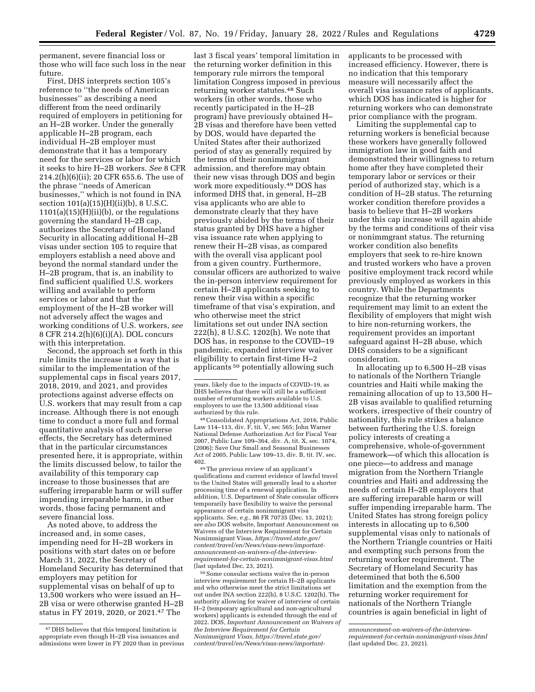permanent, severe financial loss or those who will face such loss in the near future.

First, DHS interprets section 105's reference to ''the needs of American businesses'' as describing a need different from the need ordinarily required of employers in petitioning for an H–2B worker. Under the generally applicable H–2B program, each individual H–2B employer must demonstrate that it has a temporary need for the services or labor for which it seeks to hire H–2B workers. *See* 8 CFR 214.2(h)(6)(ii); 20 CFR 655.6. The use of the phrase ''needs of American businesses,'' which is not found in INA section 101(a)(15)(H)(ii)(b), 8 U.S.C.  $1101(a)(15)(H)(ii)(b)$ , or the regulations governing the standard H–2B cap, authorizes the Secretary of Homeland Security in allocating additional H–2B visas under section 105 to require that employers establish a need above and beyond the normal standard under the H–2B program, that is, an inability to find sufficient qualified U.S. workers willing and available to perform services or labor and that the employment of the H–2B worker will not adversely affect the wages and working conditions of U.S. workers, *see*  8 CFR 214.2(h)(6)(i)(A). DOL concurs with this interpretation.

Second, the approach set forth in this rule limits the increase in a way that is similar to the implementation of the supplemental caps in fiscal years 2017, 2018, 2019, and 2021, and provides protections against adverse effects on U.S. workers that may result from a cap increase. Although there is not enough time to conduct a more full and formal quantitative analysis of such adverse effects, the Secretary has determined that in the particular circumstances presented here, it is appropriate, within the limits discussed below, to tailor the availability of this temporary cap increase to those businesses that are suffering irreparable harm or will suffer impending irreparable harm, in other words, those facing permanent and severe financial loss.

As noted above, to address the increased and, in some cases, impending need for H–2B workers in positions with start dates on or before March 31, 2022, the Secretary of Homeland Security has determined that employers may petition for supplemental visas on behalf of up to 13,500 workers who were issued an H– 2B visa or were otherwise granted H–2B status in FY 2019, 2020, or 2021.47 The

last 3 fiscal years' temporal limitation in the returning worker definition in this temporary rule mirrors the temporal limitation Congress imposed in previous returning worker statutes.48 Such workers (in other words, those who recently participated in the H–2B program) have previously obtained H– 2B visas and therefore have been vetted by DOS, would have departed the United States after their authorized period of stay as generally required by the terms of their nonimmigrant admission, and therefore may obtain their new visas through DOS and begin work more expeditiously.49 DOS has informed DHS that, in general, H–2B visa applicants who are able to demonstrate clearly that they have previously abided by the terms of their status granted by DHS have a higher visa issuance rate when applying to renew their H–2B visas, as compared with the overall visa applicant pool from a given country. Furthermore, consular officers are authorized to waive the in-person interview requirement for certain H–2B applicants seeking to renew their visa within a specific timeframe of that visa's expiration, and who otherwise meet the strict limitations set out under INA section 222(h), 8 U.S.C. 1202(h). We note that DOS has, in response to the COVID–19 pandemic, expanded interview waiver eligibility to certain first-time H–2 applicants 50 potentially allowing such

48Consolidated Appropriations Act, 2016, Public Law 114–113, div. F, tit. V, sec 565; John Warner National Defense Authorization Act for Fiscal Year 2007, Public Law 109–364, div. A, tit. X, sec. 1074, (2006); Save Our Small and Seasonal Businesses Act of 2005, Public Law 109–13, div. B, tit. IV, sec. 402.

49The previous review of an applicant's qualifications and current evidence of lawful travel to the United States will generally lead to a shorter processing time of a renewal application. In addition, U.S. Department of State consular officers temporarily have flexibility to waive the personal appearance of certain nonimmigrant visa applicants. *See, e.g.,* 86 FR 70735 (Dec. 13, 2021); *see also* DOS website, Important Announcement on Waivers of the Interview Requirement for Certain Nonimmigrant Visas, *[https://travel.state.gov/](https://travel.state.gov/content/travel/en/News/visas-news/important-announcement-on-waivers-of-the-interview-requirement-for-certain-nonimmigrant-visas.html)  [content/travel/en/News/visas-news/important](https://travel.state.gov/content/travel/en/News/visas-news/important-announcement-on-waivers-of-the-interview-requirement-for-certain-nonimmigrant-visas.html)[announcement-on-waivers-of-the-interview](https://travel.state.gov/content/travel/en/News/visas-news/important-announcement-on-waivers-of-the-interview-requirement-for-certain-nonimmigrant-visas.html)[requirement-for-certain-nonimmigrant-visas.html](https://travel.state.gov/content/travel/en/News/visas-news/important-announcement-on-waivers-of-the-interview-requirement-for-certain-nonimmigrant-visas.html)*  (last updated Dec. 23, 2021).

50Some consular sections waive the in-person interview requirement for certain H–2B applicants and who otherwise meet the strict limitations set out under INA section 222(h), 8 U.S.C. 1202(h). The authority allowing for waiver of interview of certain H–2 (temporary agricultural and non-agricultural workers) applicants is extended through the end of 2022. DOS, *Important Announcement on Waivers of the Interview Requirement for Certain Nonimmigrant Visas, [https://travel.state.gov/](https://travel.state.gov/content/travel/en/News/visas-news/important-announcement-on-waivers-of-the-interview-requirement-for-certain-nonimmigrant-visas.html)  [content/travel/en/News/visas-news/important-](https://travel.state.gov/content/travel/en/News/visas-news/important-announcement-on-waivers-of-the-interview-requirement-for-certain-nonimmigrant-visas.html)* applicants to be processed with increased efficiency. However, there is no indication that this temporary measure will necessarily affect the overall visa issuance rates of applicants, which DOS has indicated is higher for returning workers who can demonstrate prior compliance with the program.

Limiting the supplemental cap to returning workers is beneficial because these workers have generally followed immigration law in good faith and demonstrated their willingness to return home after they have completed their temporary labor or services or their period of authorized stay, which is a condition of H–2B status. The returning worker condition therefore provides a basis to believe that H–2B workers under this cap increase will again abide by the terms and conditions of their visa or nonimmgrant status. The returning worker condition also benefits employers that seek to re-hire known and trusted workers who have a proven positive employment track record while previously employed as workers in this country. While the Departments recognize that the returning worker requirement may limit to an extent the flexibility of employers that might wish to hire non-returning workers, the requirement provides an important safeguard against H–2B abuse, which DHS considers to be a significant consideration.

In allocating up to 6,500 H–2B visas to nationals of the Northern Triangle countries and Haiti while making the remaining allocation of up to 13,500 H– 2B visas available to qualified returning workers, irrespective of their country of nationality, this rule strikes a balance between furthering the U.S. foreign policy interests of creating a comprehensive, whole-of-government framework—of which this allocation is one piece—to address and manage migration from the Northern Triangle countries and Haiti and addressing the needs of certain H–2B employers that are suffering irreparable harm or will suffer impending irreparable harm. The United States has strong foreign policy interests in allocating up to 6,500 supplemental visas only to nationals of the Northern Triangle countries or Haiti and exempting such persons from the returning worker requirement. The Secretary of Homeland Security has determined that both the 6,500 limitation and the exemption from the returning worker requirement for nationals of the Northern Triangle countries is again beneficial in light of

<sup>47</sup> DHS believes that this temporal limitation is appropriate even though H–2B visa issuances and admissions were lower in FY 2020 than in previous

years, likely due to the impacts of COVID–19, as DHS believes that there will still be a sufficient number of returning workers available to U.S. employers to use the 13,500 additional visas authorized by this rule.

*[announcement-on-waivers-of-the-interview](https://travel.state.gov/content/travel/en/News/visas-news/important-announcement-on-waivers-of-the-interview-requirement-for-certain-nonimmigrant-visas.html)[requirement-for-certain-nonimmigrant-visas.html](https://travel.state.gov/content/travel/en/News/visas-news/important-announcement-on-waivers-of-the-interview-requirement-for-certain-nonimmigrant-visas.html)*  (last updated Dec. 23, 2021).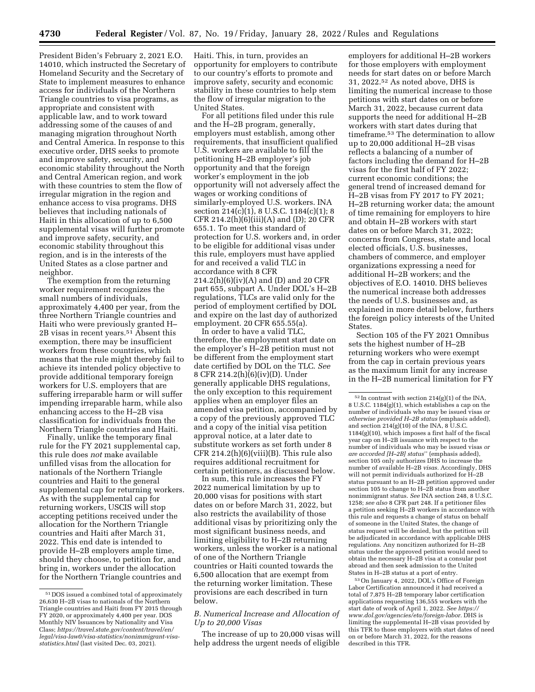President Biden's February 2, 2021 E.O. 14010, which instructed the Secretary of Homeland Security and the Secretary of State to implement measures to enhance access for individuals of the Northern Triangle countries to visa programs, as appropriate and consistent with applicable law, and to work toward addressing some of the causes of and managing migration throughout North and Central America. In response to this executive order, DHS seeks to promote and improve safety, security, and economic stability throughout the North and Central American region, and work with these countries to stem the flow of irregular migration in the region and enhance access to visa programs. DHS believes that including nationals of Haiti in this allocation of up to 6,500 supplemental visas will further promote and improve safety, security, and economic stability throughout this region, and is in the interests of the United States as a close partner and neighbor.

The exemption from the returning worker requirement recognizes the small numbers of individuals, approximately 4,400 per year, from the three Northern Triangle countries and Haiti who were previously granted H– 2B visas in recent years.51 Absent this exemption, there may be insufficient workers from these countries, which means that the rule might thereby fail to achieve its intended policy objective to provide additional temporary foreign workers for U.S. employers that are suffering irreparable harm or will suffer impending irreparable harm, while also enhancing access to the H–2B visa classification for individuals from the Northern Triangle countries and Haiti.

Finally, unlike the temporary final rule for the FY 2021 supplemental cap, this rule does *not* make available unfilled visas from the allocation for nationals of the Northern Triangle countries and Haiti to the general supplemental cap for returning workers. As with the supplemental cap for returning workers, USCIS will stop accepting petitions received under the allocation for the Northern Triangle countries and Haiti after March 31, 2022. This end date is intended to provide H–2B employers ample time, should they choose, to petition for, and bring in, workers under the allocation for the Northern Triangle countries and

Haiti. This, in turn, provides an opportunity for employers to contribute to our country's efforts to promote and improve safety, security and economic stability in these countries to help stem the flow of irregular migration to the United States.

For all petitions filed under this rule and the H–2B program, generally, employers must establish, among other requirements, that insufficient qualified U.S. workers are available to fill the petitioning H–2B employer's job opportunity and that the foreign worker's employment in the job opportunity will not adversely affect the wages or working conditions of similarly-employed U.S. workers. INA section 214(c)(1), 8 U.S.C. 1184(c)(1); 8 CFR 214.2(h) $(6)(iii)(A)$  and  $(D)$ ; 20 CFR 655.1. To meet this standard of protection for U.S. workers and, in order to be eligible for additional visas under this rule, employers must have applied for and received a valid TLC in accordance with 8 CFR 214.2(h)(6)(iv)(A) and (D) and 20 CFR part 655, subpart A. Under DOL's H–2B regulations, TLCs are valid only for the period of employment certified by DOL and expire on the last day of authorized employment. 20 CFR 655.55(a).

In order to have a valid TLC, therefore, the employment start date on the employer's H–2B petition must not be different from the employment start date certified by DOL on the TLC. *See*  8 CFR 214.2(h)(6)(iv)(D). Under generally applicable DHS regulations, the only exception to this requirement applies when an employer files an amended visa petition, accompanied by a copy of the previously approved TLC and a copy of the initial visa petition approval notice, at a later date to substitute workers as set forth under 8 CFR 214.2(h) $(6)(viii)(B)$ . This rule also requires additional recruitment for certain petitioners, as discussed below.

In sum, this rule increases the FY 2022 numerical limitation by up to 20,000 visas for positions with start dates on or before March 31, 2022, but also restricts the availability of those additional visas by prioritizing only the most significant business needs, and limiting eligibility to H–2B returning workers, unless the worker is a national of one of the Northern Triangle countries or Haiti counted towards the 6,500 allocation that are exempt from the returning worker limitation. These provisions are each described in turn below.

## *B. Numerical Increase and Allocation of Up to 20,000 Visas*

The increase of up to 20,000 visas will help address the urgent needs of eligible

employers for additional H–2B workers for those employers with employment needs for start dates on or before March 31, 2022.52 As noted above, DHS is limiting the numerical increase to those petitions with start dates on or before March 31, 2022, because current data supports the need for additional H–2B workers with start dates during that timeframe.53 The determination to allow up to 20,000 additional H–2B visas reflects a balancing of a number of factors including the demand for H–2B visas for the first half of FY 2022; current economic conditions; the general trend of increased demand for H–2B visas from FY 2017 to FY 2021; H–2B returning worker data; the amount of time remaining for employers to hire and obtain H–2B workers with start dates on or before March 31, 2022; concerns from Congress, state and local elected officials, U.S. businesses, chambers of commerce, and employer organizations expressing a need for additional H–2B workers; and the objectives of E.O. 14010. DHS believes the numerical increase both addresses the needs of U.S. businesses and, as explained in more detail below, furthers the foreign policy interests of the United States.

Section 105 of the FY 2021 Omnibus sets the highest number of H–2B returning workers who were exempt from the cap in certain previous years as the maximum limit for any increase in the H–2B numerical limitation for FY

53On January 4, 2022, DOL's Office of Foreign Labor Certification announced it had received a total of 7,875 H–2B temporary labor certification applications requesting 136,555 workers with the start date of work of April 1, 2022. *See [https://](https://www.dol.gov/agencies/eta/foreign-labor) [www.dol.gov/agencies/eta/foreign-labor.](https://www.dol.gov/agencies/eta/foreign-labor)* DHS is limiting the supplemental H–2B visas provided by this TFR to those employers with start dates of need on or before March 31, 2022, for the reasons described in this TFR.

<sup>51</sup> DOS issued a combined total of approximately 26,630 H–2B visas to nationals of the Northern Triangle countries and Haiti from FY 2015 through FY 2020, or approximately 4,400 per year. DOS Monthly NIV Issuances by Nationality and Visa Class; *[https://travel.state.gov/content/travel/en/](https://travel.state.gov/content/travel/en/legal/visa-law0/visa-statistics/nonimmigrant-visa-statistics.html)  [legal/visa-law0/visa-statistics/nonimmigrant-visa](https://travel.state.gov/content/travel/en/legal/visa-law0/visa-statistics/nonimmigrant-visa-statistics.html)[statistics.html](https://travel.state.gov/content/travel/en/legal/visa-law0/visa-statistics/nonimmigrant-visa-statistics.html)* (last visited Dec. 03, 2021).

 $^{52}\!$  In contrast with section 214(g)(1) of the INA, 8 U.S.C. 1184(g)(1), which establishes a cap on the number of individuals who may be issued visas *or otherwise provided H–2B status* (emphasis added), and section  $214(g)(10)$  of the INA, 8 U.S.C. 1184(g)(10), which imposes a first half of the fiscal year cap on H–2B issuance with respect to the number of individuals who may be issued visas *or are accorded [H–2B] status*'' (emphasis added), section 105 only authorizes DHS to increase the number of available H–2B *visas.* Accordingly, DHS will not permit individuals authorized for H–2B status pursuant to an H–2B petition approved under section 105 to change to H-2B status from another nonimmigrant status. *See* INA section 248, 8 U.S.C. 1258; *see also* 8 CFR part 248. If a petitioner files a petition seeking H–2B workers in accordance with this rule and requests a change of status on behalf of someone in the United States, the change of status request will be denied, but the petition will be adjudicated in accordance with applicable DHS regulations. Any noncitizen authorized for H–2B status under the approved petition would need to obtain the necessary H–2B visa at a consular post abroad and then seek admission to the United States in H–2B status at a port of entry.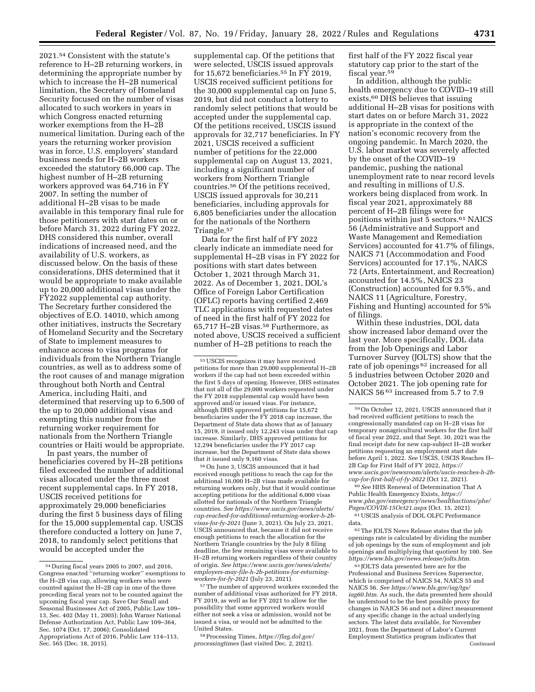2021.54 Consistent with the statute's reference to H–2B returning workers, in determining the appropriate number by which to increase the H–2B numerical limitation, the Secretary of Homeland Security focused on the number of visas allocated to such workers in years in which Congress enacted returning worker exemptions from the H–2B numerical limitation. During each of the years the returning worker provision was in force, U.S. employers' standard business needs for H–2B workers exceeded the statutory 66,000 cap. The highest number of H–2B returning workers approved was 64,716 in FY 2007. In setting the number of additional H–2B visas to be made available in this temporary final rule for those petitioners with start dates on or before March 31, 2022 during FY 2022, DHS considered this number, overall indications of increased need, and the availability of U.S. workers, as discussed below. On the basis of these considerations, DHS determined that it would be appropriate to make available up to 20,000 additional visas under the FY2022 supplemental cap authority. The Secretary further considered the objectives of E.O. 14010, which among other initiatives, instructs the Secretary of Homeland Security and the Secretary of State to implement measures to enhance access to visa programs for individuals from the Northern Triangle countries, as well as to address some of the root causes of and manage migration throughout both North and Central America, including Haiti, and determined that reserving up to 6,500 of the up to 20,000 additional visas and exempting this number from the returning worker requirement for nationals from the Northern Triangle countries or Haiti would be appropriate.

In past years, the number of beneficiaries covered by H–2B petitions filed exceeded the number of additional visas allocated under the three most recent supplemental caps. In FY 2018, USCIS received petitions for approximately 29,000 beneficiaries during the first 5 business days of filing for the 15,000 supplemental cap. USCIS therefore conducted a lottery on June 7, 2018, to randomly select petitions that would be accepted under the

supplemental cap. Of the petitions that were selected, USCIS issued approvals for 15,672 beneficiaries.55 In FY 2019, USCIS received sufficient petitions for the 30,000 supplemental cap on June 5, 2019, but did not conduct a lottery to randomly select petitions that would be accepted under the supplemental cap. Of the petitions received, USCIS issued approvals for 32,717 beneficiaries. In FY 2021, USCIS received a sufficient number of petitions for the 22,000 supplemental cap on August 13, 2021, including a significant number of workers from Northern Triangle countries.56 Of the petitions received, USCIS issued approvals for 30,211 beneficiaries, including approvals for 6,805 beneficiaries under the allocation for the nationals of the Northern Triangle.57

Data for the first half of FY 2022 clearly indicate an immediate need for supplemental H–2B visas in FY 2022 for positions with start dates between October 1, 2021 through March 31, 2022. As of December 1, 2021, DOL's Office of Foreign Labor Certification (OFLC) reports having certified 2,469 TLC applications with requested dates of need in the first half of FY 2022 for 65,717 H–2B visas.58 Furthermore, as noted above, USCIS received a sufficient number of H–2B petitions to reach the

55USCIS recognizes it may have received petitions for more than 29,000 supplemental H–2B workers if the cap had not been exceeded within the first 5 days of opening. However, DHS estimates that not all of the 29,000 workers requested under the FY 2018 supplemental cap would have been approved and/or issued visas. For instance, although DHS approved petitions for 15,672 beneficiaries under the FY 2018 cap increase, the Department of State data shows that as of January 15, 2019, it issued only 12,243 visas under that cap increase. Similarly, DHS approved petitions for 12,294 beneficiaries under the FY 2017 cap increase, but the Department of State data shows that it issued only 9,160 visas.

56On June 3, USCIS announced that it had received enough petitions to reach the cap for the additional 16,000 H–2B visas made available for returning workers only, but that it would continue accepting petitions for the additional 6,000 visas allotted for nationals of the Northern Triangle countries. *See [https://www.uscis.gov/news/alerts/](https://www.uscis.gov/news/alerts/cap-reached-for-additional-returning-worker-h-2b-visas-for-fy-2021)  [cap-reached-for-additional-returning-worker-h-2b](https://www.uscis.gov/news/alerts/cap-reached-for-additional-returning-worker-h-2b-visas-for-fy-2021)[visas-for-fy-2021](https://www.uscis.gov/news/alerts/cap-reached-for-additional-returning-worker-h-2b-visas-for-fy-2021)* (June 3, 2021). On July 23, 2021, USCIS announced that, because it did not receive enough petitions to reach the allocation for the Northern Triangle countries by the July 8 filing deadline, the few remaining visas were available to H–2B returning workers regardless of their country of origin. *See [https://www.uscis.gov/news/alerts/](https://www.uscis.gov/news/alerts/employers-may-file-h-2b-petitions-for-returning-workers-for-fy-2021) [employers-may-file-h-2b-petitions-for-returning](https://www.uscis.gov/news/alerts/employers-may-file-h-2b-petitions-for-returning-workers-for-fy-2021)[workers-for-fy-2021](https://www.uscis.gov/news/alerts/employers-may-file-h-2b-petitions-for-returning-workers-for-fy-2021)* (July 23, 2021).

57The number of approved workers exceeded the number of additional visas authorized for FY 2018, FY 2019, as well as for FY 2021 to allow for the possibility that some approved workers would either not seek a visa or admission, would not be issued a visa, or would not be admitted to the United States.

58Processing Times, *[https://flag.dol.gov/](https://flag.dol.gov/processingtimes)  [processingtimes](https://flag.dol.gov/processingtimes)* (last visited Dec. 2, 2021).

first half of the FY 2022 fiscal year statutory cap prior to the start of the fiscal year.59

In addition, although the public health emergency due to COVID-19 still exists,60 DHS believes that issuing additional H–2B visas for positions with start dates on or before March 31, 2022 is appropriate in the context of the nation's economic recovery from the ongoing pandemic. In March 2020, the U.S. labor market was severely affected by the onset of the COVID–19 pandemic, pushing the national unemployment rate to near record levels and resulting in millions of U.S. workers being displaced from work. In fiscal year 2021, approximately 88 percent of H–2B filings were for positions within just 5 sectors.61 NAICS 56 (Administrative and Support and Waste Management and Remediation Services) accounted for 41.7% of filings, NAICS 71 (Accommodation and Food Services) accounted for 17.1%, NAICS 72 (Arts, Entertainment, and Recreation) accounted for 14.5%, NAICS 23 (Construction) accounted for 9.5%, and NAICS 11 (Agriculture, Forestry, Fishing and Hunting) accounted for 5% of filings.

Within these industries, DOL data show increased labor demand over the last year. More specifically, DOL data from the Job Openings and Labor Turnover Survey (JOLTS) show that the rate of job openings 62 increased for all 5 industries between October 2020 and October 2021. The job opening rate for NAICS 56 63 increased from 5.7 to 7.9

60*See* HHS Renewal of Determination That A Public Health Emergency Exists, *[https://](https://www.phe.gov/emergency/news/healthactions/phe/Pages/COVDI-15Oct21.aspx) [www.phe.gov/emergency/news/healthactions/phe/](https://www.phe.gov/emergency/news/healthactions/phe/Pages/COVDI-15Oct21.aspx)  [Pages/COVDI-15Oct21.aspx](https://www.phe.gov/emergency/news/healthactions/phe/Pages/COVDI-15Oct21.aspx)* (Oct. 15, 2021). 61USCIS analysis of DOL OLFC Performance

data.

62The JOLTS News Release states that the job openings rate is calculated by dividing the number of job openings by the sum of employment and job openings and multiplying that quotient by 100. See *[https://www.bls.gov/news.release/jolts.htm.](https://www.bls.gov/news.release/jolts.htm)* 

63 JOLTS data presented here are for the Professional and Business Services Supersector, which is comprised of NAICS 54, NAICS 55 and NAICS 56. *See [https://www.bls.gov/iag/tgs/](https://www.bls.gov/iag/tgs/iag60.htm) [iag60.htm.](https://www.bls.gov/iag/tgs/iag60.htm)* As such, the data presented here should be understood to be the best possible proxy for changes in NAICS 56 and not a direct measurement of any specific change in the actual underlying sectors. The latest data available, for November 2021, from the Department of Labor's Current Employment Statistics program indicates that Continued

<sup>54</sup> During fiscal years 2005 to 2007, and 2016, Congress enacted ''returning worker'' exemptions to the H–2B visa cap, allowing workers who were counted against the H–2B cap in one of the three preceding fiscal years not to be counted against the upcoming fiscal year cap. Save Our Small and Seasonal Businesses Act of 2005, Public Law 109– 13, Sec. 402 (May 11, 2005); John Warner National Defense Authorization Act, Public Law 109–364, Sec. 1074 (Oct. 17, 2006); Consolidated Appropriations Act of 2016, Public Law 114–113, Sec. 565 (Dec. 18, 2015).

<sup>59</sup>On October 12, 2021, USCIS announced that it had received sufficient petitions to reach the congressionally mandated cap on H–2B visas for temporary nonagricultural workers for the first half of fiscal year 2022, and that Sept. 30, 2021 was the final receipt date for new cap-subject H–2B worker petitions requesting an employment start date before April 1, 2022. *See* USCIS, USCIS Reaches H– 2B Cap for First Half of FY 2022, *[https://](https://www.uscis.gov/newsroom/alerts/uscis-reaches-h-2b-cap-for-first-half-of-fy-2022) [www.uscis.gov/newsroom/alerts/uscis-reaches-h-2b](https://www.uscis.gov/newsroom/alerts/uscis-reaches-h-2b-cap-for-first-half-of-fy-2022)[cap-for-first-half-of-fy-2022](https://www.uscis.gov/newsroom/alerts/uscis-reaches-h-2b-cap-for-first-half-of-fy-2022)* (Oct 12, 2021).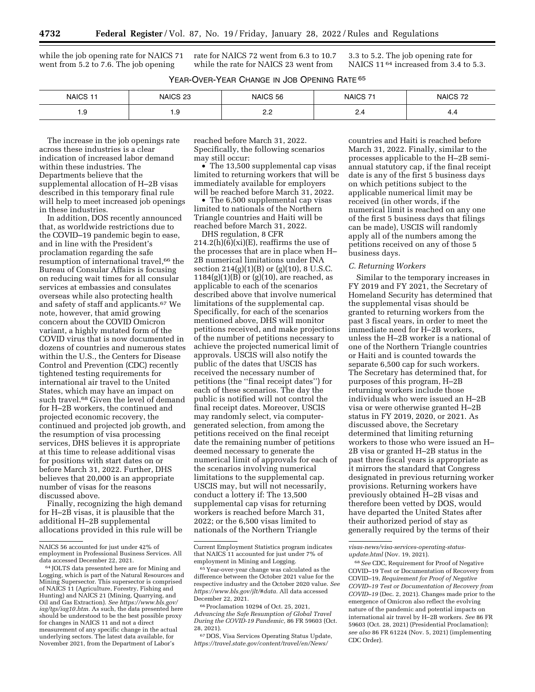while the job opening rate for NAICS 71 went from 5.2 to 7.6. The job opening

rate for NAICS 72 went from 6.3 to 10.7 while the rate for NAICS 23 went from

3.3 to 5.2. The job opening rate for NAICS 11<sup>64</sup> increased from 3.4 to 5.3.

| YEAR-OVER-YEAR CHANGE IN JOB OPENING RATE 65 |
|----------------------------------------------|
|----------------------------------------------|

| NAICS <sub>11</sub> | NAICS 23 | NAICS 56 | NAICS <sub>71</sub> | NAICS <sub>72</sub> |
|---------------------|----------|----------|---------------------|---------------------|
| 1.9                 | 1.Y      | <u>.</u> | $\sim$ .4           | ┭.¬                 |

The increase in the job openings rate across these industries is a clear indication of increased labor demand within these industries. The Departments believe that the supplemental allocation of H–2B visas described in this temporary final rule will help to meet increased job openings in these industries.

In addition, DOS recently announced that, as worldwide restrictions due to the COVID–19 pandemic begin to ease, and in line with the President's proclamation regarding the safe resumption of international travel,<sup>66</sup> the Bureau of Consular Affairs is focusing on reducing wait times for all consular services at embassies and consulates overseas while also protecting health and safety of staff and applicants.67 We note, however, that amid growing concern about the COVID Omicron variant, a highly mutated form of the COVID virus that is now documented in dozens of countries and numerous states within the U.S., the Centers for Disease Control and Prevention (CDC) recently tightened testing requirements for international air travel to the United States, which may have an impact on such travel.<sup>68</sup> Given the level of demand for H–2B workers, the continued and projected economic recovery, the continued and projected job growth, and the resumption of visa processing services, DHS believes it is appropriate at this time to release additional visas for positions with start dates on or before March 31, 2022. Further, DHS believes that 20,000 is an appropriate number of visas for the reasons discussed above.

Finally, recognizing the high demand for H–2B visas, it is plausible that the additional H–2B supplemental allocations provided in this rule will be reached before March 31, 2022. Specifically, the following scenarios may still occur:

• The 13,500 supplemental cap visas limited to returning workers that will be immediately available for employers will be reached before March 31, 2022.

• The 6,500 supplemental cap visas limited to nationals of the Northern Triangle countries and Haiti will be reached before March 31, 2022.

DHS regulation, 8 CFR  $214.2(h)(6)(xi)(E)$ , reaffirms the use of the processes that are in place when H– 2B numerical limitations under INA section  $214(g)(1)(B)$  or  $(g)(10)$ , 8 U.S.C.  $1184(g)(1)(B)$  or  $(g)(10)$ , are reached, as applicable to each of the scenarios described above that involve numerical limitations of the supplemental cap. Specifically, for each of the scenarios mentioned above, DHS will monitor petitions received, and make projections of the number of petitions necessary to achieve the projected numerical limit of approvals. USCIS will also notify the public of the dates that USCIS has received the necessary number of petitions (the ''final receipt dates'') for each of these scenarios. The day the public is notified will not control the final receipt dates. Moreover, USCIS may randomly select, via computergenerated selection, from among the petitions received on the final receipt date the remaining number of petitions deemed necessary to generate the numerical limit of approvals for each of the scenarios involving numerical limitations to the supplemental cap. USCIS may, but will not necessarily, conduct a lottery if: The 13,500 supplemental cap visas for returning workers is reached before March 31, 2022; or the 6,500 visas limited to nationals of the Northern Triangle

countries and Haiti is reached before March 31, 2022. Finally, similar to the processes applicable to the H–2B semiannual statutory cap, if the final receipt date is any of the first 5 business days on which petitions subject to the applicable numerical limit may be received (in other words, if the numerical limit is reached on any one of the first 5 business days that filings can be made), USCIS will randomly apply all of the numbers among the petitions received on any of those 5 business days.

#### *C. Returning Workers*

Similar to the temporary increases in FY 2019 and FY 2021, the Secretary of Homeland Security has determined that the supplemental visas should be granted to returning workers from the past 3 fiscal years, in order to meet the immediate need for H–2B workers, unless the H–2B worker is a national of one of the Northern Triangle countries or Haiti and is counted towards the separate 6,500 cap for such workers. The Secretary has determined that, for purposes of this program, H–2B returning workers include those individuals who were issued an H–2B visa or were otherwise granted H–2B status in FY 2019, 2020, or 2021. As discussed above, the Secretary determined that limiting returning workers to those who were issued an H– 2B visa or granted H–2B status in the past three fiscal years is appropriate as it mirrors the standard that Congress designated in previous returning worker provisions. Returning workers have previously obtained H–2B visas and therefore been vetted by DOS, would have departed the United States after their authorized period of stay as generally required by the terms of their

NAICS 56 accounted for just under 42% of employment in Professional Business Services. All

<sup>&</sup>lt;sup>64</sup> JOLTS data presented here are for Mining and Logging, which is part of the Natural Resources and Mining Supersector. This supersector is comprised of NAICS 11 (Agriculture, Forestry, Fishing and Hunting) and NAICS 21 (Mining, Quarrying, and Oil and Gas Extraction). *See [https://www.bls.gov/](https://www.bls.gov/iag/tgs/iag10.htm)  [iag/tgs/iag10.htm.](https://www.bls.gov/iag/tgs/iag10.htm)* As such, the data presented here should be understood to be the best possible proxy for changes in NAICS 11 and not a direct measurement of any specific change in the actual underlying sectors. The latest data available, for November 2021, from the Department of Labor's

Current Employment Statistics program indicates that NAICS 11 accounted for just under 7% of employment in Mining and Logging.

<sup>65</sup> Year-over-year change was calculated as the difference between the October 2021 value for the respective industry and the October 2020 value. *See [https://www.bls.gov/jlt/#data.](https://www.bls.gov/jlt/#data)* All data accessed December 22, 2021.

<sup>66</sup>Proclamation 10294 of Oct. 25, 2021, *Advancing the Safe Resumption of Global Travel During the COVID-19 Pandemic,* 86 FR 59603 (Oct. 28, 2021).

<sup>67</sup> DOS, Visa Services Operating Status Update, *[https://travel.state.gov/content/travel/en/News/](https://travel.state.gov/content/travel/en/News/visas-news/visa-services-operating-status-update.html)* 

*[visas-news/visa-services-operating-status](https://travel.state.gov/content/travel/en/News/visas-news/visa-services-operating-status-update.html)[update.html](https://travel.state.gov/content/travel/en/News/visas-news/visa-services-operating-status-update.html)* (Nov. 19, 2021).

<sup>68</sup>*See* CDC, Requirement for Proof of Negative COVID–19 Test or Documentation of Recovery from COVID–19, *Requirement for Proof of Negative COVID–19 Test or Documentation of Recovery from COVID–19* (Dec. 2, 2021). Changes made prior to the emergence of Omicron also reflect the evolving nature of the pandemic and potential impacts on international air travel by H–2B workers. *See* 86 FR 59603 (Oct. 28, 2021) (Presidential Proclamation); *see also* 86 FR 61224 (Nov. 5, 2021) (implementing CDC Order).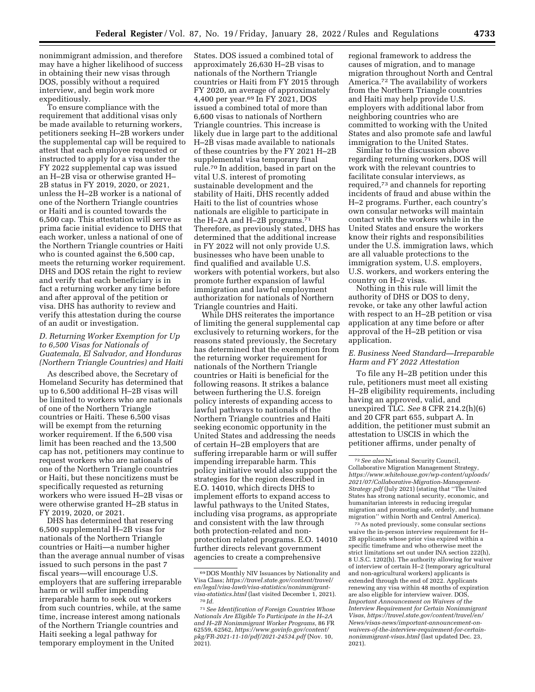nonimmigrant admission, and therefore may have a higher likelihood of success in obtaining their new visas through DOS, possibly without a required interview, and begin work more expeditiously.

To ensure compliance with the requirement that additional visas only be made available to returning workers, petitioners seeking H–2B workers under the supplemental cap will be required to attest that each employee requested or instructed to apply for a visa under the FY 2022 supplemental cap was issued an H–2B visa or otherwise granted H– 2B status in FY 2019, 2020, or 2021, unless the H–2B worker is a national of one of the Northern Triangle countries or Haiti and is counted towards the 6,500 cap. This attestation will serve as prima facie initial evidence to DHS that each worker, unless a national of one of the Northern Triangle countries or Haiti who is counted against the 6,500 cap, meets the returning worker requirement. DHS and DOS retain the right to review and verify that each beneficiary is in fact a returning worker any time before and after approval of the petition or visa. DHS has authority to review and verify this attestation during the course of an audit or investigation.

## *D. Returning Worker Exemption for Up to 6,500 Visas for Nationals of Guatemala, El Salvador, and Honduras (Northern Triangle Countries) and Haiti*

As described above, the Secretary of Homeland Security has determined that up to 6,500 additional H–2B visas will be limited to workers who are nationals of one of the Northern Triangle countries or Haiti. These 6,500 visas will be exempt from the returning worker requirement. If the 6,500 visa limit has been reached and the 13,500 cap has not, petitioners may continue to request workers who are nationals of one of the Northern Triangle countries or Haiti, but these noncitizens must be specifically requested as returning workers who were issued H–2B visas or were otherwise granted H–2B status in FY 2019, 2020, or 2021.

DHS has determined that reserving 6,500 supplemental H–2B visas for nationals of the Northern Triangle countries or Haiti—a number higher than the average annual number of visas issued to such persons in the past 7 fiscal years—will encourage U.S. employers that are suffering irreparable harm or will suffer impending irreparable harm to seek out workers from such countries, while, at the same time, increase interest among nationals of the Northern Triangle countries and Haiti seeking a legal pathway for temporary employment in the United

States. DOS issued a combined total of approximately 26,630 H–2B visas to nationals of the Northern Triangle countries or Haiti from FY 2015 through FY 2020, an average of approximately 4,400 per year.69 In FY 2021, DOS issued a combined total of more than 6,600 visas to nationals of Northern Triangle countries. This increase is likely due in large part to the additional H–2B visas made available to nationals of these countries by the FY 2021 H–2B supplemental visa temporary final rule.70 In addition, based in part on the vital U.S. interest of promoting sustainable development and the stability of Haiti, DHS recently added Haiti to the list of countries whose nationals are eligible to participate in the H-2A and H-2B programs.<sup>71</sup> Therefore, as previously stated, DHS has determined that the additional increase in FY 2022 will not only provide U.S. businesses who have been unable to find qualified and available U.S. workers with potential workers, but also promote further expansion of lawful immigration and lawful employment authorization for nationals of Northern Triangle countries and Haiti.

While DHS reiterates the importance of limiting the general supplemental cap exclusively to returning workers, for the reasons stated previously, the Secretary has determined that the exemption from the returning worker requirement for nationals of the Northern Triangle countries or Haiti is beneficial for the following reasons. It strikes a balance between furthering the U.S. foreign policy interests of expanding access to lawful pathways to nationals of the Northern Triangle countries and Haiti seeking economic opportunity in the United States and addressing the needs of certain H–2B employers that are suffering irreparable harm or will suffer impending irreparable harm. This policy initiative would also support the strategies for the region described in E.O. 14010, which directs DHS to implement efforts to expand access to lawful pathways to the United States, including visa programs, as appropriate and consistent with the law through both protection-related and nonprotection related programs. E.O. 14010 further directs relevant government agencies to create a comprehensive

regional framework to address the causes of migration, and to manage migration throughout North and Central America.72 The availability of workers from the Northern Triangle countries and Haiti may help provide U.S. employers with additional labor from neighboring countries who are committed to working with the United States and also promote safe and lawful immigration to the United States.

Similar to the discussion above regarding returning workers, DOS will work with the relevant countries to facilitate consular interviews, as required,73 and channels for reporting incidents of fraud and abuse within the H–2 programs. Further, each country's own consular networks will maintain contact with the workers while in the United States and ensure the workers know their rights and responsibilities under the U.S. immigration laws, which are all valuable protections to the immigration system, U.S. employers, U.S. workers, and workers entering the country on H–2 visas.

Nothing in this rule will limit the authority of DHS or DOS to deny, revoke, or take any other lawful action with respect to an H–2B petition or visa application at any time before or after approval of the H–2B petition or visa application.

## *E. Business Need Standard—Irreparable Harm and FY 2022 Attestation*

To file any H–2B petition under this rule, petitioners must meet all existing H–2B eligibility requirements, including having an approved, valid, and unexpired TLC. *See* 8 CFR 214.2(h)(6) and 20 CFR part 655, subpart A. In addition, the petitioner must submit an attestation to USCIS in which the petitioner affirms, under penalty of

73As noted previously, some consular sections waive the in-person interview requirement for H– 2B applicants whose prior visa expired within a specific timeframe and who otherwise meet the strict limitations set out under INA section 222(h), 8 U.S.C. 1202(h). The authority allowing for waiver of interview of certain H–2 (temporary agricultural and non-agricultural workers) applicants is extended through the end of 2022. Applicants renewing any visa within 48 months of expiration are also eligible for interview waiver. DOS, *Important Announcement on Waivers of the Interview Requirement for Certain Nonimmigrant Visas, [https://travel.state.gov/content/travel/en/](https://travel.state.gov/content/travel/en/News/visas-news/important-announcement-on-waivers-of-the-interview-requirement-for-certain-nonimmigrant-visas.html)  [News/visas-news/important-announcement-on](https://travel.state.gov/content/travel/en/News/visas-news/important-announcement-on-waivers-of-the-interview-requirement-for-certain-nonimmigrant-visas.html)[waivers-of-the-interview-requirement-for-certain](https://travel.state.gov/content/travel/en/News/visas-news/important-announcement-on-waivers-of-the-interview-requirement-for-certain-nonimmigrant-visas.html)[nonimmigrant-visas.html](https://travel.state.gov/content/travel/en/News/visas-news/important-announcement-on-waivers-of-the-interview-requirement-for-certain-nonimmigrant-visas.html)* (last updated Dec. 23, 2021).

<sup>69</sup> DOS Monthly NIV Issuances by Nationality and Visa Class; *[https://travel.state.gov/content/travel/](https://travel.state.gov/content/travel/en/legal/visa-law0/visa-statistics/nonimmigrant-visa-statistics.html) [en/legal/visa-law0/visa-statistics/nonimmigrant](https://travel.state.gov/content/travel/en/legal/visa-law0/visa-statistics/nonimmigrant-visa-statistics.html)[visa-statistics.html](https://travel.state.gov/content/travel/en/legal/visa-law0/visa-statistics/nonimmigrant-visa-statistics.html)* (last visited December 1, 2021).<br><sup>70</sup> *Id.* 

<sup>71</sup>*See Identification of Foreign Countries Whose Nationals Are Eligible To Participate in the H–2A and H–2B Nonimmigrant Worker Programs,* 86 FR 62559, 62562, *[https://www.govinfo.gov/content/](https://www.govinfo.gov/content/pkg/FR-2021-11-10/pdf/2021-24534.pdf)  [pkg/FR-2021-11-10/pdf/2021-24534.pdf](https://www.govinfo.gov/content/pkg/FR-2021-11-10/pdf/2021-24534.pdf)* (Nov. 10,  $2021$ ).

<sup>72</sup>*See also* National Security Council, Collaborative Migration Management Strategy, *[https://www.whitehouse.gov/wp-content/uploads/](https://www.whitehouse.gov/wp-content/uploads/2021/07/Collaborative-Migration-Management-Strategy.pdf) [2021/07/Collaborative-Migration-Management-](https://www.whitehouse.gov/wp-content/uploads/2021/07/Collaborative-Migration-Management-Strategy.pdf)[Strategy.pdf](https://www.whitehouse.gov/wp-content/uploads/2021/07/Collaborative-Migration-Management-Strategy.pdf)* (July 2021) (stating that ''The United States has strong national security, economic, and humanitarian interests in reducing irregular migration and promoting safe, orderly, and humane migration'' within North and Central America).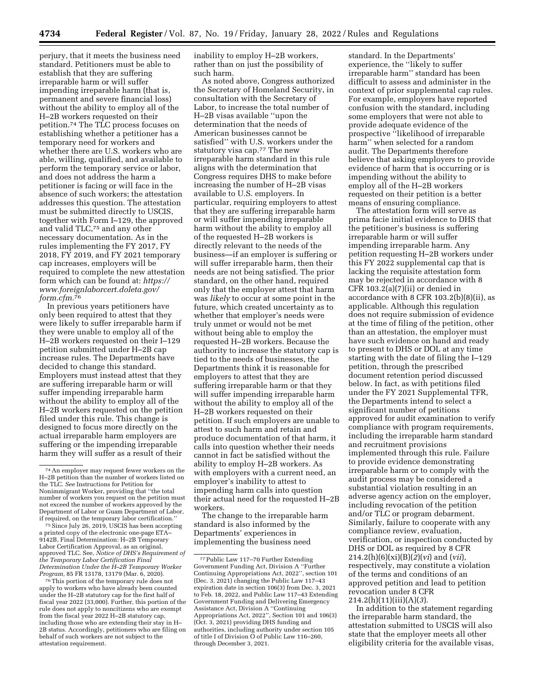perjury, that it meets the business need standard. Petitioners must be able to establish that they are suffering irreparable harm or will suffer impending irreparable harm (that is, permanent and severe financial loss) without the ability to employ all of the H–2B workers requested on their petition.74 The TLC process focuses on establishing whether a petitioner has a temporary need for workers and whether there are U.S. workers who are able, willing, qualified, and available to perform the temporary service or labor, and does not address the harm a petitioner is facing or will face in the absence of such workers; the attestation addresses this question. The attestation must be submitted directly to USCIS, together with Form I–129, the approved and valid TLC,75 and any other necessary documentation. As in the rules implementing the FY 2017, FY 2018, FY 2019, and FY 2021 temporary cap increases, employers will be required to complete the new attestation form which can be found at: *[https://](https://www.foreignlaborcert.doleta.gov/form.cfm) [www.foreignlaborcert.doleta.gov/](https://www.foreignlaborcert.doleta.gov/form.cfm) [form.cfm.](https://www.foreignlaborcert.doleta.gov/form.cfm)*76

In previous years petitioners have only been required to attest that they were likely to suffer irreparable harm if they were unable to employ all of the H–2B workers requested on their I–129 petition submitted under H–2B cap increase rules. The Departments have decided to change this standard. Employers must instead attest that they are suffering irreparable harm or will suffer impending irreparable harm without the ability to employ all of the H–2B workers requested on the petition filed under this rule. This change is designed to focus more directly on the actual irreparable harm employers are suffering or the impending irreparable harm they will suffer as a result of their

<sup>75</sup> Since July 26, 2019, USCIS has been accepting a printed copy of the electronic one-page ETA– 9142B, Final Determination: H–2B Temporary Labor Certification Approval, as an original, approved TLC. See, *Notice of DHS's Requirement of the Temporary Labor Certification Final Determination Under the H–2B Temporary Worker* 

<sup>76</sup> This portion of the temporary rule does not apply to workers who have already been counted under the H–2B statutory cap for the first half of fiscal year 2022 (33,000). Further, this portion of the rule does not apply to noncitizens who are exempt from the fiscal year 2022 H–2B statutory cap, including those who are extending their stay in H– 2B status. Accordingly, petitioners who are filing on behalf of such workers are not subject to the attestation requirement.

inability to employ H–2B workers, rather than on just the possibility of such harm.

As noted above, Congress authorized the Secretary of Homeland Security, in consultation with the Secretary of Labor, to increase the total number of H–2B visas available ''upon the determination that the needs of American businesses cannot be satisfied'' with U.S. workers under the statutory visa cap.77 The new irreparable harm standard in this rule aligns with the determination that Congress requires DHS to make before increasing the number of H–2B visas available to U.S. employers. In particular, requiring employers to attest that they are suffering irreparable harm or will suffer impending irreparable harm without the ability to employ all of the requested H–2B workers is directly relevant to the needs of the business—if an employer is suffering or will suffer irreparable harm, then their needs are not being satisfied. The prior standard, on the other hand, required only that the employer attest that harm was *likely* to occur at some point in the future, which created uncertainty as to whether that employer's needs were truly unmet or would not be met without being able to employ the requested H–2B workers. Because the authority to increase the statutory cap is tied to the needs of businesses, the Departments think it is reasonable for employers to attest that they are suffering irreparable harm or that they will suffer impending irreparable harm without the ability to employ all of the H–2B workers requested on their petition. If such employers are unable to attest to such harm and retain and produce documentation of that harm, it calls into question whether their needs cannot in fact be satisfied without the ability to employ H–2B workers. As with employers with a current need, an employer's inability to attest to impending harm calls into question their actual need for the requested H–2B workers.

The change to the irreparable harm standard is also informed by the Departments' experiences in implementing the business need

standard. In the Departments' experience, the ''likely to suffer irreparable harm'' standard has been difficult to assess and administer in the context of prior supplemental cap rules. For example, employers have reported confusion with the standard, including some employers that were not able to provide adequate evidence of the prospective ''likelihood of irreparable harm'' when selected for a random audit. The Departments therefore believe that asking employers to provide evidence of harm that is occurring or is impending without the ability to employ all of the H–2B workers requested on their petition is a better means of ensuring compliance.

The attestation form will serve as prima facie initial evidence to DHS that the petitioner's business is suffering irreparable harm or will suffer impending irreparable harm. Any petition requesting H–2B workers under this FY 2022 supplemental cap that is lacking the requisite attestation form may be rejected in accordance with 8 CFR 103.2(a)(7)(ii) or denied in accordance with 8 CFR 103.2(b)(8)(ii), as applicable. Although this regulation does not require submission of evidence at the time of filing of the petition, other than an attestation, the employer must have such evidence on hand and ready to present to DHS or DOL at any time starting with the date of filing the I–129 petition, through the prescribed document retention period discussed below. In fact, as with petitions filed under the FY 2021 Supplemental TFR, the Departments intend to select a significant number of petitions approved for audit examination to verify compliance with program requirements, including the irreparable harm standard and recruitment provisions implemented through this rule. Failure to provide evidence demonstrating irreparable harm or to comply with the audit process may be considered a substantial violation resulting in an adverse agency action on the employer, including revocation of the petition and/or TLC or program debarment. Similarly, failure to cooperate with any compliance review, evaluation, verification, or inspection conducted by DHS or DOL as required by 8 CFR 214.2(h)(6)(xi)(B)(*2*)(*vi*) and (*vii*), respectively, may constitute a violation of the terms and conditions of an approved petition and lead to petition revocation under 8 CFR 214.2(h)(11)(iii)(A)(*3*).

In addition to the statement regarding the irreparable harm standard, the attestation submitted to USCIS will also state that the employer meets all other eligibility criteria for the available visas,

<sup>74</sup>An employer may request fewer workers on the H–2B petition than the number of workers listed on the TLC. *See* Instructions for Petition for Nonimmigrant Worker, providing that ''the total number of workers you request on the petition must not exceed the number of workers approved by the Department of Labor or Guam Department of Labor,

<sup>77</sup>Public Law 117–70 Further Extending Government Funding Act, Division A ''Further Continuing Appropriations Act, 2022'', section 101 (Dec. 3, 2021) changing the Public Law 117–43 expiration date in section 106(3) from Dec. 3, 2021 to Feb. 18, 2022, and Public Law 117–43 Extending Government Funding and Delivering Emergency Assistance Act, Division A ''Continuing Appropriations Act, 2022'', Section 101 and 106(3) (Oct. 3, 2021) providing DHS funding and authorities, including authority under section 105 of title I of Division O of Public Law 116–260, through December 3, 2021.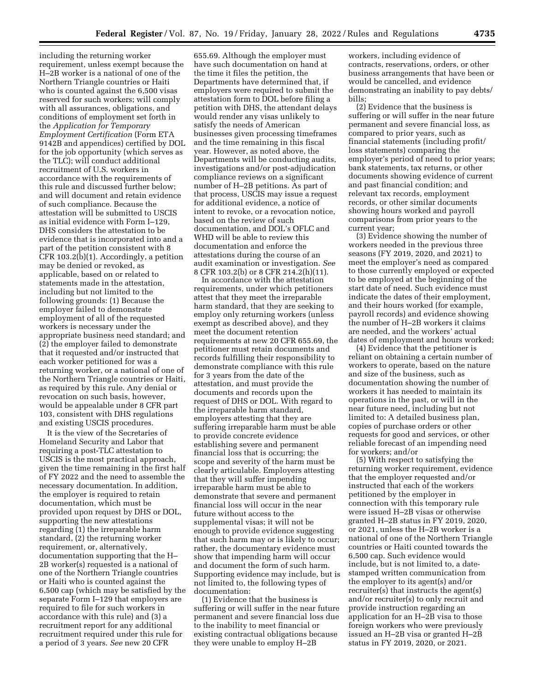including the returning worker requirement, unless exempt because the H–2B worker is a national of one of the Northern Triangle countries or Haiti who is counted against the 6,500 visas reserved for such workers; will comply with all assurances, obligations, and conditions of employment set forth in the *Application for Temporary Employment Certification* (Form ETA 9142B and appendices) certified by DOL for the job opportunity (which serves as the TLC); will conduct additional recruitment of U.S. workers in accordance with the requirements of this rule and discussed further below; and will document and retain evidence of such compliance. Because the attestation will be submitted to USCIS as initial evidence with Form I–129, DHS considers the attestation to be evidence that is incorporated into and a part of the petition consistent with 8 CFR 103.2(b)(1). Accordingly, a petition may be denied or revoked, as applicable, based on or related to statements made in the attestation, including but not limited to the following grounds: (1) Because the employer failed to demonstrate employment of all of the requested workers is necessary under the appropriate business need standard; and (2) the employer failed to demonstrate that it requested and/or instructed that each worker petitioned for was a returning worker, or a national of one of the Northern Triangle countries or Haiti, as required by this rule. Any denial or revocation on such basis, however, would be appealable under 8 CFR part 103, consistent with DHS regulations and existing USCIS procedures.

It is the view of the Secretaries of Homeland Security and Labor that requiring a post-TLC attestation to USCIS is the most practical approach, given the time remaining in the first half of FY 2022 and the need to assemble the necessary documentation. In addition, the employer is required to retain documentation, which must be provided upon request by DHS or DOL, supporting the new attestations regarding (1) the irreparable harm standard, (2) the returning worker requirement, or, alternatively, documentation supporting that the H– 2B worker(s) requested is a national of one of the Northern Triangle countries or Haiti who is counted against the 6,500 cap (which may be satisfied by the separate Form I–129 that employers are required to file for such workers in accordance with this rule) and (3) a recruitment report for any additional recruitment required under this rule for a period of 3 years. *See* new 20 CFR

655.69. Although the employer must have such documentation on hand at the time it files the petition, the Departments have determined that, if employers were required to submit the attestation form to DOL before filing a petition with DHS, the attendant delays would render any visas unlikely to satisfy the needs of American businesses given processing timeframes and the time remaining in this fiscal year. However, as noted above, the Departments will be conducting audits, investigations and/or post-adjudication compliance reviews on a significant number of H–2B petitions. As part of that process, USCIS may issue a request for additional evidence, a notice of intent to revoke, or a revocation notice, based on the review of such documentation, and DOL's OFLC and WHD will be able to review this documentation and enforce the attestations during the course of an audit examination or investigation. *See*  8 CFR 103.2(b) or 8 CFR 214.2(h)(11).

In accordance with the attestation requirements, under which petitioners attest that they meet the irreparable harm standard, that they are seeking to employ only returning workers (unless exempt as described above), and they meet the document retention requirements at new 20 CFR 655.69, the petitioner must retain documents and records fulfilling their responsibility to demonstrate compliance with this rule for 3 years from the date of the attestation, and must provide the documents and records upon the request of DHS or DOL. With regard to the irreparable harm standard, employers attesting that they are suffering irreparable harm must be able to provide concrete evidence establishing severe and permanent financial loss that is occurring; the scope and severity of the harm must be clearly articulable. Employers attesting that they will suffer impending irreparable harm must be able to demonstrate that severe and permanent financial loss will occur in the near future without access to the supplemental visas; it will not be enough to provide evidence suggesting that such harm may or is likely to occur; rather, the documentary evidence must show that impending harm will occur and document the form of such harm. Supporting evidence may include, but is not limited to, the following types of documentation:

(1) Evidence that the business is suffering or will suffer in the near future permanent and severe financial loss due to the inability to meet financial or existing contractual obligations because they were unable to employ H–2B

workers, including evidence of contracts, reservations, orders, or other business arrangements that have been or would be cancelled, and evidence demonstrating an inability to pay debts/ bills;

(2) Evidence that the business is suffering or will suffer in the near future permanent and severe financial loss, as compared to prior years, such as financial statements (including profit/ loss statements) comparing the employer's period of need to prior years; bank statements, tax returns, or other documents showing evidence of current and past financial condition; and relevant tax records, employment records, or other similar documents showing hours worked and payroll comparisons from prior years to the current year;

(3) Evidence showing the number of workers needed in the previous three seasons (FY 2019, 2020, and 2021) to meet the employer's need as compared to those currently employed or expected to be employed at the beginning of the start date of need. Such evidence must indicate the dates of their employment, and their hours worked (for example, payroll records) and evidence showing the number of H–2B workers it claims are needed, and the workers' actual dates of employment and hours worked;

(4) Evidence that the petitioner is reliant on obtaining a certain number of workers to operate, based on the nature and size of the business, such as documentation showing the number of workers it has needed to maintain its operations in the past, or will in the near future need, including but not limited to: A detailed business plan, copies of purchase orders or other requests for good and services, or other reliable forecast of an impending need for workers; and/or

(5) With respect to satisfying the returning worker requirement, evidence that the employer requested and/or instructed that each of the workers petitioned by the employer in connection with this temporary rule were issued H–2B visas or otherwise granted H–2B status in FY 2019, 2020, or 2021, unless the H–2B worker is a national of one of the Northern Triangle countries or Haiti counted towards the 6,500 cap. Such evidence would include, but is not limited to, a datestamped written communication from the employer to its agent(s) and/or recruiter(s) that instructs the agent(s) and/or recruiter(s) to only recruit and provide instruction regarding an application for an H–2B visa to those foreign workers who were previously issued an H–2B visa or granted H–2B status in FY 2019, 2020, or 2021.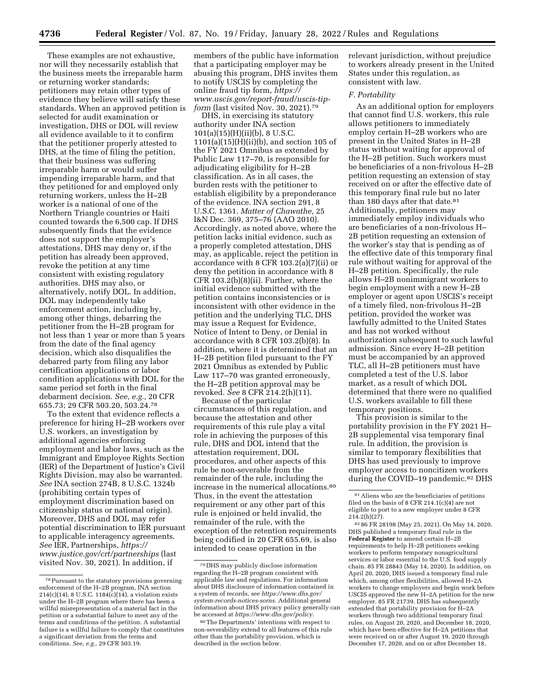These examples are not exhaustive, nor will they necessarily establish that the business meets the irreparable harm or returning worker standards; petitioners may retain other types of evidence they believe will satisfy these standards. When an approved petition is selected for audit examination or investigation, DHS or DOL will review all evidence available to it to confirm that the petitioner properly attested to DHS, at the time of filing the petition, that their business was suffering irreparable harm or would suffer impending irreparable harm, and that they petitioned for and employed only returning workers, unless the H–2B worker is a national of one of the Northern Triangle countries or Haiti counted towards the 6,500 cap. If DHS subsequently finds that the evidence does not support the employer's attestations, DHS may deny or, if the petition has already been approved, revoke the petition at any time consistent with existing regulatory authorities. DHS may also, or alternatively, notify DOL. In addition, DOL may independently take enforcement action, including by, among other things, debarring the petitioner from the H–2B program for not less than 1 year or more than 5 years from the date of the final agency decision, which also disqualifies the debarred party from filing any labor certification applications or labor condition applications with DOL for the same period set forth in the final debarment decision. *See, e.g.,* 20 CFR 655.73; 29 CFR 503.20, 503.24.78

To the extent that evidence reflects a preference for hiring H–2B workers over U.S. workers, an investigation by additional agencies enforcing employment and labor laws, such as the Immigrant and Employee Rights Section (IER) of the Department of Justice's Civil Rights Division, may also be warranted. *See* INA section 274B, 8 U.S.C. 1324b (prohibiting certain types of employment discrimination based on citizenship status or national origin). Moreover, DHS and DOL may refer potential discrimination to IER pursuant to applicable interagency agreements. *See* IER, Partnerships, *[https://](https://www.justice.gov/crt/partnerships) [www.justice.gov/crt/partnerships](https://www.justice.gov/crt/partnerships)* (last visited Nov. 30, 2021). In addition, if

members of the public have information that a participating employer may be abusing this program, DHS invites them to notify USCIS by completing the online fraud tip form, *[https://](https://www.uscis.gov/report-fraud/uscis-tip-form) [www.uscis.gov/report-fraud/uscis-tip](https://www.uscis.gov/report-fraud/uscis-tip-form)form* (last visited Nov. 30, 2021).<sup>79</sup>

DHS, in exercising its statutory authority under INA section 101(a)(15)(H)(ii)(b), 8 U.S.C. 1101(a)(15)(H)(ii)(b), and section 105 of the FY 2021 Omnibus as extended by Public Law 117–70, is responsible for adjudicating eligibility for H–2B classification. As in all cases, the burden rests with the petitioner to establish eligibility by a preponderance of the evidence. INA section 291, 8 U.S.C. 1361. *Matter of Chawathe,* 25 I&N Dec. 369, 375–76 (AAO 2010). Accordingly, as noted above, where the petition lacks initial evidence, such as a properly completed attestation, DHS may, as applicable, reject the petition in accordance with 8 CFR 103.2(a)(7)(ii) or deny the petition in accordance with 8 CFR 103.2(b)(8)(ii). Further, where the initial evidence submitted with the petition contains inconsistencies or is inconsistent with other evidence in the petition and the underlying TLC, DHS may issue a Request for Evidence, Notice of Intent to Deny, or Denial in accordance with 8 CFR 103.2(b)(8). In addition, where it is determined that an H–2B petition filed pursuant to the FY 2021 Omnibus as extended by Public Law 117–70 was granted erroneously, the H–2B petition approval may be revoked. *See* 8 CFR 214.2(h)(11).

Because of the particular circumstances of this regulation, and because the attestation and other requirements of this rule play a vital role in achieving the purposes of this rule, DHS and DOL intend that the attestation requirement, DOL procedures, and other aspects of this rule be non-severable from the remainder of the rule, including the increase in the numerical allocations.80 Thus, in the event the attestation requirement or any other part of this rule is enjoined or held invalid, the remainder of the rule, with the exception of the retention requirements being codified in 20 CFR 655.69, is also intended to cease operation in the

relevant jurisdiction, without prejudice to workers already present in the United States under this regulation, as consistent with law.

### *F. Portability*

As an additional option for employers that cannot find U.S. workers, this rule allows petitioners to immediately employ certain H–2B workers who are present in the United States in H–2B status without waiting for approval of the H–2B petition. Such workers must be beneficiaries of a non-frivolous H–2B petition requesting an extension of stay received on or after the effective date of this temporary final rule but no later than 180 days after that date.<sup>81</sup> Additionally, petitioners may immediately employ individuals who are beneficiaries of a non-frivolous H– 2B petition requesting an extension of the worker's stay that is pending as of the effective date of this temporary final rule without waiting for approval of the H–2B petition. Specifically, the rule allows H–2B nonimmigrant workers to begin employment with a new H–2B employer or agent upon USCIS's receipt of a timely filed, non-frivolous H–2B petition, provided the worker was lawfully admitted to the United States and has not worked without authorization subsequent to such lawful admission. Since every H–2B petition must be accompanied by an approved TLC, all H–2B petitioners must have completed a test of the U.S. labor market, as a result of which DOL determined that there were no qualified U.S. workers available to fill these temporary positions.

This provision is similar to the portability provision in the FY 2021 H– 2B supplemental visa temporary final rule. In addition, the provision is similar to temporary flexibilities that DHS has used previously to improve employer access to noncitizen workers during the COVID-19 pandemic.<sup>82</sup> DHS

<sup>78</sup>Pursuant to the statutory provisions governing enforcement of the H–2B program, INA section  $214(c)(14)$ , 8 U.S.C.  $1184(c)(14)$ , a violation exists under the H–2B program where there has been a willful misrepresentation of a material fact in the petition or a substantial failure to meet any of the terms and conditions of the petition. A substantial failure is a willful failure to comply that constitutes a significant deviation from the terms and conditions. *See, e.g.,* 29 CFR 503.19.

<sup>79</sup> DHS may publicly disclose information regarding the H–2B program consistent with applicable law and regulations. For information about DHS disclosure of information contained in a system of records, *see [https://www.dhs.gov/](https://www.dhs.gov/system-records-notices-sorns) [system-records-notices-sorns.](https://www.dhs.gov/system-records-notices-sorns)* Additional general information about DHS privacy policy generally can be accessed at *[https://www.dhs.gov/policy.](https://www.dhs.gov/policy)* 

<sup>80</sup>The Departments' intentions with respect to non-severability extend to all features of this rule other than the portability provision, which is described in the section below.

<sup>81</sup>Aliens who are the beneficiaries of petitions filed on the basis of 8 CFR 214.1(c)(4) are not eligible to port to a new employer under 8 CFR  $214.2(h)(27)$ .

<sup>82</sup> 86 FR 28198 (May 25, 2021). On May 14, 2020, DHS published a temporary final rule in the **Federal Register** to amend certain H–2B requirements to help H–2B petitioners seeking workers to perform temporary nonagricultural services or labor essential to the U.S. food supply chain. 85 FR 28843 (May 14, 2020). In addition, on April 20, 2020, DHS issued a temporary final rule which, among other flexibilities, allowed H–2A workers to change employers and begin work before USCIS approved the new H–2A petition for the new employer. 85 FR 21739. DHS has subsequently extended that portability provision for H–2A workers through two additional temporary final rules, on August 20, 2020, and December 18, 2020, which have been effective for H–2A petitions that were received on or after August 19, 2020 through December 17, 2020, and on or after December 18,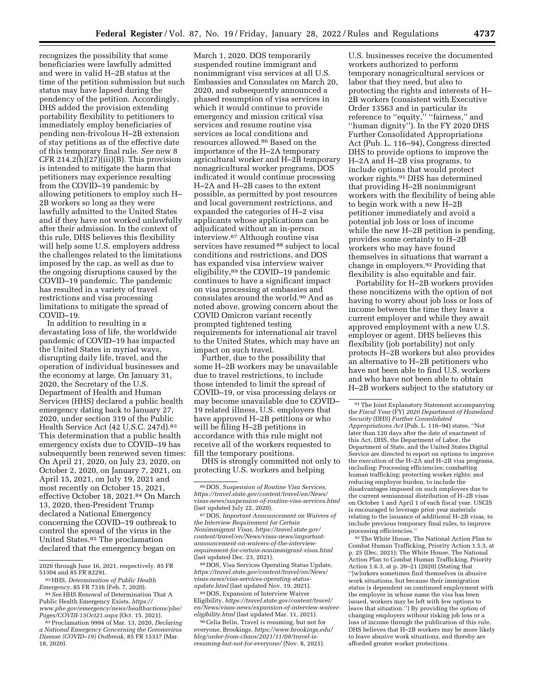recognizes the possibility that some beneficiaries were lawfully admitted and were in valid H–2B status at the time of the petition submission but such status may have lapsed during the pendency of the petition. Accordingly, DHS added the provision extending portability flexibility to petitioners to immediately employ beneficiaries of pending non-frivolous H–2B extension of stay petitions as of the effective date of this temporary final rule. *See* new 8 CFR 214.2(h) $(27)(iii)(B)$ . This provision is intended to mitigate the harm that petitioners may experience resulting from the COVID–19 pandemic by allowing petitioners to employ such H– 2B workers so long as they were lawfully admitted to the United States and if they have not worked unlawfully after their admission. In the context of this rule, DHS believes this flexibility will help some U.S. employers address the challenges related to the limitations imposed by the cap, as well as due to the ongoing disruptions caused by the COVID–19 pandemic. The pandemic has resulted in a variety of travel restrictions and visa processing limitations to mitigate the spread of COVID–19.

In addition to resulting in a devastating loss of life, the worldwide pandemic of COVID–19 has impacted the United States in myriad ways, disrupting daily life, travel, and the operation of individual businesses and the economy at large. On January 31, 2020, the Secretary of the U.S. Department of Health and Human Services (HHS) declared a public health emergency dating back to January 27, 2020, under section 319 of the Public Health Service Act (42 U.S.C. 247d).83 This determination that a public health emergency exists due to COVID–19 has subsequently been renewed seven times: On April 21, 2020, on July 23, 2020, on October 2, 2020, on January 7, 2021, on April 15, 2021, on July 19, 2021 and most recently on October 15, 2021, effective October 18, 2021.84 On March 13, 2020, then-President Trump declared a National Emergency concerning the COVID–19 outbreak to control the spread of the virus in the United States.85 The proclamation declared that the emergency began on

March 1, 2020. DOS temporarily suspended routine immigrant and nonimmigrant visa services at all U.S. Embassies and Consulates on March 20, 2020, and subsequently announced a phased resumption of visa services in which it would continue to provide emergency and mission critical visa services and resume routine visa services as local conditions and resources allowed.86 Based on the importance of the H–2A temporary agricultural worker and H–2B temporary nonagricultural worker programs, DOS indicated it would continue processing H–2A and H–2B cases to the extent possible, as permitted by post resources and local government restrictions, and expanded the categories of H–2 visa applicants whose applications can be adjudicated without an in-person interview.87 Although routine visa services have resumed <sup>88</sup> subject to local conditions and restrictions, and DOS has expanded visa interview waiver eligibility,89 the COVID–19 pandemic continues to have a significant impact on visa processing at embassies and consulates around the world.90 And as noted above, growing concern about the COVID Omicron variant recently prompted tightened testing requirements for international air travel to the United States, which may have an impact on such travel.

Further, due to the possibility that some H–2B workers may be unavailable due to travel restrictions, to include those intended to limit the spread of COVID–19, or visa processing delays or may become unavailable due to COVID– 19 related illness, U.S. employers that have approved H–2B petitions or who will be filing H–2B petitions in accordance with this rule might not receive all of the workers requested to fill the temporary positions.

DHS is strongly committed not only to protecting U.S. workers and helping

88 DOS, Visa Services Operating Status Update, *[https://travel.state.gov/content/travel/en/News/](https://travel.state.gov/content/travel/en/News/visas-news/visa-services-operating-status-update.html) [visas-news/visa-services-operating-status](https://travel.state.gov/content/travel/en/News/visas-news/visa-services-operating-status-update.html)*[update.html](https://travel.state.gov/content/travel/en/News/visas-news/visa-services-operating-status-update.html) (last updated Nov. 19, 2021).

89 DOS, Expansion of Interview Waiver Eligibility, *[https://travel.state.gov/content/travel/](https://travel.state.gov/content/travel/en/News/visas-news/expansion-of-interview-waiver-eligibility.html) [en/News/visas-news/expansion-of-interview-waiver](https://travel.state.gov/content/travel/en/News/visas-news/expansion-of-interview-waiver-eligibility.html)[eligibility.html](https://travel.state.gov/content/travel/en/News/visas-news/expansion-of-interview-waiver-eligibility.html)* (last updated Mar. 11, 2021).

90Celia Belin, Travel is resuming, but not for everyone, Brookings, *[https://www.brookings.edu/](https://www.brookings.edu/blog/order-from-chaos/2021/11/08/travel-is-resuming-but-not-for-everyone/)  [blog/order-from-chaos/2021/11/08/travel-is](https://www.brookings.edu/blog/order-from-chaos/2021/11/08/travel-is-resuming-but-not-for-everyone/)[resuming-but-not-for-everyone/](https://www.brookings.edu/blog/order-from-chaos/2021/11/08/travel-is-resuming-but-not-for-everyone/)* (Nov. 8, 2021).

U.S. businesses receive the documented workers authorized to perform temporary nonagricultural services or labor that they need, but also to protecting the rights and interests of H– 2B workers (consistent with Executive Order 13563 and in particular its reference to "equity," "fairness," and ''human dignity''). In the FY 2020 DHS Further Consolidated Appropriations Act (Pub. L. 116–94), Congress directed DHS to provide options to improve the H–2A and H–2B visa programs, to include options that would protect worker rights.91 DHS has determined that providing H–2B nonimmigrant workers with the flexibility of being able to begin work with a new H–2B petitioner immediately and avoid a potential job loss or loss of income while the new H–2B petition is pending, provides some certainty to H–2B workers who may have found themselves in situations that warrant a change in employers.92 Providing that flexibility is also equitable and fair.

Portability for H–2B workers provides these noncitizens with the option of not having to worry about job loss or loss of income between the time they leave a current employer and while they await approved employment with a new U.S. employer or agent. DHS believes this flexibility (job portability) not only protects H–2B workers but also provides an alternative to H–2B petitioners who have not been able to find U.S. workers and who have not been able to obtain H–2B workers subject to the statutory or

92The White House, The National Action Plan to Combat Human Trafficking, Priority Action 1.5.3, at p. 25 (Dec. 2021); The White House, The National Action Plan to Combat Human Trafficking, Priority Action 1.6.3, at p. 20–21 (2020) (Stating that ''[w]orkers sometimes find themselves in abusive work situations, but because their immigration status is dependent on continued employment with the employer in whose name the visa has been issued, workers may be left with few options to leave that situation.'') By providing the option of changing employers without risking job loss or a loss of income through the publication of this rule, DHS believes that H–2B workers may be more likely to leave abusive work situations, and thereby are afforded greater worker protections.

<sup>2020</sup> through June 16, 2021, respectively. 85 FR

 $^{83}\rm{HHS},$  Determination of Public Health Emergency, 85 FR 7316 (Feb. 7, 2020).

<sup>&</sup>lt;sup>84</sup> See HHS Renewal of Determination That A Public Health Emergency Exists, *[https://](https://www.phe.gov/emergency/news/healthactions/phe/Pages/COVDI-15Oct21.aspx) [www.phe.gov/emergency/news/healthactions/phe/](https://www.phe.gov/emergency/news/healthactions/phe/Pages/COVDI-15Oct21.aspx)* 

<sup>&</sup>lt;sup>85</sup> Proclamation 9994 of Mar. 13, 2020, *Declaring a National Emergency Concerning the Coronavirus Disease (COVID–19) Outbreak,* 85 FR 15337 (Mar. 18, 2020).

<sup>86</sup> DOS, *Suspension of Routine Visa Services, [https://travel.state.gov/content/travel/en/News/](https://travel.state.gov/content/travel/en/News/visas-news/suspension-of-routine-visa-services.html) [visas-news/suspension-of-routine-visa-services.html](https://travel.state.gov/content/travel/en/News/visas-news/suspension-of-routine-visa-services.html)*  (last updated July 22, 2020).

<sup>87</sup> DOS, *Important Announcement on Waivers of the Interview Requirement for Certain Nonimmigrant Visas, [https://travel.state.gov/](https://travel.state.gov/content/travel/en/News/visas-news/important-announcement-on-waivers-of-the-interview-requirement-for-certain-nonimmigrant-visas.html)  [content/travel/en/News/visas-news/important](https://travel.state.gov/content/travel/en/News/visas-news/important-announcement-on-waivers-of-the-interview-requirement-for-certain-nonimmigrant-visas.html)[announcement-on-waivers-of-the-interview](https://travel.state.gov/content/travel/en/News/visas-news/important-announcement-on-waivers-of-the-interview-requirement-for-certain-nonimmigrant-visas.html)[requirement-for-certain-nonimmigrant-visas.html](https://travel.state.gov/content/travel/en/News/visas-news/important-announcement-on-waivers-of-the-interview-requirement-for-certain-nonimmigrant-visas.html)*  (last updated Dec. 23, 2021).

<sup>91</sup>The Joint Explanatory Statement accompanying the *Fiscal Year* (FY) *2020 Department of Homeland Security* (DHS) *Further Consolidated Appropriations Act* (Pub. L. 116–94) states, ''Not later than 120 days after the date of enactment of this Act, DHS, the Department of Labor, the Department of State, and the United States Digital Service are directed to report on options to improve the execution of the H–2A and H–2B visa programs, including: Processing efficiencies; combatting human trafficking; protecting worker rights; and reducing employer burden, to include the disadvantages imposed on such employers due to the current semiannual distribution of H–2B visas on October 1 and April 1 of each fiscal year. USCIS is encouraged to leverage prior year materials relating to the issuance of additional H–2B visas, to include previous temporary final rules, to improve processing efficiencies.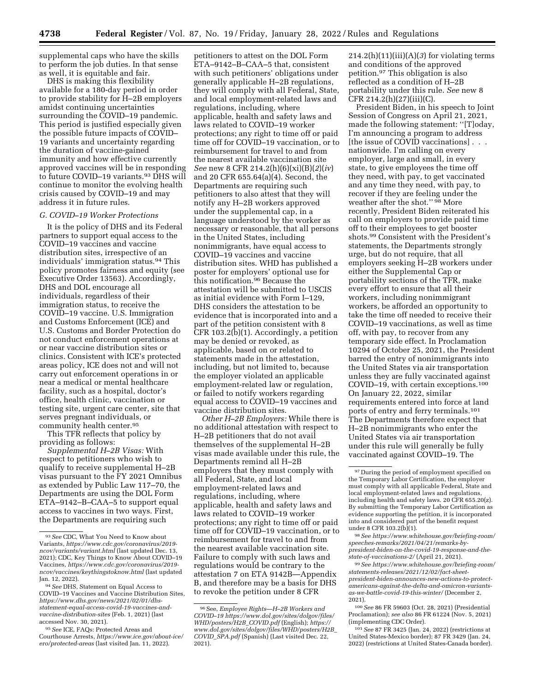supplemental caps who have the skills to perform the job duties. In that sense as well, it is equitable and fair.

DHS is making this flexibility available for a 180-day period in order to provide stability for H–2B employers amidst continuing uncertainties surrounding the COVID–19 pandemic. This period is justified especially given the possible future impacts of COVID– 19 variants and uncertainty regarding the duration of vaccine-gained immunity and how effective currently approved vaccines will be in responding to future COVID–19 variants.93 DHS will continue to monitor the evolving health crisis caused by COVID–19 and may address it in future rules.

### *G. COVID–19 Worker Protections*

It is the policy of DHS and its Federal partners to support equal access to the COVID–19 vaccines and vaccine distribution sites, irrespective of an individuals' immigration status.94 This policy promotes fairness and equity (see Executive Order 13563). Accordingly, DHS and DOL encourage all individuals, regardless of their immigration status, to receive the COVID–19 vaccine. U.S. Immigration and Customs Enforcement (ICE) and U.S. Customs and Border Protection do not conduct enforcement operations at or near vaccine distribution sites or clinics. Consistent with ICE's protected areas policy, ICE does not and will not carry out enforcement operations in or near a medical or mental healthcare facility, such as a hospital, doctor's office, health clinic, vaccination or testing site, urgent care center, site that serves pregnant individuals, or community health center.95

This TFR reflects that policy by providing as follows:

*Supplemental H–2B Visas:* With respect to petitioners who wish to qualify to receive supplemental H–2B visas pursuant to the FY 2021 Omnibus as extended by Public Law 117–70, the Departments are using the DOL Form ETA–9142–B–CAA–5 to support equal access to vaccines in two ways. First, the Departments are requiring such

petitioners to attest on the DOL Form ETA–9142–B–CAA–5 that, consistent with such petitioners' obligations under generally applicable H–2B regulations, they will comply with all Federal, State, and local employment-related laws and regulations, including, where applicable, health and safety laws and laws related to COVID–19 worker protections; any right to time off or paid time off for COVID–19 vaccination, or to reimbursement for travel to and from the nearest available vaccination site *See* new 8 CFR 214.2(h)(6)(xi)(B)(*2*)(*iv*) and 20 CFR 655.64(a)(4). Second, the Departments are requiring such petitioners to also attest that they will notify any H–2B workers approved under the supplemental cap, in a language understood by the worker as necessary or reasonable, that all persons in the United States, including nonimmigrants, have equal access to COVID–19 vaccines and vaccine distribution sites. WHD has published a poster for employers' optional use for this notification.96 Because the attestation will be submitted to USCIS as initial evidence with Form I–129, DHS considers the attestation to be evidence that is incorporated into and a part of the petition consistent with 8 CFR 103.2(b)(1). Accordingly, a petition may be denied or revoked, as applicable, based on or related to statements made in the attestation, including, but not limited to, because the employer violated an applicable employment-related law or regulation, or failed to notify workers regarding equal access to COVID–19 vaccines and vaccine distribution sites.

*Other H–2B Employers:* While there is no additional attestation with respect to H–2B petitioners that do not avail themselves of the supplemental H–2B visas made available under this rule, the Departments remind all H–2B employers that they must comply with all Federal, State, and local employment-related laws and regulations, including, where applicable, health and safety laws and laws related to COVID–19 worker protections; any right to time off or paid time off for COVID–19 vaccination, or to reimbursement for travel to and from the nearest available vaccination site. Failure to comply with such laws and regulations would be contrary to the attestation 7 on ETA 9142B—Appendix B, and therefore may be a basis for DHS to revoke the petition under 8 CFR

 $214.2(h)(11)(iii)(A)(3)$  for violating terms and conditions of the approved petition.97 This obligation is also reflected as a condition of H–2B portability under this rule. *See* new 8  $CFR 214.2(h)(27)(iii)(C).$ 

President Biden, in his speech to Joint Session of Congress on April 21, 2021, made the following statement: ''[T]oday, I'm announcing a program to address [the issue of COVID vaccinations] . . . nationwide. I'm calling on every employer, large and small, in every state, to give employees the time off they need, with pay, to get vaccinated and any time they need, with pay, to recover if they are feeling under the weather after the shot." 98 More recently, President Biden reiterated his call on employers to provide paid time off to their employees to get booster shots.99 Consistent with the President's statements, the Departments strongly urge, but do not require, that all employers seeking H–2B workers under either the Supplemental Cap or portability sections of the TFR, make every effort to ensure that all their workers, including nonimmigrant workers, be afforded an opportunity to take the time off needed to receive their COVID–19 vaccinations, as well as time off, with pay, to recover from any temporary side effect. In Proclamation 10294 of October 25, 2021, the President barred the entry of nonimmigrants into the United States via air transportation unless they are fully vaccinated against COVID–19, with certain exceptions.100 On January 22, 2022, similar requirements entered into force at land ports of entry and ferry terminals.101 The Departments therefore expect that H–2B nonimmigrants who enter the United States via air transportation under this rule will generally be fully vaccinated against COVID–19. The

101*See* 87 FR 3425 (Jan. 24, 2022) (restrictions at United States-Mexico border); 87 FR 3429 (Jan. 24, 2022) (restrictions at United States-Canada border).

<sup>93</sup>*See* CDC, What You Need to Know about Variants, *[https://www.cdc.gov/coronavirus/2019](https://www.cdc.gov/coronavirus/2019-ncov/variants/variant.html) [ncov/variants/variant.html](https://www.cdc.gov/coronavirus/2019-ncov/variants/variant.html)* (last updated Dec. 13, 2021); CDC, Key Things to Know About COVID–19 Vaccines, *[https://www.cdc.gov/coronavirus/2019](https://www.cdc.gov/coronavirus/2019-ncov/vaccines/keythingstoknow.html)  [ncov/vaccines/keythingstoknow.html](https://www.cdc.gov/coronavirus/2019-ncov/vaccines/keythingstoknow.html)* (last updated Jan. 12, 2022).

<sup>94</sup>*See* DHS, Statement on Equal Access to COVID–19 Vaccines and Vaccine Distribution Sites, *[https://www.dhs.gov/news/2021/02/01/dhs](https://www.dhs.gov/news/2021/02/01/dhs-statement-equal-access-covid-19-vaccines-and-vaccine-distribution-sites)[statement-equal-access-covid-19-vaccines-and](https://www.dhs.gov/news/2021/02/01/dhs-statement-equal-access-covid-19-vaccines-and-vaccine-distribution-sites)[vaccine-distribution-sites](https://www.dhs.gov/news/2021/02/01/dhs-statement-equal-access-covid-19-vaccines-and-vaccine-distribution-sites)* (Feb. 1, 2021) (last accessed Nov. 30, 2021).

<sup>95</sup>*See* ICE, FAQs: Protected Areas and Courthouse Arrests, *[https://www.ice.gov/about-ice/](https://www.ice.gov/about-ice/ero/protected-areas)  [ero/protected-areas](https://www.ice.gov/about-ice/ero/protected-areas)* (last visited Jan. 11, 2022).

<sup>96</sup>See, *Employee Rights—H–2B Workers and COVID–19 [https://www.dol.gov/sites/dolgov/files/](https://www.dol.gov/sites/dolgov/files/WHD/posters/H2B_COVID.pdf)  [WHD/posters/H2B](https://www.dol.gov/sites/dolgov/files/WHD/posters/H2B_COVID.pdf)*\_*COVID.pdf* (English); *[https://](https://www.dol.gov/sites/dolgov/files/WHD/posters/H2B_COVID_SPA.pdf) [www.dol.gov/sites/dolgov/files/WHD/posters/H2B](https://www.dol.gov/sites/dolgov/files/WHD/posters/H2B_COVID_SPA.pdf)*\_ *COVID*\_*[SPA.pdf](https://www.dol.gov/sites/dolgov/files/WHD/posters/H2B_COVID_SPA.pdf)* (Spanish) (Last visited Dec. 22, 2021).

<sup>97</sup> During the period of employment specified on the Temporary Labor Certification, the employer must comply with all applicable Federal, State and local employment-related laws and regulations, including health and safety laws. 20 CFR 655.20(z). By submitting the Temporary Labor Certification as evidence supporting the petition, it is incorporated into and considered part of the benefit request under 8 CFR 103.2(b)(1).

<sup>98</sup>*See [https://www.whitehouse.gov/briefing-room/](https://www.whitehouse.gov/briefing-room/speeches-remarks/2021/04/21/remarks-by-president-biden-on-the-covid-19-response-and-the-state-of-vaccinations-2/)  [speeches-remarks/2021/04/21/remarks-by](https://www.whitehouse.gov/briefing-room/speeches-remarks/2021/04/21/remarks-by-president-biden-on-the-covid-19-response-and-the-state-of-vaccinations-2/)[president-biden-on-the-covid-19-response-and-the](https://www.whitehouse.gov/briefing-room/speeches-remarks/2021/04/21/remarks-by-president-biden-on-the-covid-19-response-and-the-state-of-vaccinations-2/)[state-of-vaccinations-2/](https://www.whitehouse.gov/briefing-room/speeches-remarks/2021/04/21/remarks-by-president-biden-on-the-covid-19-response-and-the-state-of-vaccinations-2/)* (April 21, 2021).

<sup>99</sup>*See [https://www.whitehouse.gov/briefing-room/](https://www.whitehouse.gov/briefing-room/statements-releases/2021/12/02/fact-sheet--president-biden-announces-new-actions-to-protect-americans-against-the-delta-and-omicron-variants-as-we-battle-covid-19-this-winter/)  [statements-releases/2021/12/02/fact-sheet](https://www.whitehouse.gov/briefing-room/statements-releases/2021/12/02/fact-sheet--president-biden-announces-new-actions-to-protect-americans-against-the-delta-and-omicron-variants-as-we-battle-covid-19-this-winter/)[president-biden-announces-new-actions-to-protect](https://www.whitehouse.gov/briefing-room/statements-releases/2021/12/02/fact-sheet--president-biden-announces-new-actions-to-protect-americans-against-the-delta-and-omicron-variants-as-we-battle-covid-19-this-winter/)[americans-against-the-delta-and-omicron-variants](https://www.whitehouse.gov/briefing-room/statements-releases/2021/12/02/fact-sheet--president-biden-announces-new-actions-to-protect-americans-against-the-delta-and-omicron-variants-as-we-battle-covid-19-this-winter/)[as-we-battle-covid-19-this-winter/](https://www.whitehouse.gov/briefing-room/statements-releases/2021/12/02/fact-sheet--president-biden-announces-new-actions-to-protect-americans-against-the-delta-and-omicron-variants-as-we-battle-covid-19-this-winter/)* (December 2, 2021).

<sup>100</sup>*See* 86 FR 59603 (Oct. 28, 2021) (Presidential Proclamation); *see also* 86 FR 61224 (Nov. 5, 2021) (implementing CDC Order).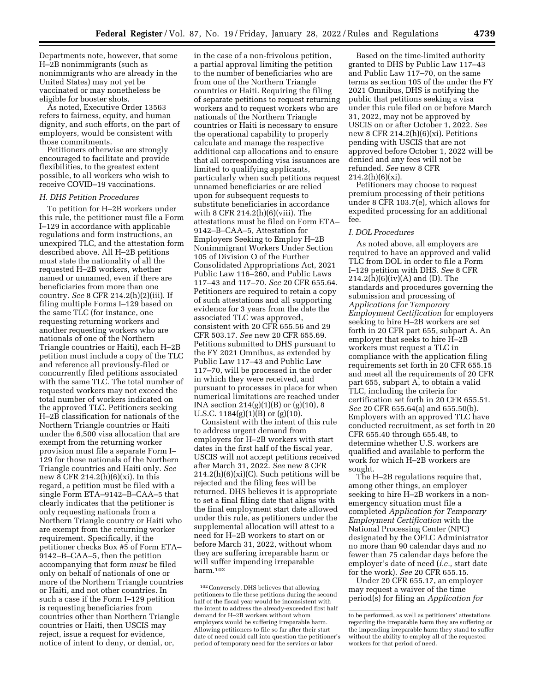Departments note, however, that some H–2B nonimmigrants (such as nonimmigrants who are already in the United States) may not yet be vaccinated or may nonetheless be eligible for booster shots.

As noted, Executive Order 13563 refers to fairness, equity, and human dignity, and such efforts, on the part of employers, would be consistent with those commitments.

Petitioners otherwise are strongly encouraged to facilitate and provide flexibilities, to the greatest extent possible, to all workers who wish to receive COVID–19 vaccinations.

### *H. DHS Petition Procedures*

To petition for H–2B workers under this rule, the petitioner must file a Form I–129 in accordance with applicable regulations and form instructions, an unexpired TLC, and the attestation form described above. All H–2B petitions must state the nationality of all the requested H–2B workers, whether named or unnamed, even if there are beneficiaries from more than one country. *See* 8 CFR 214.2(h)(2)(iii). If filing multiple Forms I–129 based on the same TLC (for instance, one requesting returning workers and another requesting workers who are nationals of one of the Northern Triangle countries or Haiti), each H–2B petition must include a copy of the TLC and reference all previously-filed or concurrently filed petitions associated with the same TLC. The total number of requested workers may not exceed the total number of workers indicated on the approved TLC. Petitioners seeking H–2B classification for nationals of the Northern Triangle countries or Haiti under the 6,500 visa allocation that are exempt from the returning worker provision must file a separate Form I– 129 for those nationals of the Northern Triangle countries and Haiti only. *See*  new 8 CFR 214.2(h)(6)(xi). In this regard, a petition must be filed with a single Form ETA–9142–B–CAA–5 that clearly indicates that the petitioner is only requesting nationals from a Northern Triangle country or Haiti who are exempt from the returning worker requirement. Specifically, if the petitioner checks Box #5 of Form ETA– 9142–B–CAA–5, then the petition accompanying that form *must* be filed only on behalf of nationals of one or more of the Northern Triangle countries or Haiti, and not other countries. In such a case if the Form I–129 petition is requesting beneficiaries from countries other than Northern Triangle countries or Haiti, then USCIS may reject, issue a request for evidence, notice of intent to deny, or denial, or,

in the case of a non-frivolous petition, a partial approval limiting the petition to the number of beneficiaries who are from one of the Northern Triangle countries or Haiti. Requiring the filing of separate petitions to request returning workers and to request workers who are nationals of the Northern Triangle countries or Haiti is necessary to ensure the operational capability to properly calculate and manage the respective additional cap allocations and to ensure that all corresponding visa issuances are limited to qualifying applicants, particularly when such petitions request unnamed beneficiaries or are relied upon for subsequent requests to substitute beneficiaries in accordance with 8 CFR 214.2(h)(6)(viii). The attestations must be filed on Form ETA– 9142–B–CAA–5, Attestation for Employers Seeking to Employ H–2B Nonimmigrant Workers Under Section 105 of Division O of the Further Consolidated Appropriations Act, 2021 Public Law 116–260, and Public Laws 117–43 and 117–70. *See* 20 CFR 655.64. Petitioners are required to retain a copy of such attestations and all supporting evidence for 3 years from the date the associated TLC was approved, consistent with 20 CFR 655.56 and 29 CFR 503.17. *See* new 20 CFR 655.69. Petitions submitted to DHS pursuant to the FY 2021 Omnibus, as extended by Public Law 117–43 and Public Law 117–70, will be processed in the order in which they were received, and pursuant to processes in place for when numerical limitations are reached under INA section  $214(g)(1)(B)$  or  $(g)(10), 8$ U.S.C.  $1184(g)(1)(B)$  or  $(g)(10)$ .

Consistent with the intent of this rule to address urgent demand from employers for H–2B workers with start dates in the first half of the fiscal year, USCIS will not accept petitions received after March 31, 2022. *See* new 8 CFR  $214.2(h)(6)(xi)(C)$ . Such petitions will be rejected and the filing fees will be returned. DHS believes it is appropriate to set a final filing date that aligns with the final employment start date allowed under this rule, as petitioners under the supplemental allocation will attest to a need for H–2B workers to start on or before March 31, 2022, without whom they are suffering irreparable harm or will suffer impending irreparable harm.102

Based on the time-limited authority granted to DHS by Public Law 117–43 and Public Law 117–70, on the same terms as section 105 of the under the FY 2021 Omnibus, DHS is notifying the public that petitions seeking a visa under this rule filed on or before March 31, 2022, may not be approved by USCIS on or after October 1, 2022. *See*  new 8 CFR 214.2 $(h)(6)(xi)$ . Petitions pending with USCIS that are not approved before October 1, 2022 will be denied and any fees will not be refunded. *See* new 8 CFR  $214.2(h)(6)(xi)$ .

Petitioners may choose to request premium processing of their petitions under 8 CFR 103.7(e), which allows for expedited processing for an additional fee.

## *I. DOL Procedures*

As noted above, all employers are required to have an approved and valid TLC from DOL in order to file a Form I–129 petition with DHS. *See* 8 CFR  $214.2(h)(6)(iv)(A)$  and (D). The standards and procedures governing the submission and processing of *Applications for Temporary Employment Certification* for employers seeking to hire H–2B workers are set forth in 20 CFR part 655, subpart A. An employer that seeks to hire H–2B workers must request a TLC in compliance with the application filing requirements set forth in 20 CFR 655.15 and meet all the requirements of 20 CFR part 655, subpart A, to obtain a valid TLC, including the criteria for certification set forth in 20 CFR 655.51. *See* 20 CFR 655.64(a) and 655.50(b). Employers with an approved TLC have conducted recruitment, as set forth in 20 CFR 655.40 through 655.48, to determine whether U.S. workers are qualified and available to perform the work for which H–2B workers are sought.

The H–2B regulations require that, among other things, an employer seeking to hire H–2B workers in a nonemergency situation must file a completed *Application for Temporary Employment Certification* with the National Processing Center (NPC) designated by the OFLC Administrator no more than 90 calendar days and no fewer than 75 calendar days before the employer's date of need (*i.e.,* start date for the work). *See* 20 CFR 655.15.

Under 20 CFR 655.17, an employer may request a waiver of the time period(s) for filing an *Application for* 

<sup>102</sup>Conversely, DHS believes that allowing petitioners to file these petitions during the second half of the fiscal year would be inconsistent with the intent to address the already-exceeded first half demand for H–2B workers without whom employers would be suffering irreparable harm. Allowing petitioners to file so far after their start date of need could call into question the petitioner's period of temporary need for the services or labor

to be performed, as well as petitioners' attestations regarding the irreparable harm they are suffering or the impending irreparable harm they stand to suffer without the ability to employ all of the requested workers for that period of need.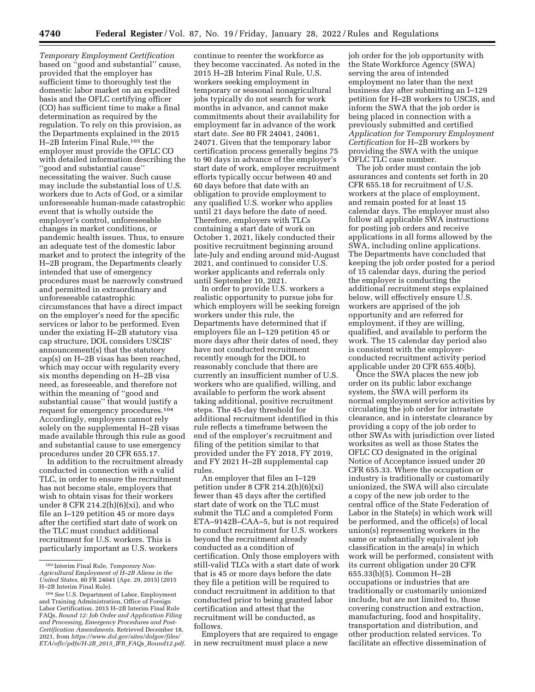*Temporary Employment Certification*  based on ''good and substantial'' cause, provided that the employer has sufficient time to thoroughly test the domestic labor market on an expedited basis and the OFLC certifying officer (CO) has sufficient time to make a final determination as required by the regulation. To rely on this provision, as the Departments explained in the 2015 H-2B Interim Final Rule,<sup>103</sup> the employer must provide the OFLC CO with detailed information describing the ''good and substantial cause'' necessitating the waiver. Such cause may include the substantial loss of U.S. workers due to Acts of God, or a similar unforeseeable human-made catastrophic event that is wholly outside the employer's control, unforeseeable changes in market conditions, or pandemic health issues. Thus, to ensure an adequate test of the domestic labor market and to protect the integrity of the H–2B program, the Departments clearly intended that use of emergency procedures must be narrowly construed and permitted in extraordinary and unforeseeable catastrophic circumstances that have a direct impact on the employer's need for the specific services or labor to be performed. Even under the existing H–2B statutory visa cap structure, DOL considers USCIS' announcement(s) that the statutory cap(s) on H–2B visas has been reached, which may occur with regularity every six months depending on H–2B visa need, as foreseeable, and therefore not within the meaning of ''good and substantial cause'' that would justify a request for emergency procedures.104 Accordingly, employers cannot rely solely on the supplemental H–2B visas made available through this rule as good and substantial cause to use emergency procedures under 20 CFR 655.17.

In addition to the recruitment already conducted in connection with a valid TLC, in order to ensure the recruitment has not become stale, employers that wish to obtain visas for their workers under 8 CFR 214.2 $(h)(6)(xi)$ , and who file an I–129 petition 45 or more days after the certified start date of work on the TLC must conduct additional recruitment for U.S. workers. This is particularly important as U.S. workers

continue to reenter the workforce as they become vaccinated. As noted in the 2015 H–2B Interim Final Rule, U.S. workers seeking employment in temporary or seasonal nonagricultural jobs typically do not search for work months in advance, and cannot make commitments about their availability for employment far in advance of the work start date. *See* 80 FR 24041, 24061, 24071. Given that the temporary labor certification process generally begins 75 to 90 days in advance of the employer's start date of work, employer recruitment efforts typically occur between 40 and 60 days before that date with an obligation to provide employment to any qualified U.S. worker who applies until 21 days before the date of need. Therefore, employers with TLCs containing a start date of work on October 1, 2021, likely conducted their positive recruitment beginning around late-July and ending around mid-August 2021, and continued to consider U.S. worker applicants and referrals only until September 10, 2021.

In order to provide U.S. workers a realistic opportunity to pursue jobs for which employers will be seeking foreign workers under this rule, the Departments have determined that if employers file an I–129 petition 45 or more days after their dates of need, they have not conducted recruitment recently enough for the DOL to reasonably conclude that there are currently an insufficient number of U.S. workers who are qualified, willing, and available to perform the work absent taking additional, positive recruitment steps. The 45-day threshold for additional recruitment identified in this rule reflects a timeframe between the end of the employer's recruitment and filing of the petition similar to that provided under the FY 2018, FY 2019, and FY 2021 H–2B supplemental cap rules.

An employer that files an I–129 petition under 8 CFR 214.2(h)(6)(xi) fewer than 45 days after the certified start date of work on the TLC must submit the TLC and a completed Form ETA–9142B–CAA–5, but is not required to conduct recruitment for U.S. workers beyond the recruitment already conducted as a condition of certification. Only those employers with still-valid TLCs with a start date of work that is 45 or more days before the date they file a petition will be required to conduct recruitment in addition to that conducted prior to being granted labor certification and attest that the recruitment will be conducted, as follows.

Employers that are required to engage in new recruitment must place a new

job order for the job opportunity with the State Workforce Agency (SWA) serving the area of intended employment no later than the next business day after submitting an I–129 petition for H–2B workers to USCIS, and inform the SWA that the job order is being placed in connection with a previously submitted and certified *Application for Temporary Employment Certification* for H–2B workers by providing the SWA with the unique OFLC TLC case number.

The job order must contain the job assurances and contents set forth in 20 CFR 655.18 for recruitment of U.S. workers at the place of employment, and remain posted for at least 15 calendar days. The employer must also follow all applicable SWA instructions for posting job orders and receive applications in all forms allowed by the SWA, including online applications. The Departments have concluded that keeping the job order posted for a period of 15 calendar days, during the period the employer is conducting the additional recruitment steps explained below, will effectively ensure U.S. workers are apprised of the job opportunity and are referred for employment, if they are willing, qualified, and available to perform the work. The 15 calendar day period also is consistent with the employerconducted recruitment activity period applicable under 20 CFR 655.40(b).

Once the SWA places the new job order on its public labor exchange system, the SWA will perform its normal employment service activities by circulating the job order for intrastate clearance, and in interstate clearance by providing a copy of the job order to other SWAs with jurisdiction over listed worksites as well as those States the OFLC CO designated in the original Notice of Acceptance issued under 20 CFR 655.33. Where the occupation or industry is traditionally or customarily unionized, the SWA will also circulate a copy of the new job order to the central office of the State Federation of Labor in the State(s) in which work will be performed, and the office(s) of local union(s) representing workers in the same or substantially equivalent job classification in the area(s) in which work will be performed, consistent with its current obligation under 20 CFR 655.33(b)(5). Common H–2B occupations or industries that are traditionally or customarily unionized include, but are not limited to, those covering construction and extraction, manufacturing, food and hospitality, transportation and distribution, and other production related services. To facilitate an effective dissemination of

<sup>103</sup> Interim Final Rule, *Temporary Non-Agricultural Employment of H–2B Aliens in the United States,* 80 FR 24041 (Apr. 29, 2015) (2015 H–2B Interim Final Rule).

<sup>104</sup>*See* U.S. Department of Labor, Employment and Training Administration, Office of Foreign Labor Certification, 2015 H–2B Interim Final Rule FAQs, *Round 12: Job Order and Application Filing and Processing, Emergency Procedures and Post-Certification Amendments.* Retrieved December 18, 2021, from *[https://www.dol.gov/sites/dolgov/files/](https://www.dol.gov/sites/dolgov/files/ETA/oflc/pdfs/H-2B_2015_IFR_FAQs_Round12.pdf)  [ETA/oflc/pdfs/H-2B](https://www.dol.gov/sites/dolgov/files/ETA/oflc/pdfs/H-2B_2015_IFR_FAQs_Round12.pdf)*\_*2015*\_*IFR*\_*FAQs*\_*Round12.pdf*.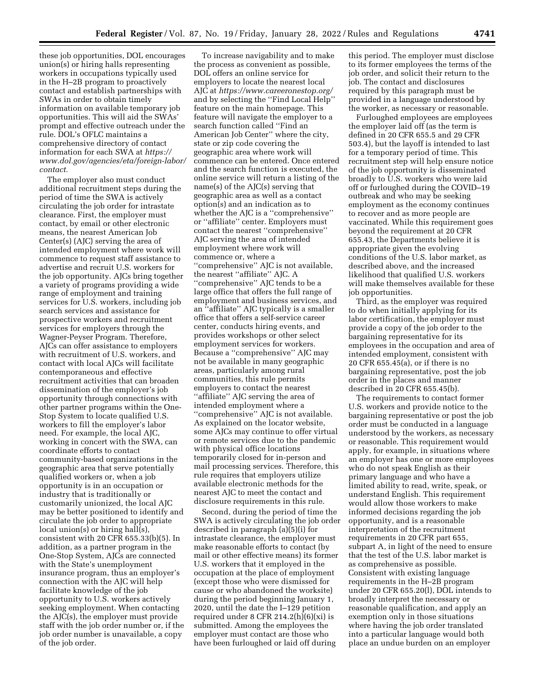these job opportunities, DOL encourages union(s) or hiring halls representing workers in occupations typically used in the H–2B program to proactively contact and establish partnerships with SWAs in order to obtain timely information on available temporary job opportunities. This will aid the SWAs' prompt and effective outreach under the rule. DOL's OFLC maintains a comprehensive directory of contact information for each SWA at *[https://](https://www.dol.gov/agencies/eta/foreign-labor/contact) [www.dol.gov/agencies/eta/foreign-labor/](https://www.dol.gov/agencies/eta/foreign-labor/contact) [contact.](https://www.dol.gov/agencies/eta/foreign-labor/contact)* 

The employer also must conduct additional recruitment steps during the period of time the SWA is actively circulating the job order for intrastate clearance. First, the employer must contact, by email or other electronic means, the nearest American Job Center(s) (AJC) serving the area of intended employment where work will commence to request staff assistance to advertise and recruit U.S. workers for the job opportunity. AJCs bring together a variety of programs providing a wide range of employment and training services for U.S. workers, including job search services and assistance for prospective workers and recruitment services for employers through the Wagner-Peyser Program. Therefore, AJCs can offer assistance to employers with recruitment of U.S. workers, and contact with local AJCs will facilitate contemporaneous and effective recruitment activities that can broaden dissemination of the employer's job opportunity through connections with other partner programs within the One-Stop System to locate qualified U.S. workers to fill the employer's labor need. For example, the local AJC, working in concert with the SWA, can coordinate efforts to contact community-based organizations in the geographic area that serve potentially qualified workers or, when a job opportunity is in an occupation or industry that is traditionally or customarily unionized, the local AJC may be better positioned to identify and circulate the job order to appropriate local union(s) or hiring hall(s), consistent with 20 CFR 655.33(b)(5). In addition, as a partner program in the One-Stop System, AJCs are connected with the State's unemployment insurance program, thus an employer's connection with the AJC will help facilitate knowledge of the job opportunity to U.S. workers actively seeking employment. When contacting the AJC(s), the employer must provide staff with the job order number or, if the job order number is unavailable, a copy of the job order.

To increase navigability and to make the process as convenient as possible, DOL offers an online service for employers to locate the nearest local AJC at *<https://www.careeronestop.org/>* and by selecting the ''Find Local Help'' feature on the main homepage. This feature will navigate the employer to a search function called ''Find an American Job Center'' where the city, state or zip code covering the geographic area where work will commence can be entered. Once entered and the search function is executed, the online service will return a listing of the name(s) of the AJC(s) serving that geographic area as well as a contact option(s) and an indication as to whether the AJC is a ''comprehensive'' or ''affiliate'' center. Employers must contact the nearest ''comprehensive'' AJC serving the area of intended employment where work will commence or, where a ''comprehensive'' AJC is not available, the nearest ''affiliate'' AJC. A ''comprehensive'' AJC tends to be a large office that offers the full range of employment and business services, and an ''affiliate'' AJC typically is a smaller office that offers a self-service career center, conducts hiring events, and provides workshops or other select employment services for workers. Because a ''comprehensive'' AJC may not be available in many geographic areas, particularly among rural communities, this rule permits employers to contact the nearest ''affiliate'' AJC serving the area of intended employment where a ''comprehensive'' AJC is not available. As explained on the locator website, some AJCs may continue to offer virtual or remote services due to the pandemic with physical office locations temporarily closed for in-person and mail processing services. Therefore, this rule requires that employers utilize available electronic methods for the nearest AJC to meet the contact and disclosure requirements in this rule.

Second, during the period of time the SWA is actively circulating the job order described in paragraph (a)(5)(i) for intrastate clearance, the employer must make reasonable efforts to contact (by mail or other effective means) its former U.S. workers that it employed in the occupation at the place of employment (except those who were dismissed for cause or who abandoned the worksite) during the period beginning January 1, 2020, until the date the I–129 petition required under 8 CFR 214.2(h) $(6)(xi)$  is submitted. Among the employees the employer must contact are those who have been furloughed or laid off during

this period. The employer must disclose to its former employees the terms of the job order, and solicit their return to the job. The contact and disclosures required by this paragraph must be provided in a language understood by the worker, as necessary or reasonable.

Furloughed employees are employees the employer laid off (as the term is defined in 20 CFR 655.5 and 29 CFR 503.4), but the layoff is intended to last for a temporary period of time. This recruitment step will help ensure notice of the job opportunity is disseminated broadly to U.S. workers who were laid off or furloughed during the COVID–19 outbreak and who may be seeking employment as the economy continues to recover and as more people are vaccinated. While this requirement goes beyond the requirement at 20 CFR 655.43, the Departments believe it is appropriate given the evolving conditions of the U.S. labor market, as described above, and the increased likelihood that qualified U.S. workers will make themselves available for these job opportunities.

Third, as the employer was required to do when initially applying for its labor certification, the employer must provide a copy of the job order to the bargaining representative for its employees in the occupation and area of intended employment, consistent with 20 CFR 655.45(a), or if there is no bargaining representative, post the job order in the places and manner described in 20 CFR 655.45(b).

The requirements to contact former U.S. workers and provide notice to the bargaining representative or post the job order must be conducted in a language understood by the workers, as necessary or reasonable. This requirement would apply, for example, in situations where an employer has one or more employees who do not speak English as their primary language and who have a limited ability to read, write, speak, or understand English. This requirement would allow those workers to make informed decisions regarding the job opportunity, and is a reasonable interpretation of the recruitment requirements in 20 CFR part 655, subpart A, in light of the need to ensure that the test of the U.S. labor market is as comprehensive as possible. Consistent with existing language requirements in the H–2B program under 20 CFR 655.20(l), DOL intends to broadly interpret the necessary or reasonable qualification, and apply an exemption only in those situations where having the job order translated into a particular language would both place an undue burden on an employer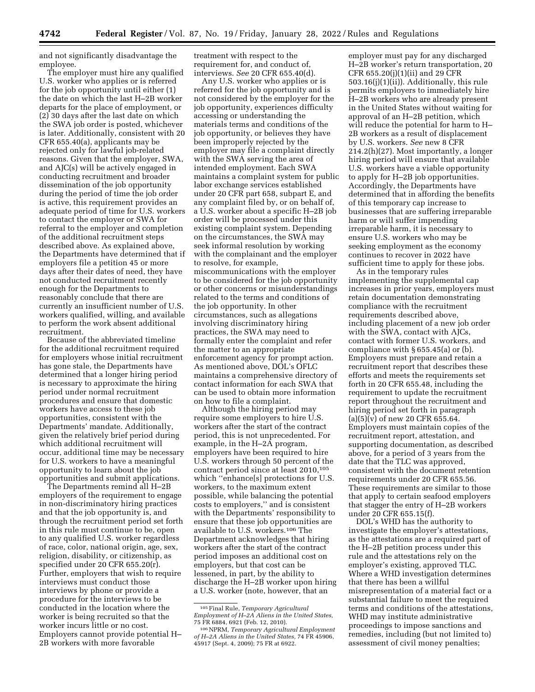and not significantly disadvantage the employee.

The employer must hire any qualified U.S. worker who applies or is referred for the job opportunity until either (1) the date on which the last H–2B worker departs for the place of employment, or (2) 30 days after the last date on which the SWA job order is posted, whichever is later. Additionally, consistent with 20 CFR 655.40(a), applicants may be rejected only for lawful job-related reasons. Given that the employer, SWA, and AJC(s) will be actively engaged in conducting recruitment and broader dissemination of the job opportunity during the period of time the job order is active, this requirement provides an adequate period of time for U.S. workers to contact the employer or SWA for referral to the employer and completion of the additional recruitment steps described above. As explained above, the Departments have determined that if employers file a petition 45 or more days after their dates of need, they have not conducted recruitment recently enough for the Departments to reasonably conclude that there are currently an insufficient number of U.S. workers qualified, willing, and available to perform the work absent additional recruitment.

Because of the abbreviated timeline for the additional recruitment required for employers whose initial recruitment has gone stale, the Departments have determined that a longer hiring period is necessary to approximate the hiring period under normal recruitment procedures and ensure that domestic workers have access to these job opportunities, consistent with the Departments' mandate. Additionally, given the relatively brief period during which additional recruitment will occur, additional time may be necessary for U.S. workers to have a meaningful opportunity to learn about the job opportunities and submit applications.

The Departments remind all H–2B employers of the requirement to engage in non-discriminatory hiring practices and that the job opportunity is, and through the recruitment period set forth in this rule must continue to be, open to any qualified U.S. worker regardless of race, color, national origin, age, sex, religion, disability, or citizenship, as specified under 20 CFR 655.20(r). Further, employers that wish to require interviews must conduct those interviews by phone or provide a procedure for the interviews to be conducted in the location where the worker is being recruited so that the worker incurs little or no cost. Employers cannot provide potential H– 2B workers with more favorable

treatment with respect to the requirement for, and conduct of, interviews. *See* 20 CFR 655.40(d).

Any U.S. worker who applies or is referred for the job opportunity and is not considered by the employer for the job opportunity, experiences difficulty accessing or understanding the materials terms and conditions of the job opportunity, or believes they have been improperly rejected by the employer may file a complaint directly with the SWA serving the area of intended employment. Each SWA maintains a complaint system for public labor exchange services established under 20 CFR part 658, subpart E, and any complaint filed by, or on behalf of, a U.S. worker about a specific H–2B job order will be processed under this existing complaint system. Depending on the circumstances, the SWA may seek informal resolution by working with the complainant and the employer to resolve, for example, miscommunications with the employer to be considered for the job opportunity or other concerns or misunderstandings related to the terms and conditions of the job opportunity. In other circumstances, such as allegations involving discriminatory hiring practices, the SWA may need to formally enter the complaint and refer the matter to an appropriate enforcement agency for prompt action. As mentioned above, DOL's OFLC maintains a comprehensive directory of contact information for each SWA that can be used to obtain more information on how to file a complaint.

Although the hiring period may require some employers to hire U.S. workers after the start of the contract period, this is not unprecedented. For example, in the H–2A program, employers have been required to hire U.S. workers through 50 percent of the contract period since at least 2010,105 which ''enhance[s] protections for U.S. workers, to the maximum extent possible, while balancing the potential costs to employers,'' and is consistent with the Departments' responsibility to ensure that these job opportunities are available to U.S. workers.106 The Department acknowledges that hiring workers after the start of the contract period imposes an additional cost on employers, but that cost can be lessened, in part, by the ability to discharge the H–2B worker upon hiring a U.S. worker (note, however, that an

employer must pay for any discharged H–2B worker's return transportation, 20 CFR 655.20(j)(1)(ii) and 29 CFR 503.16(j)(1)(ii)). Additionally, this rule permits employers to immediately hire H–2B workers who are already present in the United States without waiting for approval of an H–2B petition, which will reduce the potential for harm to H– 2B workers as a result of displacement by U.S. workers. *See* new 8 CFR 214.2(h)(27). Most importantly, a longer hiring period will ensure that available U.S. workers have a viable opportunity to apply for H–2B job opportunities. Accordingly, the Departments have determined that in affording the benefits of this temporary cap increase to businesses that are suffering irreparable harm or will suffer impending irreparable harm, it is necessary to ensure U.S. workers who may be seeking employment as the economy continues to recover in 2022 have sufficient time to apply for these jobs.

As in the temporary rules implementing the supplemental cap increases in prior years, employers must retain documentation demonstrating compliance with the recruitment requirements described above, including placement of a new job order with the SWA, contact with AJCs, contact with former U.S. workers, and compliance with  $\S 655.45(a)$  or (b). Employers must prepare and retain a recruitment report that describes these efforts and meets the requirements set forth in 20 CFR 655.48, including the requirement to update the recruitment report throughout the recruitment and hiring period set forth in paragraph  $(a)(5)(v)$  of new 20 CFR 655.64. Employers must maintain copies of the recruitment report, attestation, and supporting documentation, as described above, for a period of 3 years from the date that the TLC was approved, consistent with the document retention requirements under 20 CFR 655.56. These requirements are similar to those that apply to certain seafood employers that stagger the entry of H–2B workers under 20 CFR 655.15(f).

DOL's WHD has the authority to investigate the employer's attestations, as the attestations are a required part of the H–2B petition process under this rule and the attestations rely on the employer's existing, approved TLC. Where a WHD investigation determines that there has been a willful misrepresentation of a material fact or a substantial failure to meet the required terms and conditions of the attestations, WHD may institute administrative proceedings to impose sanctions and remedies, including (but not limited to) assessment of civil money penalties;

<sup>105</sup>Final Rule, *Temporary Agricultural Employment of H–2A Aliens in the United States,* 

<sup>75</sup> FR 6884, 6921 (Feb. 12, 2010). 106NPRM, *Temporary Agricultural Employment of H–2A Aliens in the United States,* 74 FR 45906, 45917 (Sept. 4, 2009); 75 FR at 6922.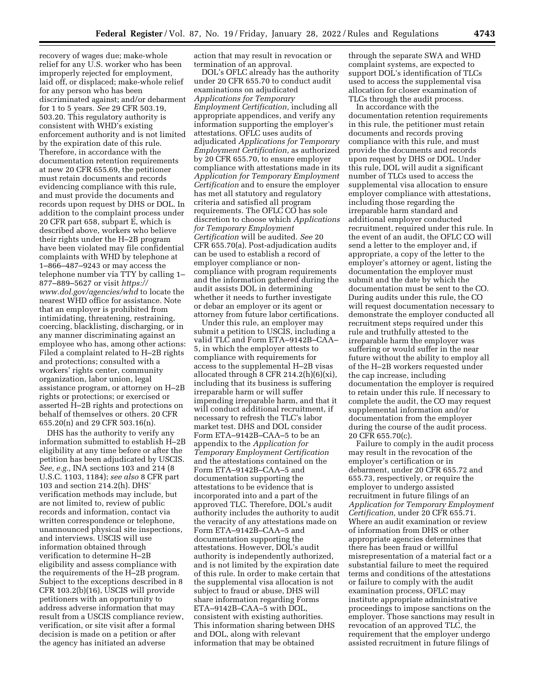recovery of wages due; make-whole relief for any U.S. worker who has been improperly rejected for employment, laid off, or displaced; make-whole relief for any person who has been discriminated against; and/or debarment for 1 to 5 years. *See* 29 CFR 503.19, 503.20. This regulatory authority is consistent with WHD's existing enforcement authority and is not limited by the expiration date of this rule. Therefore, in accordance with the documentation retention requirements at new 20 CFR 655.69, the petitioner must retain documents and records evidencing compliance with this rule, and must provide the documents and records upon request by DHS or DOL. In addition to the complaint process under 20 CFR part 658, subpart E, which is described above, workers who believe their rights under the H–2B program have been violated may file confidential complaints with WHD by telephone at 1–866–487–9243 or may access the telephone number via TTY by calling 1– 877–889–5627 or visit *[https://](https://www.dol.gov/agencies/whd) [www.dol.gov/agencies/whd](https://www.dol.gov/agencies/whd)* to locate the nearest WHD office for assistance. Note that an employer is prohibited from intimidating, threatening, restraining, coercing, blacklisting, discharging, or in any manner discriminating against an employee who has, among other actions: Filed a complaint related to H–2B rights and protections; consulted with a workers' rights center, community organization, labor union, legal assistance program, or attorney on H–2B rights or protections; or exercised or asserted H–2B rights and protections on behalf of themselves or others. 20 CFR 655.20(n) and 29 CFR 503.16(n).

DHS has the authority to verify any information submitted to establish H–2B eligibility at any time before or after the petition has been adjudicated by USCIS. *See, e.g.,* INA sections 103 and 214 (8 U.S.C. 1103, 1184); *see also* 8 CFR part 103 and section 214.2(h). DHS' verification methods may include, but are not limited to, review of public records and information, contact via written correspondence or telephone, unannounced physical site inspections, and interviews. USCIS will use information obtained through verification to determine H–2B eligibility and assess compliance with the requirements of the H–2B program. Subject to the exceptions described in 8 CFR 103.2(b)(16), USCIS will provide petitioners with an opportunity to address adverse information that may result from a USCIS compliance review, verification, or site visit after a formal decision is made on a petition or after the agency has initiated an adverse

action that may result in revocation or termination of an approval.

DOL's OFLC already has the authority under 20 CFR 655.70 to conduct audit examinations on adjudicated *Applications for Temporary Employment Certification,* including all appropriate appendices, and verify any information supporting the employer's attestations. OFLC uses audits of adjudicated *Applications for Temporary Employment Certification,* as authorized by 20 CFR 655.70, to ensure employer compliance with attestations made in its *Application for Temporary Employment Certification* and to ensure the employer has met all statutory and regulatory criteria and satisfied all program requirements. The OFLC CO has sole discretion to choose which *Applications for Temporary Employment Certification* will be audited. *See* 20 CFR 655.70(a). Post-adjudication audits can be used to establish a record of employer compliance or noncompliance with program requirements and the information gathered during the audit assists DOL in determining whether it needs to further investigate or debar an employer or its agent or attorney from future labor certifications.

Under this rule, an employer may submit a petition to USCIS, including a valid TLC and Form ETA–9142B–CAA– 5, in which the employer attests to compliance with requirements for access to the supplemental H–2B visas allocated through 8 CFR 214.2(h)(6)(xi), including that its business is suffering irreparable harm or will suffer impending irreparable harm, and that it will conduct additional recruitment, if necessary to refresh the TLC's labor market test. DHS and DOL consider Form ETA–9142B–CAA–5 to be an appendix to the *Application for Temporary Employment Certification*  and the attestations contained on the Form ETA–9142B–CAA–5 and documentation supporting the attestations to be evidence that is incorporated into and a part of the approved TLC. Therefore, DOL's audit authority includes the authority to audit the veracity of any attestations made on Form ETA–9142B–CAA–5 and documentation supporting the attestations. However, DOL's audit authority is independently authorized, and is not limited by the expiration date of this rule. In order to make certain that the supplemental visa allocation is not subject to fraud or abuse, DHS will share information regarding Forms ETA–9142B–CAA–5 with DOL, consistent with existing authorities. This information sharing between DHS and DOL, along with relevant information that may be obtained

through the separate SWA and WHD complaint systems, are expected to support DOL's identification of TLCs used to access the supplemental visa allocation for closer examination of TLCs through the audit process.

In accordance with the documentation retention requirements in this rule, the petitioner must retain documents and records proving compliance with this rule, and must provide the documents and records upon request by DHS or DOL. Under this rule, DOL will audit a significant number of TLCs used to access the supplemental visa allocation to ensure employer compliance with attestations, including those regarding the irreparable harm standard and additional employer conducted recruitment, required under this rule. In the event of an audit, the OFLC CO will send a letter to the employer and, if appropriate, a copy of the letter to the employer's attorney or agent, listing the documentation the employer must submit and the date by which the documentation must be sent to the CO. During audits under this rule, the CO will request documentation necessary to demonstrate the employer conducted all recruitment steps required under this rule and truthfully attested to the irreparable harm the employer was suffering or would suffer in the near future without the ability to employ all of the H–2B workers requested under the cap increase, including documentation the employer is required to retain under this rule. If necessary to complete the audit, the CO may request supplemental information and/or documentation from the employer during the course of the audit process. 20 CFR 655.70(c).

Failure to comply in the audit process may result in the revocation of the employer's certification or in debarment, under 20 CFR 655.72 and 655.73, respectively, or require the employer to undergo assisted recruitment in future filings of an *Application for Temporary Employment Certification,* under 20 CFR 655.71. Where an audit examination or review of information from DHS or other appropriate agencies determines that there has been fraud or willful misrepresentation of a material fact or a substantial failure to meet the required terms and conditions of the attestations or failure to comply with the audit examination process, OFLC may institute appropriate administrative proceedings to impose sanctions on the employer. Those sanctions may result in revocation of an approved TLC, the requirement that the employer undergo assisted recruitment in future filings of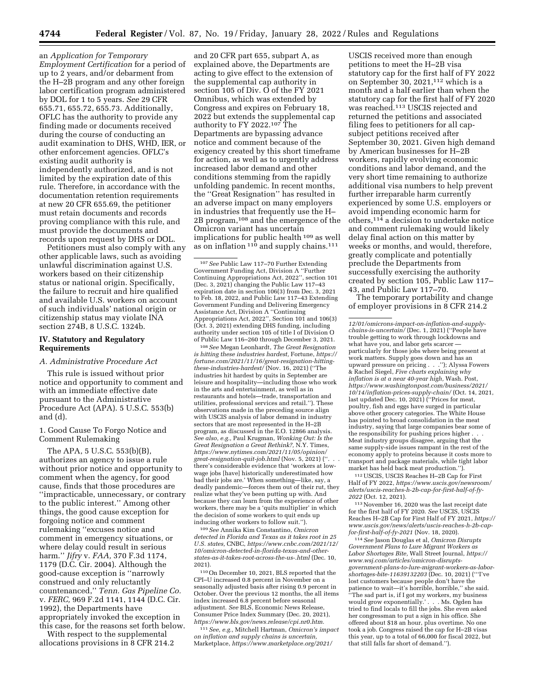an *Application for Temporary Employment Certification* for a period of up to 2 years, and/or debarment from the H–2B program and any other foreign labor certification program administered by DOL for 1 to 5 years. *See* 29 CFR 655.71, 655.72, 655.73. Additionally, OFLC has the authority to provide any finding made or documents received during the course of conducting an audit examination to DHS, WHD, IER, or other enforcement agencies. OFLC's existing audit authority is independently authorized, and is not limited by the expiration date of this rule. Therefore, in accordance with the documentation retention requirements at new 20 CFR 655.69, the petitioner must retain documents and records proving compliance with this rule, and must provide the documents and records upon request by DHS or DOL.

Petitioners must also comply with any other applicable laws, such as avoiding unlawful discrimination against U.S. workers based on their citizenship status or national origin. Specifically, the failure to recruit and hire qualified and available U.S. workers on account of such individuals' national origin or citizenship status may violate INA section 274B, 8 U.S.C. 1324b.

## **IV. Statutory and Regulatory Requirements**

### *A. Administrative Procedure Act*

This rule is issued without prior notice and opportunity to comment and with an immediate effective date pursuant to the Administrative Procedure Act (APA). 5 U.S.C. 553(b) and (d).

1. Good Cause To Forgo Notice and Comment Rulemaking

The APA, 5 U.S.C. 553(b)(B), authorizes an agency to issue a rule without prior notice and opportunity to comment when the agency, for good cause, finds that those procedures are ''impracticable, unnecessary, or contrary to the public interest.'' Among other things, the good cause exception for forgoing notice and comment rulemaking ''excuses notice and comment in emergency situations, or where delay could result in serious harm.'' *Jifry* v. *FAA,* 370 F.3d 1174, 1179 (D.C. Cir. 2004). Although the good-cause exception is ''narrowly construed and only reluctantly countenanced,'' *Tenn. Gas Pipeline Co.*  v. *FERC,* 969 F.2d 1141, 1144 (D.C. Cir. 1992), the Departments have appropriately invoked the exception in this case, for the reasons set forth below.

With respect to the supplemental allocations provisions in 8 CFR 214.2

and 20 CFR part 655, subpart A, as explained above, the Departments are acting to give effect to the extension of the supplemental cap authority in section 105 of Div. O of the FY 2021 Omnibus, which was extended by Congress and expires on February 18, 2022 but extends the supplemental cap authority to FY 2022.107 The Departments are bypassing advance notice and comment because of the exigency created by this short timeframe for action, as well as to urgently address increased labor demand and other conditions stemming from the rapidly unfolding pandemic. In recent months, the ''Great Resignation'' has resulted in an adverse impact on many employers in industries that frequently use the H– 2B program,108 and the emergence of the Omicron variant has uncertain implications for public health 109 as well as on inflation 110 and supply chains.111

107*See* Public Law 117–70 Further Extending Government Funding Act, Division A ''Further Continuing Appropriations Act, 2022'', section 101 (Dec. 3, 2021) changing the Public Law 117–43 expiration date in section 106(3) from Dec. 3, 2021 to Feb. 18, 2022, and Public Law 117–43 Extending Government Funding and Delivering Emergency Assistance Act, Division A ''Continuing Appropriations Act, 2022'', Section 101 and 106(3) (Oct. 3, 2021) extending DHS funding, including authority under section 105 of title I of Division O of Public Law 116–260 through December 3, 2021.

108*See* Megan Leonhardt, *The Great Resignation is hitting these industries hardest,* Fortune, *[https://](https://fortune.com/2021/11/16/great-resignation-hitting-these-industries-hardest/)  [fortune.com/2021/11/16/great-resignation-hitting](https://fortune.com/2021/11/16/great-resignation-hitting-these-industries-hardest/)[these-industries-hardest/](https://fortune.com/2021/11/16/great-resignation-hitting-these-industries-hardest/)* (Nov. 16, 2021) (''The industries hit hardest by quits in September are leisure and hospitality—including those who work in the arts and entertainment, as well as in restaurants and hotels—trade, transportation and utilities, professional services and retail.''). These observations made in the preceding source align with USCIS analysis of labor demand in industry sectors that are most represented in the H–2B program, as discussed in the E.O. 12866 analysis. *See also, e.g.,* Paul Krugman, *Wonking Out: Is the Great Resignation a Great Rethink?,* N.Y. Times, *[https://www.nytimes.com/2021/11/05/opinion/](https://www.nytimes.com/2021/11/05/opinion/great-resignation-quit-job.html) [great-resignation-quit-job.html](https://www.nytimes.com/2021/11/05/opinion/great-resignation-quit-job.html)* (Nov. 5, 2021) (''. . . there's considerable evidence that 'workers at lowwage jobs [have] historically underestimated how bad their jobs are.' When something—like, say, a deadly pandemic—forces them out of their rut, they realize what they've been putting up with. And because they can learn from the experience of other workers, there may be a 'quits multiplier' in which the decision of some workers to quit ends up inducing other workers to follow suit.'').

109*See* Annika Kim Constantino, *Omicron detected in Florida and Texas as it takes root in 25 U.S. states,* CNBC, *[https://www.cnbc.com/2021/12/](https://www.cnbc.com/2021/12/10/omicron-detected-in-florida-texas-and-other-states-as-it-takes-root-across-the-us-.html)  [10/omicron-detected-in-florida-texas-and-other](https://www.cnbc.com/2021/12/10/omicron-detected-in-florida-texas-and-other-states-as-it-takes-root-across-the-us-.html)[states-as-it-takes-root-across-the-us-.html](https://www.cnbc.com/2021/12/10/omicron-detected-in-florida-texas-and-other-states-as-it-takes-root-across-the-us-.html)* (Dec. 10, 2021).

110On December 10, 2021, BLS reported that the CPI–U increased 0.8 percent in November on a seasonally adjusted basis after rising 0.9 percent in October. Over the previous 12 months, the all items index increased 6.8 percent before seasonal adjustment. *See* BLS, Economic News Release, Consumer Price Index Summary (Dec. 20, 2021), *[https://www.bls.gov/news.release/cpi.nr0.htm.](https://www.bls.gov/news.release/cpi.nr0.htm)* 

111*See, e.g.,* Mitchell Hartman, *Omicron's impact on inflation and supply chains is uncertain,*  Marketplace, *[https://www.marketplace.org/2021/](https://www.marketplace.org/2021/12/01/omicrons-impact-on-inflation-and-supply-chains-is-uncertain/)* 

USCIS received more than enough petitions to meet the H–2B visa statutory cap for the first half of FY 2022 on September 30, 2021,112 which is a month and a half earlier than when the statutory cap for the first half of FY 2020 was reached.113 USCIS rejected and returned the petitions and associated filing fees to petitioners for all capsubject petitions received after September 30, 2021. Given high demand by American businesses for H–2B workers, rapidly evolving economic conditions and labor demand, and the very short time remaining to authorize additional visa numbers to help prevent further irreparable harm currently experienced by some U.S. employers or avoid impending economic harm for others,114 a decision to undertake notice and comment rulemaking would likely delay final action on this matter by weeks or months, and would, therefore, greatly complicate and potentially preclude the Departments from successfully exercising the authority created by section 105, Public Law 117– 43, and Public Law 117–70.

The temporary portability and change of employer provisions in 8 CFR 214.2

112USCIS, USCIS Reaches H–2B Cap for First Half of FY 2022, *[https://www.uscis.gov/newsroom/](https://www.uscis.gov/newsroom/alerts/uscis-reaches-h-2b-cap-for-first-half-of-fy-2022)  [alerts/uscis-reaches-h-2b-cap-for-first-half-of-fy-](https://www.uscis.gov/newsroom/alerts/uscis-reaches-h-2b-cap-for-first-half-of-fy-2022)[2022](https://www.uscis.gov/newsroom/alerts/uscis-reaches-h-2b-cap-for-first-half-of-fy-2022)* (Oct. 12, 2021).

113November 16, 2020 was the last receipt date for the first half of FY 2020. *See* USCIS, USCIS Reaches H–2B Cap for First Half of FY 2021, *[https://](https://www.uscis.gov/news/alerts/uscis-reaches-h-2b-cap-for-first-half-of-fy-2021)  [www.uscis.gov/news/alerts/uscis-reaches-h-2b-cap](https://www.uscis.gov/news/alerts/uscis-reaches-h-2b-cap-for-first-half-of-fy-2021)[for-first-half-of-fy-2021](https://www.uscis.gov/news/alerts/uscis-reaches-h-2b-cap-for-first-half-of-fy-2021)* (Nov. 18, 2020).

114*See* Jason Douglas et al, *Omicron Disrupts Government Plans to Lure Migrant Workers as Labor Shortages Bite,* Wall Street Journal, *[https://](https://www.wsj.com/articles/omicron-disrupts-government-plans-to-lure-migrant-workers-as-labor-shortages-bite-11639132203) [www.wsj.com/articles/omicron-disrupts](https://www.wsj.com/articles/omicron-disrupts-government-plans-to-lure-migrant-workers-as-labor-shortages-bite-11639132203)[government-plans-to-lure-migrant-workers-as-labor](https://www.wsj.com/articles/omicron-disrupts-government-plans-to-lure-migrant-workers-as-labor-shortages-bite-11639132203)[shortages-bite-11639132203](https://www.wsj.com/articles/omicron-disrupts-government-plans-to-lure-migrant-workers-as-labor-shortages-bite-11639132203)* (Dec. 10, 2021) ('''I've lost customers because people don't have the patience to wait—it's horrible, horrible,'' she said. ''The sad part is, if I got my workers, my business would grow exponentially.' . . . Ms. Ogden has tried to find locals to fill the jobs. She even asked her congressman to put a sign in his office. She offered about \$18 an hour, plus overtime. No one took a job. Congress raised the cap for H–2B visas this year, up to a total of 66,000 for fiscal 2022, but that still falls far short of demand.'').

*[<sup>12/01/</sup>omicrons-impact-on-inflation-and-supply](https://www.marketplace.org/2021/12/01/omicrons-impact-on-inflation-and-supply-chains-is-uncertain/)[chains-is-uncertain/](https://www.marketplace.org/2021/12/01/omicrons-impact-on-inflation-and-supply-chains-is-uncertain/)* (Dec. 1, 2021) (''People have trouble getting to work through lockdowns and what have you, and labor gets scarcer particularly for those jobs where being present at work matters. Supply goes down and has an upward pressure on pricing . . .''); Alyssa Fowers & Rachel Siegel, *Five charts explaining why inflation is at a near 40-year high,* Wash. Post, *[https://www.washingtonpost.com/business/2021/](https://www.washingtonpost.com/business/2021/10/14/inflation-prices-supply-chain/) [10/14/inflation-prices-supply-chain/](https://www.washingtonpost.com/business/2021/10/14/inflation-prices-supply-chain/)* (Oct. 14, 2021, last updated Dec. 10, 2021) (''Prices for meat, poultry, fish and eggs have surged in particular above other grocery categories. The White House has pointed to broad consolidation in the meat industry, saying that large companies bear some of the responsibility for pushing prices higher . Meat industry groups disagree, arguing that the same supply-side issues rampant in the rest of the economy apply to proteins because it costs more to transport and package materials, while tight labor market has held back meat production.'').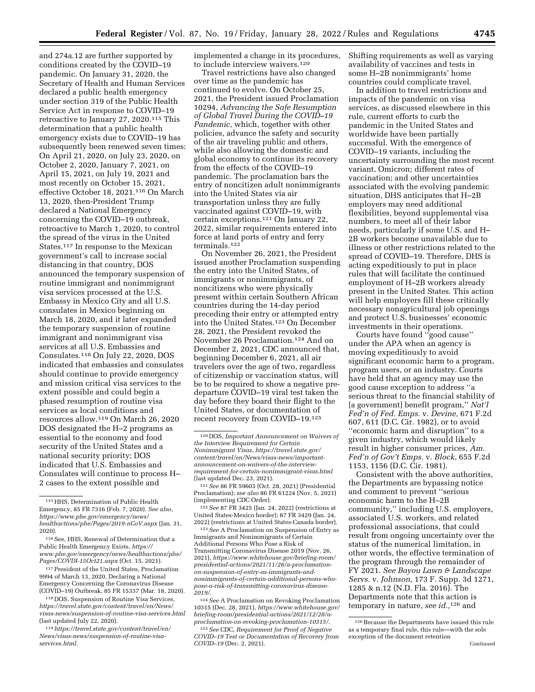and 274a.12 are further supported by conditions created by the COVID–19 pandemic. On January 31, 2020, the Secretary of Health and Human Services declared a public health emergency under section 319 of the Public Health Service Act in response to COVID–19 retroactive to January 27, 2020.115 This determination that a public health emergency exists due to COVID–19 has subsequently been renewed seven times: On April 21, 2020, on July 23, 2020, on October 2, 2020, January 7, 2021, on April 15, 2021, on July 19, 2021 and most recently on October 15, 2021, effective October 18, 2021.116 On March 13, 2020, then-President Trump declared a National Emergency concerning the COVID–19 outbreak, retroactive to March 1, 2020, to control the spread of the virus in the United States.117 In response to the Mexican government's call to increase social distancing in that country, DOS announced the temporary suspension of routine immigrant and nonimmigrant visa services processed at the U.S. Embassy in Mexico City and all U.S. consulates in Mexico beginning on March 18, 2020, and it later expanded the temporary suspension of routine immigrant and nonimmigrant visa services at all U.S. Embassies and Consulates.118 On July 22, 2020, DOS indicated that embassies and consulates should continue to provide emergency and mission critical visa services to the extent possible and could begin a phased resumption of routine visa services as local conditions and resources allow.119 On March 26, 2020 DOS designated the H–2 programs as essential to the economy and food security of the United States and a national security priority; DOS indicated that U.S. Embassies and Consulates will continue to process H– 2 cases to the extent possible and

implemented a change in its procedures, to include interview waivers.<sup>120</sup>

Travel restrictions have also changed over time as the pandemic has continued to evolve. On October 25, 2021, the President issued Proclamation 10294, *Advancing the Safe Resumption of Global Travel During the COVID–19 Pandemic,* which, together with other policies, advance the safety and security of the air traveling public and others, while also allowing the domestic and global economy to continue its recovery from the effects of the COVID–19 pandemic. The proclamation bars the entry of noncitizen adult nonimmigrants into the United States via air transportation unless they are fully vaccinated against COVID–19, with certain exceptions.121 On January 22, 2022, similar requirements entered into force at land ports of entry and ferry terminals.122

On November 26, 2021, the President issued another Proclamation suspending the entry into the United States, of immigrants or nonimmigrants, of noncitizens who were physically present within certain Southern African countries during the 14-day period preceding their entry or attempted entry into the United States.123 On December 28, 2021, the President revoked the November 26 Proclamation.124 And on December 2, 2021, CDC announced that, beginning December 6, 2021, all air travelers over the age of two, regardless of citizenship or vaccination status, will be to be required to show a negative predeparture COVID–19 viral test taken the day before they board their flight to the United States, or documentation of recent recovery from COVID–19.125

124*See* A Proclamation on Revoking Proclamation 10315 (Dec. 28, 2021), *[https://www.whitehouse.gov/](https://www.whitehouse.gov/briefing-room/presidential-actions/2021/12/28/a-proclamation-on-revoking-proclamation-10315/) [briefing-room/presidential-actions/2021/12/28/a](https://www.whitehouse.gov/briefing-room/presidential-actions/2021/12/28/a-proclamation-on-revoking-proclamation-10315/)[proclamation-on-revoking-proclamation-10315/.](https://www.whitehouse.gov/briefing-room/presidential-actions/2021/12/28/a-proclamation-on-revoking-proclamation-10315/)* 

125*See* CDC, *Requirement for Proof of Negative COVID–19 Test or Documentation of Recovery from COVID–19* (Dec. 2, 2021).

Shifting requirements as well as varying availability of vaccines and tests in some H–2B nonimmigrants' home countries could complicate travel.

In addition to travel restrictions and impacts of the pandemic on visa services, as discussed elsewhere in this rule, current efforts to curb the pandemic in the United States and worldwide have been partially successful. With the emergence of COVID–19 variants, including the uncertainty surrounding the most recent variant, Omicron; different rates of vaccination; and other uncertainties associated with the evolving pandemic situation, DHS anticipates that H–2B employers may need additional flexibilities, beyond supplemental visa numbers, to meet all of their labor needs, particularly if some U.S. and H– 2B workers become unavailable due to illness or other restrictions related to the spread of COVID–19. Therefore, DHS is acting expeditiously to put in place rules that will facilitate the continued employment of H–2B workers already present in the United States. This action will help employers fill these critically necessary nonagricultural job openings and protect U.S. businesses' economic investments in their operations.

Courts have found ''good cause'' under the APA when an agency is moving expeditiously to avoid significant economic harm to a program, program users, or an industry. Courts have held that an agency may use the good cause exception to address ''a serious threat to the financial stability of [a government] benefit program,'' *Nat'l Fed'n of Fed. Emps.* v. *Devine,* 671 F.2d 607, 611 (D.C. Cir. 1982), or to avoid ''economic harm and disruption'' to a given industry, which would likely result in higher consumer prices, *Am. Fed'n of Gov't Emps.* v. *Block,* 655 F.2d 1153, 1156 (D.C. Cir. 1981).

Consistent with the above authorities, the Departments are bypassing notice and comment to prevent ''serious economic harm to the H–2B community,'' including U.S. employers, associated U.S. workers, and related professional associations, that could result from ongoing uncertainty over the status of the numerical limitation, in other words, the effective termination of the program through the remainder of FY 2021. *See Bayou Lawn & Landscape Servs.* v. *Johnson,* 173 F. Supp. 3d 1271, 1285 & n.12 (N.D. Fla. 2016). The Departments note that this action is temporary in nature, *see id.,*126 and

<sup>115</sup>HHS, Determination of Public Health Emergency, 85 FR 7316 (Feb. 7, 2020). *See also, [https://www.phe.gov/emergency/news/](https://www.phe.gov/emergency/news/healthactions/phe/Pages/2019-nCoV.aspx) [healthactions/phe/Pages/2019-nCoV.aspx](https://www.phe.gov/emergency/news/healthactions/phe/Pages/2019-nCoV.aspx)* (Jan. 31, 2020).

<sup>116</sup>See, HHS, Renewal of Determination that a Public Health Emergency Exists, *[https://](https://www.phe.gov/emergency/news/healthactions/phe/Pages/COVDI-15Oct21.aspx) [www.phe.gov/emergency/news/healthactions/phe/](https://www.phe.gov/emergency/news/healthactions/phe/Pages/COVDI-15Oct21.aspx)  [Pages/COVDI-15Oct21.aspx](https://www.phe.gov/emergency/news/healthactions/phe/Pages/COVDI-15Oct21.aspx)* (Oct. 15, 2021).

<sup>117</sup>President of the United States, Proclamation 9994 of March 13, 2020, Declaring a National Emergency Concerning the Coronavirus Disease (COVID–19) Outbreak, 85 FR 15337 (Mar. 18, 2020).

<sup>118</sup> DOS, Suspension of Routine Visa Services, *[https://travel.state.gov/content/travel/en/News/](https://travel.state.gov/content/travel/en/News/visas-news/suspension-of-routine-visa-services.html) [visas-news/suspension-of-routine-visa-services.html](https://travel.state.gov/content/travel/en/News/visas-news/suspension-of-routine-visa-services.html)*  (last updated July 22, 2020).

<sup>119</sup>*[https://travel.state.gov/content/travel/en/](https://travel.state.gov/content/travel/en/News/visas-news/suspension-of-routine-visa-services.html) [News/visas-news/suspension-of-routine-visa](https://travel.state.gov/content/travel/en/News/visas-news/suspension-of-routine-visa-services.html)[services.html.](https://travel.state.gov/content/travel/en/News/visas-news/suspension-of-routine-visa-services.html)* 

<sup>120</sup> DOS, *Important Announcement on Waivers of the Interview Requirement for Certain Nonimmigrant Visas, [https://travel.state.gov/](https://travel.state.gov/content/travel/en/News/visas-news/important-announcement-on-waivers-of-the-interview-requirement-for-certain-nonimmigrant-visas.html)  [content/travel/en/News/visas-news/important](https://travel.state.gov/content/travel/en/News/visas-news/important-announcement-on-waivers-of-the-interview-requirement-for-certain-nonimmigrant-visas.html)[announcement-on-waivers-of-the-interview](https://travel.state.gov/content/travel/en/News/visas-news/important-announcement-on-waivers-of-the-interview-requirement-for-certain-nonimmigrant-visas.html)[requirement-for-certain-nonimmigrant-visas.html](https://travel.state.gov/content/travel/en/News/visas-news/important-announcement-on-waivers-of-the-interview-requirement-for-certain-nonimmigrant-visas.html)*  (last updated Dec. 23, 2021).

<sup>121</sup>*See* 86 FR 59603 (Oct. 28, 2021) (Presidential Proclamation); *see also* 86 FR 61224 (Nov. 5, 2021) (implementing CDC Order).

<sup>122</sup>*See* 87 FR 3425 (Jan. 24, 2022) (restrictions at United States-Mexico border); 87 FR 3429 (Jan. 24, 2022) (restrictions at United States-Canada border).

<sup>123</sup>*See* A Proclamation on Suspension of Entry as Immigrants and Nonimmigrants of Certain Additional Persons Who Pose a Risk of Transmitting Coronavirus Disease 2019 (Nov. 26, 2021), *[https://www.whitehouse.gov/briefing-room/](https://www.whitehouse.gov/briefing-room/presidential-actions/2021/11/26/a-proclamationon-suspension-of-entry-as-immigrants-and-nonimmigrants-of-certain-additional-persons-who-pose-a-risk-of-transmitting-coronavirus-disease-2019/)  [presidential-actions/2021/11/26/a-proclamation](https://www.whitehouse.gov/briefing-room/presidential-actions/2021/11/26/a-proclamationon-suspension-of-entry-as-immigrants-and-nonimmigrants-of-certain-additional-persons-who-pose-a-risk-of-transmitting-coronavirus-disease-2019/)[on-suspension-of-entry-as-immigrants-and](https://www.whitehouse.gov/briefing-room/presidential-actions/2021/11/26/a-proclamationon-suspension-of-entry-as-immigrants-and-nonimmigrants-of-certain-additional-persons-who-pose-a-risk-of-transmitting-coronavirus-disease-2019/)[nonimmigrants-of-certain-additional-persons-who](https://www.whitehouse.gov/briefing-room/presidential-actions/2021/11/26/a-proclamationon-suspension-of-entry-as-immigrants-and-nonimmigrants-of-certain-additional-persons-who-pose-a-risk-of-transmitting-coronavirus-disease-2019/)[pose-a-risk-of-transmitting-coronavirus-disease-](https://www.whitehouse.gov/briefing-room/presidential-actions/2021/11/26/a-proclamationon-suspension-of-entry-as-immigrants-and-nonimmigrants-of-certain-additional-persons-who-pose-a-risk-of-transmitting-coronavirus-disease-2019/)[2019/.](https://www.whitehouse.gov/briefing-room/presidential-actions/2021/11/26/a-proclamationon-suspension-of-entry-as-immigrants-and-nonimmigrants-of-certain-additional-persons-who-pose-a-risk-of-transmitting-coronavirus-disease-2019/)* 

<sup>126</sup>Because the Departments have issued this rule as a temporary final rule, this rule—with the sole exception of the document retention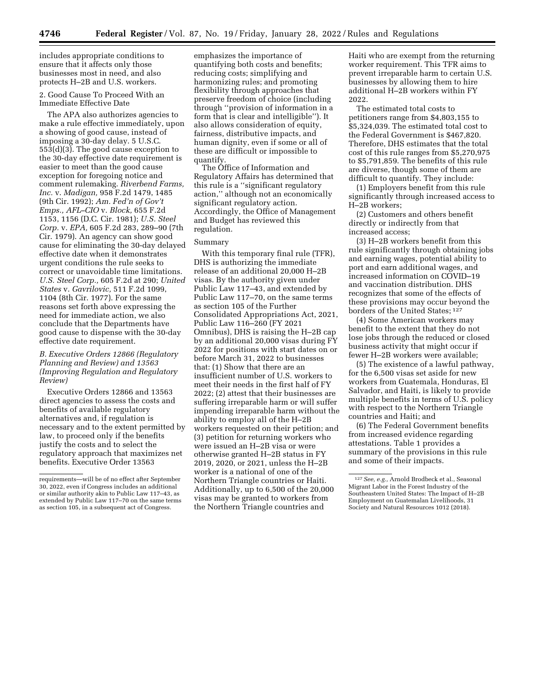includes appropriate conditions to ensure that it affects only those businesses most in need, and also protects H–2B and U.S. workers.

2. Good Cause To Proceed With an Immediate Effective Date

The APA also authorizes agencies to make a rule effective immediately, upon a showing of good cause, instead of imposing a 30-day delay. 5 U.S.C. 553(d)(3). The good cause exception to the 30-day effective date requirement is easier to meet than the good cause exception for foregoing notice and comment rulemaking. *Riverbend Farms, Inc.* v. *Madigan,* 958 F.2d 1479, 1485 (9th Cir. 1992); *Am. Fed'n of Gov't Emps., AFL–CIO* v. *Block,* 655 F.2d 1153, 1156 (D.C. Cir. 1981); *U.S. Steel Corp.* v. *EPA,* 605 F.2d 283, 289–90 (7th Cir. 1979). An agency can show good cause for eliminating the 30-day delayed effective date when it demonstrates urgent conditions the rule seeks to correct or unavoidable time limitations. *U.S. Steel Corp.,* 605 F.2d at 290; *United States* v. *Gavrilovic,* 511 F.2d 1099, 1104 (8th Cir. 1977). For the same reasons set forth above expressing the need for immediate action, we also conclude that the Departments have good cause to dispense with the 30-day effective date requirement.

## *B. Executive Orders 12866 (Regulatory Planning and Review) and 13563 (Improving Regulation and Regulatory Review)*

Executive Orders 12866 and 13563 direct agencies to assess the costs and benefits of available regulatory alternatives and, if regulation is necessary and to the extent permitted by law, to proceed only if the benefits justify the costs and to select the regulatory approach that maximizes net benefits. Executive Order 13563

emphasizes the importance of quantifying both costs and benefits; reducing costs; simplifying and harmonizing rules; and promoting flexibility through approaches that preserve freedom of choice (including through ''provision of information in a form that is clear and intelligible''). It also allows consideration of equity, fairness, distributive impacts, and human dignity, even if some or all of these are difficult or impossible to quantify.

The Office of Information and Regulatory Affairs has determined that this rule is a ''significant regulatory action,'' although not an economically significant regulatory action. Accordingly, the Office of Management and Budget has reviewed this regulation.

## Summary

With this temporary final rule (TFR), DHS is authorizing the immediate release of an additional 20,000 H–2B visas. By the authority given under Public Law 117–43, and extended by Public Law 117–70, on the same terms as section 105 of the Further Consolidated Appropriations Act, 2021, Public Law 116–260 (FY 2021 Omnibus), DHS is raising the H–2B cap by an additional 20,000 visas during FY 2022 for positions with start dates on or before March 31, 2022 to businesses that: (1) Show that there are an insufficient number of U.S. workers to meet their needs in the first half of FY 2022; (2) attest that their businesses are suffering irreparable harm or will suffer impending irreparable harm without the ability to employ all of the H–2B workers requested on their petition; and (3) petition for returning workers who were issued an H–2B visa or were otherwise granted H–2B status in FY 2019, 2020, or 2021, unless the H–2B worker is a national of one of the Northern Triangle countries or Haiti. Additionally, up to 6,500 of the 20,000 visas may be granted to workers from the Northern Triangle countries and

Haiti who are exempt from the returning worker requirement. This TFR aims to prevent irreparable harm to certain U.S. businesses by allowing them to hire additional H–2B workers within FY 2022.

The estimated total costs to petitioners range from \$4,803,155 to \$5,324,039. The estimated total cost to the Federal Government is \$467,820. Therefore, DHS estimates that the total cost of this rule ranges from \$5,270,975 to \$5,791,859. The benefits of this rule are diverse, though some of them are difficult to quantify. They include:

(1) Employers benefit from this rule significantly through increased access to H–2B workers;

(2) Customers and others benefit directly or indirectly from that increased access;

(3) H–2B workers benefit from this rule significantly through obtaining jobs and earning wages, potential ability to port and earn additional wages, and increased information on COVID–19 and vaccination distribution. DHS recognizes that some of the effects of these provisions may occur beyond the borders of the United States; 127

(4) Some American workers may benefit to the extent that they do not lose jobs through the reduced or closed business activity that might occur if fewer H–2B workers were available;

(5) The existence of a lawful pathway, for the 6,500 visas set aside for new workers from Guatemala, Honduras, El Salvador, and Haiti, is likely to provide multiple benefits in terms of U.S. policy with respect to the Northern Triangle countries and Haiti; and

(6) The Federal Government benefits from increased evidence regarding attestations. Table 1 provides a summary of the provisions in this rule and some of their impacts.

requirements—will be of no effect after September 30, 2022, even if Congress includes an additional or similar authority akin to Public Law 117–43, as extended by Public Law 117–70 on the same terms as section 105, in a subsequent act of Congress.

<sup>127</sup>*See, e.g.,* Arnold Brodbeck et al., Seasonal Migrant Labor in the Forest Industry of the Southeastern United States: The Impact of H–2B Employment on Guatemalan Livelihoods, 31 Society and Natural Resources 1012 (2018).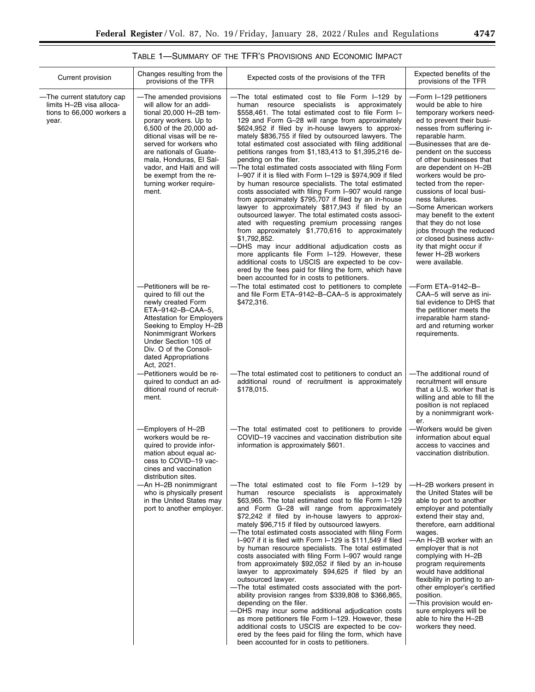# TABLE 1—SUMMARY OF THE TFR'S PROVISIONS AND ECONOMIC IMPACT

| Current provision                                                                            | Changes resulting from the<br>provisions of the TFR                                                                                                                                                                                                                                                                                                                                                | Expected costs of the provisions of the TFR                                                                                                                                                                                                                                                                                                                                                                                                                                                                                                                                                                                                                                                                                                                                                                                                                                                                                                                                                                                                                                                                                                                                                                                                                                                                                                                                                    | Expected benefits of the<br>provisions of the TFR                                                                                                                                                                                                                                                                                                                                                                                                                                                                                                                                                                                 |
|----------------------------------------------------------------------------------------------|----------------------------------------------------------------------------------------------------------------------------------------------------------------------------------------------------------------------------------------------------------------------------------------------------------------------------------------------------------------------------------------------------|------------------------------------------------------------------------------------------------------------------------------------------------------------------------------------------------------------------------------------------------------------------------------------------------------------------------------------------------------------------------------------------------------------------------------------------------------------------------------------------------------------------------------------------------------------------------------------------------------------------------------------------------------------------------------------------------------------------------------------------------------------------------------------------------------------------------------------------------------------------------------------------------------------------------------------------------------------------------------------------------------------------------------------------------------------------------------------------------------------------------------------------------------------------------------------------------------------------------------------------------------------------------------------------------------------------------------------------------------------------------------------------------|-----------------------------------------------------------------------------------------------------------------------------------------------------------------------------------------------------------------------------------------------------------------------------------------------------------------------------------------------------------------------------------------------------------------------------------------------------------------------------------------------------------------------------------------------------------------------------------------------------------------------------------|
| -The current statutory cap<br>limits H-2B visa alloca-<br>tions to 66,000 workers a<br>year. | -The amended provisions<br>will allow for an addi-<br>tional 20,000 H-2B tem-<br>porary workers. Up to<br>6,500 of the 20,000 ad-<br>ditional visas will be re-<br>served for workers who<br>are nationals of Guate-<br>mala, Honduras, El Sal-<br>vador, and Haiti and will<br>be exempt from the re-<br>turning worker require-<br>ment.<br>-- Petitioners will be re-<br>quired to fill out the | -The total estimated cost to file Form I-129 by<br>specialists is approximately<br>human resource<br>\$558,461. The total estimated cost to file Form I-<br>129 and Form G-28 will range from approximately<br>\$624,952 if filed by in-house lawyers to approxi-<br>mately \$836,755 if filed by outsourced lawyers. The<br>total estimated cost associated with filing additional<br>petitions ranges from \$1,183,413 to \$1,395,216 de-<br>pending on the filer.<br>-The total estimated costs associated with filing Form<br>I-907 if it is filed with Form I-129 is \$974,909 if filed<br>by human resource specialists. The total estimated<br>costs associated with filing Form I-907 would range<br>from approximately \$795,707 if filed by an in-house<br>lawyer to approximately \$817,943 if filed by an<br>outsourced lawyer. The total estimated costs associ-<br>ated with requesting premium processing ranges<br>from approximately \$1,770,616 to approximately<br>\$1,792,852.<br>-DHS may incur additional adjudication costs as<br>more applicants file Form I-129. However, these<br>additional costs to USCIS are expected to be cov-<br>ered by the fees paid for filing the form, which have<br>been accounted for in costs to petitioners.<br>-The total estimated cost to petitioners to complete<br>and file Form ETA-9142-B-CAA-5 is approximately<br>\$472,316. | -Form I-129 petitioners<br>would be able to hire<br>temporary workers need-<br>ed to prevent their busi-<br>nesses from suffering ir-<br>reparable harm.<br>-Businesses that are de-<br>pendent on the success<br>of other businesses that<br>are dependent on H-2B<br>workers would be pro-<br>tected from the reper-<br>cussions of local busi-<br>ness failures.<br>-Some American workers<br>may benefit to the extent<br>that they do not lose<br>jobs through the reduced<br>or closed business activ-<br>ity that might occur if<br>fewer H-2B workers<br>were available.<br>—Form ETA–9142–B–<br>CAA-5 will serve as ini- |
|                                                                                              | newly created Form<br>ETA-9142-B-CAA-5,<br><b>Attestation for Employers</b><br>Seeking to Employ H-2B<br>Nonimmigrant Workers<br>Under Section 105 of<br>Div. O of the Consoli-<br>dated Appropriations<br>Act. 2021.<br>-Petitioners would be re-                                                                                                                                                 | -The total estimated cost to petitioners to conduct an                                                                                                                                                                                                                                                                                                                                                                                                                                                                                                                                                                                                                                                                                                                                                                                                                                                                                                                                                                                                                                                                                                                                                                                                                                                                                                                                         | tial evidence to DHS that<br>the petitioner meets the<br>irreparable harm stand-<br>ard and returning worker<br>requirements.<br>-The additional round of                                                                                                                                                                                                                                                                                                                                                                                                                                                                         |
|                                                                                              | quired to conduct an ad-<br>ditional round of recruit-<br>ment.                                                                                                                                                                                                                                                                                                                                    | additional round of recruitment is approximately<br>\$178,015.                                                                                                                                                                                                                                                                                                                                                                                                                                                                                                                                                                                                                                                                                                                                                                                                                                                                                                                                                                                                                                                                                                                                                                                                                                                                                                                                 | recruitment will ensure<br>that a U.S. worker that is<br>willing and able to fill the<br>position is not replaced<br>by a nonimmigrant work-<br>er.                                                                                                                                                                                                                                                                                                                                                                                                                                                                               |
|                                                                                              | -Employers of H-2B<br>workers would be re-<br>quired to provide infor-<br>mation about equal ac-<br>cess to COVID-19 vac-<br>cines and vaccination<br>distribution sites.                                                                                                                                                                                                                          | -The total estimated cost to petitioners to provide<br>COVID-19 vaccines and vaccination distribution site<br>information is approximately \$601.                                                                                                                                                                                                                                                                                                                                                                                                                                                                                                                                                                                                                                                                                                                                                                                                                                                                                                                                                                                                                                                                                                                                                                                                                                              | Workers would be given<br>information about equal<br>access to vaccines and<br>vaccination distribution.                                                                                                                                                                                                                                                                                                                                                                                                                                                                                                                          |
|                                                                                              | -An H-2B nonimmigrant<br>who is physically present<br>in the United States may<br>port to another employer.                                                                                                                                                                                                                                                                                        | -The total estimated cost to file Form I-129 by<br>specialists is approximately<br>human<br>resource<br>\$63,965. The total estimated cost to file Form I-129<br>and Form G-28 will range from approximately<br>\$72,242 if filed by in-house lawyers to approxi-<br>mately \$96,715 if filed by outsourced lawyers.<br>-The total estimated costs associated with filing Form<br>$I-907$ if it is filed with Form $I-129$ is \$111,549 if filed<br>by human resource specialists. The total estimated<br>costs associated with filing Form I-907 would range<br>from approximately \$92,052 if filed by an in-house<br>lawyer to approximately \$94,625 if filed by an<br>outsourced lawyer.<br>-The total estimated costs associated with the port-<br>ability provision ranges from \$339,808 to \$366,865,<br>depending on the filer.<br>-DHS may incur some additional adjudication costs<br>as more petitioners file Form I-129. However, these<br>additional costs to USCIS are expected to be cov-<br>ered by the fees paid for filing the form, which have<br>been accounted for in costs to petitioners.                                                                                                                                                                                                                                                                             | -H-2B workers present in<br>the United States will be<br>able to port to another<br>employer and potentially<br>extend their stay and,<br>therefore, earn additional<br>wages.<br>-An H–2B worker with an<br>employer that is not<br>complying with H-2B<br>program requirements<br>would have additional<br>flexibility in porting to an-<br>other employer's certified<br>position.<br>-This provision would en-<br>sure employers will be<br>able to hire the H-2B<br>workers they need.                                                                                                                                       |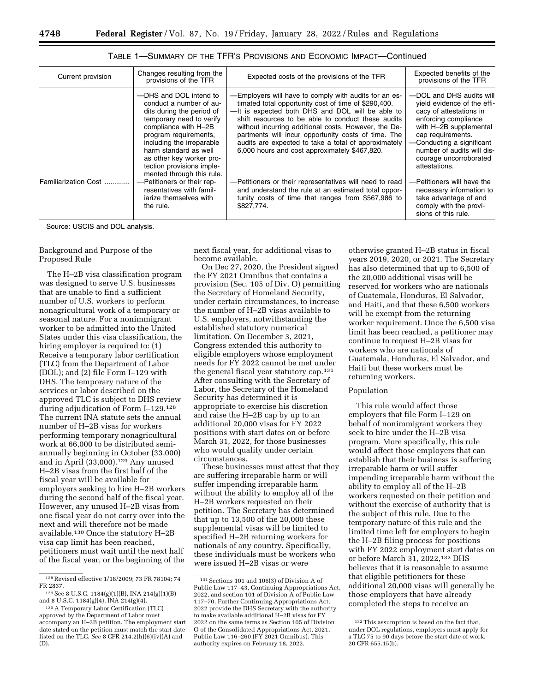| Current provision    | Changes resulting from the<br>provisions of the TFR                                                                                                                                                                                                                                                                                   | Expected costs of the provisions of the TFR                                                                                                                                                                                                                                                                                                                                                                                                                                                                | Expected benefits of the<br>provisions of the TFR                                                                                                                                                                                                                                             |
|----------------------|---------------------------------------------------------------------------------------------------------------------------------------------------------------------------------------------------------------------------------------------------------------------------------------------------------------------------------------|------------------------------------------------------------------------------------------------------------------------------------------------------------------------------------------------------------------------------------------------------------------------------------------------------------------------------------------------------------------------------------------------------------------------------------------------------------------------------------------------------------|-----------------------------------------------------------------------------------------------------------------------------------------------------------------------------------------------------------------------------------------------------------------------------------------------|
| Familiarization Cost | -DHS and DOL intend to<br>conduct a number of au-<br>dits during the period of<br>temporary need to verify<br>compliance with H-2B<br>program requirements,<br>including the irreparable<br>harm standard as well<br>as other key worker pro-<br>tection provisions imple-<br>mented through this rule.<br>-Petitioners or their rep- | -Employers will have to comply with audits for an es-<br>timated total opportunity cost of time of \$290,400.<br>-It is expected both DHS and DOL will be able to<br>shift resources to be able to conduct these audits<br>without incurring additional costs. However, the De-<br>partments will incur opportunity costs of time. The<br>audits are expected to take a total of approximately<br>6,000 hours and cost approximately \$467,820.<br>-Petitioners or their representatives will need to read | -DOL and DHS audits will<br>vield evidence of the effi-<br>cacy of attestations in<br>enforcing compliance<br>with H-2B supplemental<br>cap requirements.<br>-Conducting a significant<br>number of audits will dis-<br>courage uncorroborated<br>attestations.<br>-Petitioners will have the |
|                      | resentatives with famil-<br>jarize themselves with<br>the rule.                                                                                                                                                                                                                                                                       | and understand the rule at an estimated total oppor-<br>tunity costs of time that ranges from \$567,986 to<br>\$827,774.                                                                                                                                                                                                                                                                                                                                                                                   | necessary information to<br>take advantage of and<br>comply with the provi-<br>sions of this rule.                                                                                                                                                                                            |

## TABLE 1—SUMMARY OF THE TFR'S PROVISIONS AND ECONOMIC IMPACT—Continued

Source: USCIS and DOL analysis.

## Background and Purpose of the Proposed Rule

The H–2B visa classification program was designed to serve U.S. businesses that are unable to find a sufficient number of U.S. workers to perform nonagricultural work of a temporary or seasonal nature. For a nonimmigrant worker to be admitted into the United States under this visa classification, the hiring employer is required to: (1) Receive a temporary labor certification (TLC) from the Department of Labor (DOL); and (2) file Form I–129 with DHS. The temporary nature of the services or labor described on the approved TLC is subject to DHS review during adjudication of Form I–129.128 The current INA statute sets the annual number of H–2B visas for workers performing temporary nonagricultural work at 66,000 to be distributed semiannually beginning in October (33,000) and in April (33,000).129 Any unused H–2B visas from the first half of the fiscal year will be available for employers seeking to hire H–2B workers during the second half of the fiscal year. However, any unused H–2B visas from one fiscal year do not carry over into the next and will therefore not be made available.130 Once the statutory H–2B visa cap limit has been reached, petitioners must wait until the next half of the fiscal year, or the beginning of the next fiscal year, for additional visas to become available.

On Dec 27, 2020, the President signed the FY 2021 Omnibus that contains a provision (Sec. 105 of Div. O) permitting the Secretary of Homeland Security, under certain circumstances, to increase the number of H–2B visas available to U.S. employers, notwithstanding the established statutory numerical limitation. On December 3, 2021, Congress extended this authority to eligible employers whose employment needs for FY 2022 cannot be met under the general fiscal year statutory cap.131 After consulting with the Secretary of Labor, the Secretary of the Homeland Security has determined it is appropriate to exercise his discretion and raise the H–2B cap by up to an additional 20,000 visas for FY 2022 positions with start dates on or before March 31, 2022, for those businesses who would qualify under certain circumstances.

These businesses must attest that they are suffering irreparable harm or will suffer impending irreparable harm without the ability to employ all of the H–2B workers requested on their petition. The Secretary has determined that up to 13,500 of the 20,000 these supplemental visas will be limited to specified H–2B returning workers for nationals of any country. Specifically, these individuals must be workers who were issued H–2B visas or were

otherwise granted H–2B status in fiscal years 2019, 2020, or 2021. The Secretary has also determined that up to 6,500 of the 20,000 additional visas will be reserved for workers who are nationals of Guatemala, Honduras, El Salvador, and Haiti, and that these 6,500 workers will be exempt from the returning worker requirement. Once the 6,500 visa limit has been reached, a petitioner may continue to request H–2B visas for workers who are nationals of Guatemala, Honduras, El Salvador, and Haiti but these workers must be returning workers.

### Population

This rule would affect those employers that file Form I–129 on behalf of nonimmigrant workers they seek to hire under the H–2B visa program. More specifically, this rule would affect those employers that can establish that their business is suffering irreparable harm or will suffer impending irreparable harm without the ability to employ all of the H–2B workers requested on their petition and without the exercise of authority that is the subject of this rule. Due to the temporary nature of this rule and the limited time left for employers to begin the H–2B filing process for positions with FY 2022 employment start dates on or before March 31, 2022,132 DHS believes that it is reasonable to assume that eligible petitioners for these additional 20,000 visas will generally be those employers that have already completed the steps to receive an

<sup>128</sup>Revised effective 1/18/2009; 73 FR 78104; 74 FR 2837.

<sup>129</sup>See 8 U.S.C. 1184(g)(1)(B), INA 214(g)(1)(B) and 8 U.S.C. 1184(g)(4), INA 214(g)(4).

<sup>130</sup>A Temporary Labor Certification (TLC) approved by the Department of Labor must accompany an H–2B petition. The employment start date stated on the petition must match the start date listed on the TLC. *See* 8 CFR 214.2(h)(6)(iv)(A) and (D).

<sup>131</sup>Sections 101 and 106(3) of Division A of Public Law 117–43, Continuing Appropriations Act, 2022, and section 101 of Division A of Public Law 117–70, Further Continuing Appropriations Act, 2022 provide the DHS Secretary with the authority to make available additional H–2B visas for FY 2022 on the same terms as Section 105 of Division O of the Consolidated Appropriations Act, 2021, Public Law 116–260 (FY 2021 Omnibus). This authority expires on February 18, 2022.

<sup>132</sup>This assumption is based on the fact that, under DOL regulations, employers must apply for a TLC 75 to 90 days before the start date of work. 20 CFR 655.15(b).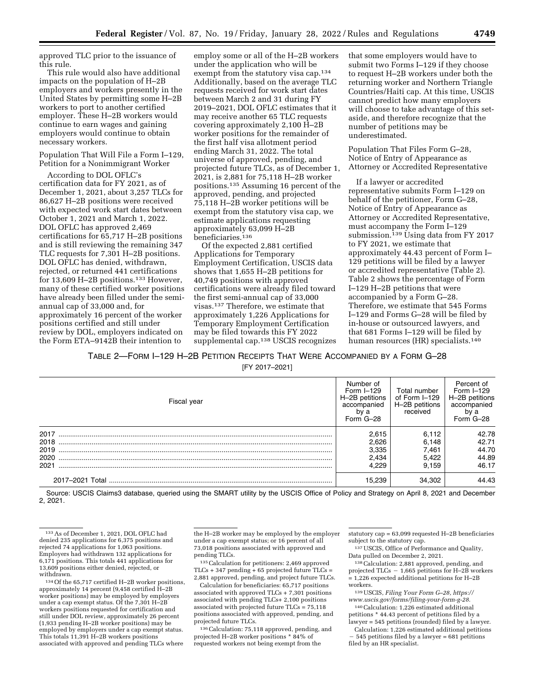approved TLC prior to the issuance of this rule.

This rule would also have additional impacts on the population of H–2B employers and workers presently in the United States by permitting some H–2B workers to port to another certified employer. These H–2B workers would continue to earn wages and gaining employers would continue to obtain necessary workers.

Population That Will File a Form I–129, Petition for a Nonimmigrant Worker

According to DOL OFLC's certification data for FY 2021, as of December 1, 2021, about 3,257 TLCs for 86,627 H–2B positions were received with expected work start dates between October 1, 2021 and March 1, 2022. DOL OFLC has approved 2,469 certifications for 65,717 H–2B positions and is still reviewing the remaining 347 TLC requests for 7,301 H–2B positions. DOL OFLC has denied, withdrawn, rejected, or returned 441 certifications for 13,609 H–2B positions.133 However, many of these certified worker positions have already been filled under the semiannual cap of 33,000 and, for approximately 16 percent of the worker positions certified and still under review by DOL, employers indicated on the Form ETA–9142B their intention to

employ some or all of the H–2B workers under the application who will be exempt from the statutory visa cap.<sup>134</sup> Additionally, based on the average TLC requests received for work start dates between March 2 and 31 during FY 2019–2021, DOL OFLC estimates that it may receive another 65 TLC requests covering approximately 2,100 H–2B worker positions for the remainder of the first half visa allotment period ending March 31, 2022. The total universe of approved, pending, and projected future TLCs, as of December 1, 2021, is 2,881 for 75,118 H–2B worker positions.135 Assuming 16 percent of the approved, pending, and projected 75,118 H–2B worker petitions will be exempt from the statutory visa cap, we estimate applications requesting approximately 63,099 H–2B beneficiaries.136

Of the expected 2,881 certified Applications for Temporary Employment Certification, USCIS data shows that 1,655 H–2B petitions for 40,749 positions with approved certifications were already filed toward the first semi-annual cap of 33,000 visas.137 Therefore, we estimate that approximately 1,226 Applications for Temporary Employment Certification may be filed towards this FY 2022 supplemental cap.138 USCIS recognizes that some employers would have to submit two Forms I–129 if they choose to request H–2B workers under both the returning worker and Northern Triangle Countries/Haiti cap. At this time, USCIS cannot predict how many employers will choose to take advantage of this setaside, and therefore recognize that the number of petitions may be underestimated.

Population That Files Form G–28, Notice of Entry of Appearance as Attorney or Accredited Representative

If a lawyer or accredited representative submits Form I–129 on behalf of the petitioner, Form G–28, Notice of Entry of Appearance as Attorney or Accredited Representative, must accompany the Form I–129 submission.<sup>139</sup> Using data from FY 2017 to FY 2021, we estimate that approximately 44.43 percent of Form I– 129 petitions will be filed by a lawyer or accredited representative (Table 2). Table 2 shows the percentage of Form I–129 H–2B petitions that were accompanied by a Form G–28. Therefore, we estimate that 545 Forms I–129 and Forms G–28 will be filed by in-house or outsourced lawyers, and that 681 Forms I–129 will be filed by human resources (HR) specialists.140

TABLE 2—FORM I–129 H–2B PETITION RECEIPTS THAT WERE ACCOMPANIED BY A FORM G–28 [FY 2017–2021]

| Fiscal year | Number of<br>Form $I=129$<br>H-2B petitions<br>accompanied<br>by a<br>Form G-28 | Total number<br>of Form I-129<br>H-2B petitions<br>received | Percent of<br>Form $I=129$<br>H-2B petitions<br>accompanied<br>by a<br>Form G-28 |
|-------------|---------------------------------------------------------------------------------|-------------------------------------------------------------|----------------------------------------------------------------------------------|
| 2017        | 2,615                                                                           | 6.112                                                       | 42.78                                                                            |
| 2018        | 2.626                                                                           | 6.148                                                       | 42.71                                                                            |
| 2019        | 3.335                                                                           | 7.461                                                       | 44.70                                                                            |
| 2020        | 2.434                                                                           | 5.422                                                       | 44.89                                                                            |
| 2021        | 4.229                                                                           | 9.159                                                       | 46.17                                                                            |
|             | 15.239                                                                          | 34,302                                                      | 44.43                                                                            |

Source: USCIS Claims3 database, queried using the SMART utility by the USCIS Office of Policy and Strategy on April 8, 2021 and December 2, 2021.

the H–2B worker may be employed by the employer under a cap exempt status; or 16 percent of all 73,018 positions associated with approved and pending TLCs.

135Calculation for petitioners: 2,469 approved  $TLCs + 347$  pending  $+ 65$  projected future  $TLCs =$ 2,881 approved, pending, and project future TLCs.

Calculation for beneficiaries: 65,717 positions associated with approved TLCs + 7,301 positions associated with pending TLCs+ 2,100 positions associated with projected future  $TLCs = 75,118$ positions associated with approved, pending, and projected future TLCs.

136Calculation: 75,118 approved, pending, and projected H–2B worker positions \* 84% of requested workers not being exempt from the

statutory cap = 63,099 requested H–2B beneficiaries subject to the statutory cap.

137USCIS, Office of Performance and Quality, Data pulled on December 2, 2021.

138Calculation: 2,881 approved, pending, and projected TLCs  $-1,665$  petitions for H–2B workers = 1,226 expected additional petitions for H–2B workers.

139USCIS, *Filing Your Form G–28, [https://](https://www.uscis.gov/forms/filing-your-form-g-28) [www.uscis.gov/forms/filing-your-form-g-28.](https://www.uscis.gov/forms/filing-your-form-g-28)*  140Calculation: 1,226 estimated additional

petitions \* 44.43 percent of petitions filed by a lawyer = 545 petitions (rounded) filed by a lawyer.

Calculation: 1,226 estimated additional petitions 545 petitions filed by a lawyer = 681 petitions filed by an HR specialist.

<sup>133</sup>As of December 1, 2021, DOL OFLC had denied 235 applications for 6,375 positions and rejected 74 applications for 1,063 positions. Employers had withdrawn 132 applications for 6,171 positions. This totals 441 applications for 13,609 positions either denied, rejected, or

withdrawn.<br><sup>134</sup> Of the 65,717 certified H–2B worker positions,<br>approximately 14 percent (9,458 certified H–2B worker positions) may be employed by employers under a cap exempt status. Of the 7,301 H–2B workers positions requested for certification and still under DOL review, approximately 26 percent (1,933 pending H–2B worker positions) may be employed by employers under a cap exempt status. This totals 11,391 H–2B workers positions associated with approved and pending TLCs where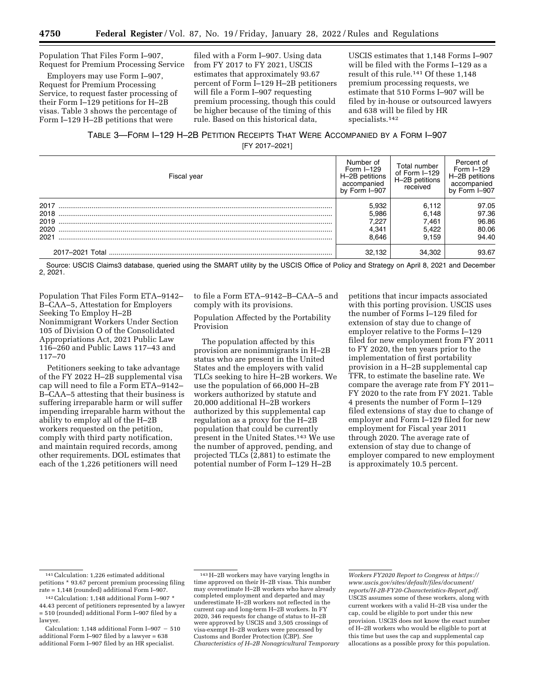Population That Files Form I–907, Request for Premium Processing Service

Employers may use Form I–907, Request for Premium Processing Service, to request faster processing of their Form I–129 petitions for H–2B visas. Table 3 shows the percentage of Form I–129 H–2B petitions that were

filed with a Form I–907. Using data from FY 2017 to FY 2021, USCIS estimates that approximately 93.67 percent of Form I–129 H–2B petitioners will file a Form I–907 requesting premium processing, though this could be higher because of the timing of this rule. Based on this historical data,

USCIS estimates that 1,148 Forms I–907 will be filed with the Forms I–129 as a result of this rule.141 Of these 1,148 premium processing requests, we estimate that 510 Forms I–907 will be filed by in-house or outsourced lawyers and 638 will be filed by HR specialists.142

TABLE 3—FORM I–129 H–2B PETITION RECEIPTS THAT WERE ACCOMPANIED BY A FORM I–907 [FY 2017–2021]

| Fiscal year | Number of<br>Form $I=129$<br>H-2B petitions<br>accompanied<br>by Form I-907 | Total number<br>of Form I-129<br>H-2B petitions<br>received | Percent of<br>Form $I=129$<br>H-2B petitions<br>accompanied<br>by Form I-907 |
|-------------|-----------------------------------------------------------------------------|-------------------------------------------------------------|------------------------------------------------------------------------------|
| 2017        | 5.932                                                                       | 6.112                                                       | 97.05                                                                        |
| 2018        | 5.986                                                                       | 6.148                                                       | 97.36                                                                        |
| 2019        | 7.227                                                                       | 7.461                                                       | 96.86                                                                        |
| 2020        | 4.341                                                                       | 5.422                                                       | 80.06                                                                        |
| 2021        | 8.646                                                                       | 9.159                                                       | 94.40                                                                        |
|             | 32.132                                                                      | 34.302                                                      | 93.67                                                                        |

Source: USCIS Claims3 database, queried using the SMART utility by the USCIS Office of Policy and Strategy on April 8, 2021 and December 2, 2021.

Population That Files Form ETA–9142– B–CAA–5, Attestation for Employers Seeking To Employ H–2B Nonimmigrant Workers Under Section 105 of Division O of the Consolidated Appropriations Act, 2021 Public Law 116–260 and Public Laws 117–43 and 117–70

Petitioners seeking to take advantage of the FY 2022 H–2B supplemental visa cap will need to file a Form ETA–9142– B–CAA–5 attesting that their business is suffering irreparable harm or will suffer impending irreparable harm without the ability to employ all of the H–2B workers requested on the petition, comply with third party notification, and maintain required records, among other requirements. DOL estimates that each of the 1,226 petitioners will need

to file a Form ETA–9142–B–CAA–5 and comply with its provisions.

## Population Affected by the Portability Provision

The population affected by this provision are nonimmigrants in H–2B status who are present in the United States and the employers with valid TLCs seeking to hire H–2B workers. We use the population of 66,000 H–2B workers authorized by statute and 20,000 additional H–2B workers authorized by this supplemental cap regulation as a proxy for the H–2B population that could be currently present in the United States.143 We use the number of approved, pending, and projected TLCs (2,881) to estimate the potential number of Form I–129 H–2B

petitions that incur impacts associated with this porting provision. USCIS uses the number of Forms I–129 filed for extension of stay due to change of employer relative to the Forms I–129 filed for new employment from FY 2011 to FY 2020, the ten years prior to the implementation of first portability provision in a H–2B supplemental cap TFR, to estimate the baseline rate. We compare the average rate from FY 2011– FY 2020 to the rate from FY 2021. Table 4 presents the number of Form I–129 filed extensions of stay due to change of employer and Form I–129 filed for new employment for Fiscal year 2011 through 2020. The average rate of extension of stay due to change of employer compared to new employment is approximately 10.5 percent.

<sup>141</sup>Calculation: 1,226 estimated additional petitions \* 93.67 percent premium processing filing rate = 1,148 (rounded) additional Form I–907.

<sup>142</sup>Calculation: 1,148 additional Form I–907 \* 44.43 percent of petitioners represented by a lawyer = 510 (rounded) additional Form I–907 filed by a lawyer.

Calculation: 1,148 additional Form I-907  $-510$ additional Form I–907 filed by a lawyer = 638 additional Form I–907 filed by an HR specialist.

<sup>143</sup>H–2B workers may have varying lengths in time approved on their H–2B visas. This number may overestimate H–2B workers who have already completed employment and departed and may underestimate H–2B workers not reflected in the current cap and long-term H–2B workers. In FY 2020, 346 requests for change of status to H–2B were approved by USCIS and 3,505 crossings of visa-exempt H–2B workers were processed by Customs and Border Protection (CBP). *See Characteristics of H–2B Nonagricultural Temporary* 

*Workers FY2020 Report to Congress at [https://](https://www.uscis.gov/sites/default/files/document/reports/H-2B-FY20-Characteristics-Report.pdf) [www.uscis.gov/sites/default/files/document/](https://www.uscis.gov/sites/default/files/document/reports/H-2B-FY20-Characteristics-Report.pdf) [reports/H-2B-FY20-Characteristics-Report.pdf.](https://www.uscis.gov/sites/default/files/document/reports/H-2B-FY20-Characteristics-Report.pdf)*  USCIS assumes some of these workers, along with current workers with a valid H–2B visa under the cap, could be eligible to port under this new provision. USCIS does not know the exact number of H–2B workers who would be eligible to port at this time but uses the cap and supplemental cap allocations as a possible proxy for this population.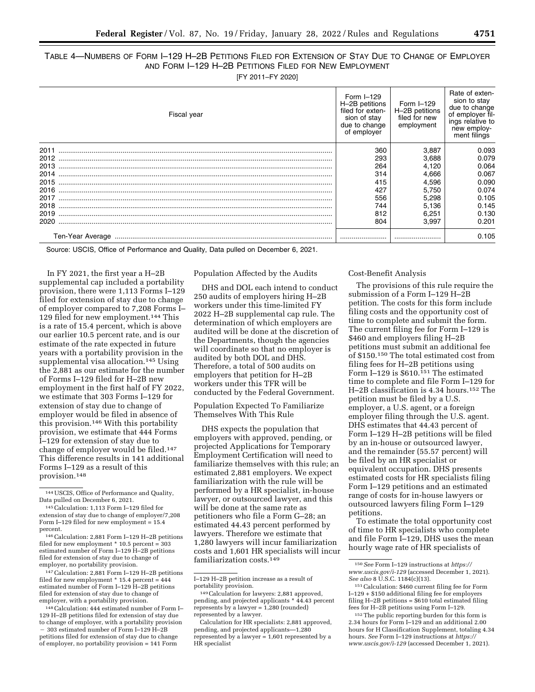# TABLE 4—NUMBERS OF FORM I–129 H–2B PETITIONS FILED FOR EXTENSION OF STAY DUE TO CHANGE OF EMPLOYER AND FORM I–129 H–2B PETITIONS FILED FOR NEW EMPLOYMENT

[FY 2011–FY 2020]

| Fiscal year | Form $I=129$<br>H-2B petitions<br>filed for exten-<br>sion of stav<br>due to change<br>of employer | Form I-129<br>H-2B petitions<br>filed for new<br>employment | Rate of exten-<br>sion to stay<br>due to change<br>of employer fil-<br>ings relative to<br>new employ-<br>ment filings |
|-------------|----------------------------------------------------------------------------------------------------|-------------------------------------------------------------|------------------------------------------------------------------------------------------------------------------------|
| 2011        | 360                                                                                                | 3,887                                                       | 0.093                                                                                                                  |
| 2012        | 293                                                                                                | 3.688                                                       | 0.079                                                                                                                  |
| 2013        | 264                                                                                                | 4.120                                                       | 0.064                                                                                                                  |
| 2014        | 314                                                                                                | 4,666                                                       | 0.067                                                                                                                  |
| 2015        | 415                                                                                                | 4,596                                                       | 0.090                                                                                                                  |
| 2016        | 427                                                                                                | 5.750                                                       | 0.074                                                                                                                  |
| 2017        | 556                                                                                                | 5.298                                                       | 0.105                                                                                                                  |
| 2018        | 744                                                                                                | 5.136                                                       | 0.145                                                                                                                  |
| 2019        | 812                                                                                                | 6.251                                                       | 0.130                                                                                                                  |
| 2020        | 804                                                                                                | 3.997                                                       | 0.201                                                                                                                  |
|             |                                                                                                    |                                                             | 0.105                                                                                                                  |

Source: USCIS, Office of Performance and Quality, Data pulled on December 6, 2021.

In FY 2021, the first year a H–2B supplemental cap included a portability provision, there were 1,113 Forms I–129 filed for extension of stay due to change of employer compared to 7,208 Forms I– 129 filed for new employment.144 This is a rate of 15.4 percent, which is above our earlier 10.5 percent rate, and is our estimate of the rate expected in future years with a portability provision in the supplemental visa allocation.145 Using the 2,881 as our estimate for the number of Forms I–129 filed for H–2B new employment in the first half of FY 2022, we estimate that 303 Forms I–129 for extension of stay due to change of employer would be filed in absence of this provision.146 With this portability provision, we estimate that 444 Forms I–129 for extension of stay due to change of employer would be filed.147 This difference results in 141 additional Forms I–129 as a result of this provision.148

146Calculation: 2,881 Form I–129 H–2B petitions filed for new employment \* 10.5 percent = 303 estimated number of Form I–129 H–2B petitions filed for extension of stay due to change of employer, no portability provision.

147Calculation: 2,881 Form I–129 H–2B petitions filed for new employment \* 15.4 percent = 444 estimated number of Form I–129 H–2B petitions filed for extension of stay due to change of employer, with a portability provision.

148Calculation: 444 estimated number of Form I– 129 H–2B petitions filed for extension of stay due to change of employer, with a portability provision - 303 estimated number of Form I-129 H-2B petitions filed for extension of stay due to change of employer, no portability provision = 141 Form

### Population Affected by the Audits

DHS and DOL each intend to conduct 250 audits of employers hiring H–2B workers under this time-limited FY 2022 H–2B supplemental cap rule. The determination of which employers are audited will be done at the discretion of the Departments, though the agencies will coordinate so that no employer is audited by both DOL and DHS. Therefore, a total of 500 audits on employers that petition for H–2B workers under this TFR will be conducted by the Federal Government.

Population Expected To Familiarize Themselves With This Rule

DHS expects the population that employers with approved, pending, or projected Applications for Temporary Employment Certification will need to familiarize themselves with this rule; an estimated 2,881 employers. We expect familiarization with the rule will be performed by a HR specialist, in-house lawyer, or outsourced lawyer, and this will be done at the same rate as petitioners who file a Form G–28; an estimated 44.43 percent performed by lawyers. Therefore we estimate that 1,280 lawyers will incur familiarization costs and 1,601 HR specialists will incur familiarization costs.149

I–129 H–2B petition increase as a result of portability provision.

## Cost-Benefit Analysis

The provisions of this rule require the submission of a Form I–129 H–2B petition. The costs for this form include filing costs and the opportunity cost of time to complete and submit the form. The current filing fee for Form I–129 is \$460 and employers filing H–2B petitions must submit an additional fee of \$150.150 The total estimated cost from filing fees for H–2B petitions using Form I–129 is \$610.151 The estimated time to complete and file Form I–129 for H–2B classification is 4.34 hours.152 The petition must be filed by a U.S. employer, a U.S. agent, or a foreign employer filing through the U.S. agent. DHS estimates that 44.43 percent of Form I–129 H–2B petitions will be filed by an in-house or outsourced lawyer, and the remainder (55.57 percent) will be filed by an HR specialist or equivalent occupation. DHS presents estimated costs for HR specialists filing Form I–129 petitions and an estimated range of costs for in-house lawyers or outsourced lawyers filing Form I–129 petitions.

To estimate the total opportunity cost of time to HR specialists who complete and file Form I–129, DHS uses the mean hourly wage rate of HR specialists of

<sup>144</sup>USCIS, Office of Performance and Quality, Data pulled on December 6, 2021.

<sup>145</sup>Calculation: 1,113 Form I–129 filed for extension of stay due to change of employer/7,208 Form I–129 filed for new employment = 15.4 percent.

<sup>149</sup>Calculation for lawyers: 2,881 approved, pending, and projected applicants \* 44.43 percent represents by a lawyer = 1,280 (rounded) represented by a lawyer.

Calculation for HR specialists: 2,881 approved, pending, and projected applicants—1,280 represented by a lawyer  $= 1,601$  represented by a HR specialist

<sup>150</sup>*See* Form I–129 instructions at *[https://](https://www.uscis.gov/i-129) [www.uscis.gov/i-129](https://www.uscis.gov/i-129)* (accessed December 1, 2021). *See also* 8 U.S.C. 1184(c)(13).

<sup>151</sup>Calculation: \$460 current filing fee for Form I–129 + \$150 additional filing fee for employers filing H–2B petitions = \$610 total estimated filing fees for H–2B petitions using Form I–129.

<sup>152</sup>The public reporting burden for this form is 2.34 hours for Form I–129 and an additional 2.00 hours for H Classification Supplement, totaling 4.34 hours. *See* Form I–129 instructions at *[https://](https://www.uscis.gov/i-129) [www.uscis.gov/i-129](https://www.uscis.gov/i-129)* (accessed December 1, 2021).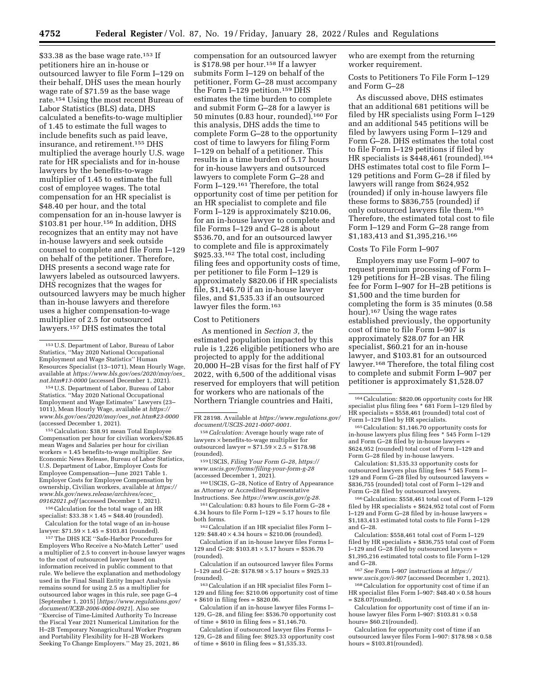\$33.38 as the base wage rate.<sup>153</sup> If petitioners hire an in-house or outsourced lawyer to file Form I–129 on their behalf, DHS uses the mean hourly wage rate of \$71.59 as the base wage rate.154 Using the most recent Bureau of Labor Statistics (BLS) data, DHS calculated a benefits-to-wage multiplier of 1.45 to estimate the full wages to include benefits such as paid leave, insurance, and retirement.155 DHS multiplied the average hourly U.S. wage rate for HR specialists and for in-house lawyers by the benefits-to-wage multiplier of 1.45 to estimate the full cost of employee wages. The total compensation for an HR specialist is \$48.40 per hour, and the total compensation for an in-house lawyer is \$103.81 per hour.<sup>156</sup> In addition, DHS recognizes that an entity may not have in-house lawyers and seek outside counsel to complete and file Form I–129 on behalf of the petitioner. Therefore, DHS presents a second wage rate for lawyers labeled as outsourced lawyers. DHS recognizes that the wages for outsourced lawyers may be much higher than in-house lawyers and therefore uses a higher compensation-to-wage multiplier of 2.5 for outsourced lawyers.157 DHS estimates the total

154U.S. Department of Labor, Bureau of Labor Statistics. ''May 2020 National Occupational Employment and Wage Estimates'' Lawyers (23– 1011), Mean Hourly Wage, available at *[https://](https://www.bls.gov/oes/2020/may/oes_nat.htm#23-0000) [www.bls.gov/oes/2020/may/oes](https://www.bls.gov/oes/2020/may/oes_nat.htm#23-0000)*\_*nat.htm#23-0000*  (accessed December 1, 2021).

155Calculation: \$38.91 mean Total Employee Compensation per hour for civilian workers/\$26.85 mean Wages and Salaries per hour for civilian workers = 1.45 benefits-to-wage multiplier. *See*  Economic News Release, Bureau of Labor Statistics, U.S. Department of Labor, Employer Costs for Employee Compensation—June 2021 Table 1. Employer Costs for Employee Compensation by ownership, Civilian workers, available at *[https://](https://www.bls.gov/news.release/archives/ecec_09162021.pdf) [www.bls.gov/news.release/archives/ecec](https://www.bls.gov/news.release/archives/ecec_09162021.pdf)*\_ *[09162021.pdf](https://www.bls.gov/news.release/archives/ecec_09162021.pdf)* (accessed December 1, 2021).

156Calculation for the total wage of an HR specialist:  $$33.38 \times 1.45 = $48.40$  (rounded). Calculation for the total wage of an in-house lawyer:  $$71.59 \times 1.45 = $103.81$  (rounded).

157The DHS ICE ''Safe-Harbor Procedures for Employers Who Receive a No-Match Letter'' used a multiplier of 2.5 to convert in-house lawyer wages to the cost of outsourced lawyer based on information received in public comment to that rule. We believe the explanation and methodology used in the Final Small Entity Impact Analysis remains sound for using 2.5 as a multiplier for outsourced labor wages in this rule, see page G–4 [September 1, 2015] [*[https://www.regulations.gov/](https://www.regulations.gov/document/ICEB-2006-0004-0921)  [document/ICEB-2006-0004-0921](https://www.regulations.gov/document/ICEB-2006-0004-0921)*]. Also see ''Exercise of Time-Limited Authority To Increase the Fiscal Year 2021 Numerical Limitation for the H–2B Temporary Nonagricultural Worker Program and Portability Flexibility for H–2B Workers Seeking To Change Employers.'' May 25, 2021, 86

compensation for an outsourced lawyer is \$178.98 per hour.158 If a lawyer submits Form I–129 on behalf of the petitioner, Form G–28 must accompany the Form I–129 petition.159 DHS estimates the time burden to complete and submit Form G–28 for a lawyer is 50 minutes (0.83 hour, rounded).160 For this analysis, DHS adds the time to complete Form G–28 to the opportunity cost of time to lawyers for filing Form I–129 on behalf of a petitioner. This results in a time burden of 5.17 hours for in-house lawyers and outsourced lawyers to complete Form G–28 and Form I-129.<sup>161</sup> Therefore, the total opportunity cost of time per petition for an HR specialist to complete and file Form I–129 is approximately \$210.06, for an in-house lawyer to complete and file Forms I–129 and G–28 is about \$536.70, and for an outsourced lawyer to complete and file is approximately \$925.33.162 The total cost, including filing fees and opportunity costs of time, per petitioner to file Form I–129 is approximately \$820.06 if HR specialists file, \$1,146.70 if an in-house lawyer files, and \$1,535.33 if an outsourced lawyer files the form.163

#### Cost to Petitioners

As mentioned in *Section 3,* the estimated population impacted by this rule is 1,226 eligible petitioners who are projected to apply for the additional 20,000 H–2B visas for the first half of FY 2022, with 6,500 of the additional visas reserved for employers that will petition for workers who are nationals of the Northern Triangle countries and Haiti,

158*Calculation:* Average hourly wage rate of lawyers × benefits-to-wage multiplier for outsourced lawyer =  $$71.59 \times 2.5 = $178.98$ (rounded).

159USCIS, *Filing Your Form G–28, [https://](https://www.uscis.gov/forms/filing-your-form-g-28) [www.uscis.gov/forms/filing-your-form-g-28](https://www.uscis.gov/forms/filing-your-form-g-28)*  (accessed December 1, 2021).

160USCIS, G–28, Notice of Entry of Appearance as Attorney or Accredited Representative Instructions. See *[https://www.uscis.gov/g-28.](https://www.uscis.gov/g-28)* 

 $^{161}\rm{Calculation:}$  0.83 hours to file Form G–28  $+$ 4.34 hours to file Form I–129 = 5.17 hours to file both forms.

162Calculation if an HR specialist files Form I– 129:  $$48.40 \times 4.34$  hours =  $$210.06$  (rounded).

Calculation if an in-house lawyer files Forms I– 129 and G–28: \$103.81 × 5.17 hours = \$536.70 (rounded).

Calculation if an outsourced lawyer files Forms I–129 and G–28: \$178.98 × 5.17 hours = \$925.33 (rounded).

163Calculation if an HR specialist files Form I– 129 and filing fee: \$210.06 opportunity cost of time + \$610 in filing fees = \$820.06.

Calculation if an in-house lawyer files Forms I– 129, G–28, and filing fee: \$536.70 opportunity cost of time + \$610 in filing fees = \$1,146.70.

Calculation if outsourced lawyer files Forms I– 129, G–28 and filing fee: \$925.33 opportunity cost of time  $+$  \$610 in filing fees = \$1,535.33.

who are exempt from the returning worker requirement.

Costs to Petitioners To File Form I–129 and Form G–28

As discussed above, DHS estimates that an additional 681 petitions will be filed by HR specialists using Form I–129 and an additional 545 petitions will be filed by lawyers using Form I–129 and Form G–28. DHS estimates the total cost to file Form I–129 petitions if filed by HR specialists is \$448,461 (rounded).<sup>164</sup> DHS estimates total cost to file Form I– 129 petitions and Form G–28 if filed by lawyers will range from \$624,952 (rounded) if only in-house lawyers file these forms to \$836,755 (rounded) if only outsourced lawyers file them.165 Therefore, the estimated total cost to file Form I–129 and Form G–28 range from \$1,183,413 and \$1,395,216.166

### Costs To File Form I–907

Employers may use Form I–907 to request premium processing of Form I– 129 petitions for H–2B visas. The filing fee for Form I–907 for H–2B petitions is \$1,500 and the time burden for completing the form is 35 minutes (0.58 hour).167 Using the wage rates established previously, the opportunity cost of time to file Form I–907 is approximately \$28.07 for an HR specialist, \$60.21 for an in-house lawyer, and \$103.81 for an outsourced lawyer.168 Therefore, the total filing cost to complete and submit Form I–907 per petitioner is approximately \$1,528.07

165Calculation: \$1,146.70 opportunity costs for in-house lawyers plus filing fees \* 545 Form I–129 and Form G–28 filed by in-house lawyers = \$624,952 (rounded) total cost of Form I–129 and Form G–28 filed by in-house lawyers.

Calculation: \$1,535.33 opportunity costs for outsourced lawyers plus filing fees \* 545 Form I– 129 and Form G–28 filed by outsourced lawyers = \$836,755 (rounded) total cost of Form I–129 and Form G–28 filed by outsourced lawyers.

166Calculation: \$558,461 total cost of Form I–129 filed by HR specialists + \$624,952 total cost of Form I–129 and Form G–28 filed by in-house lawyers = \$1,183,413 estimated total costs to file Form I–129 and G–28.

Calculation: \$558,461 total cost of Form I–129 filed by HR specialists + \$836,755 total cost of Form I–129 and G–28 filed by outsourced lawyers = \$1,395,216 estimated total costs to file Form I–129 and G–28.

167*See* Form I–907 instructions at *[https://](https://www.uscis.gov/i-907)*

*[www.uscis.gov/i-907](https://www.uscis.gov/i-907)* (accessed December 1, 2021). 168Calculation for opportunity cost of time if an

HR specialist files Form I-907:  $$48.40 \times 0.58$  hours = \$28.07(rounded).

Calculation for opportunity cost of time if an inhouse lawyer files Form I-907:  $$103.81 \times 0.58$ hours= \$60.21(rounded).

Calculation for opportunity cost of time if an outsourced lawyer files Form I–907: \$178.98 × 0.58 hours =  $$103.81$ (rounded).

<sup>153</sup>U.S. Department of Labor, Bureau of Labor Statistics, ''May 2020 National Occupational Employment and Wage Statistics'' Human Resources Specialist (13–1071), Mean Hourly Wage, available at *[https://www.bls.gov/oes/2020/may/oes](https://www.bls.gov/oes/2020/may/oes_nat.htm#13-0000)*\_ *[nat.htm#13-0000](https://www.bls.gov/oes/2020/may/oes_nat.htm#13-0000)* (accessed December 1, 2021).

FR 28198. Available at *[https://www.regulations.gov/](https://www.regulations.gov/document/USCIS-2021-0007-0001)  [document/USCIS-2021-0007-0001.](https://www.regulations.gov/document/USCIS-2021-0007-0001)* 

<sup>164</sup>Calculation: \$820.06 opportunity costs for HR specialist plus filing fees \* 681 Form I–129 filed by HR specialists = \$558,461 (rounded) total cost of Form I–129 filed by HR specialists.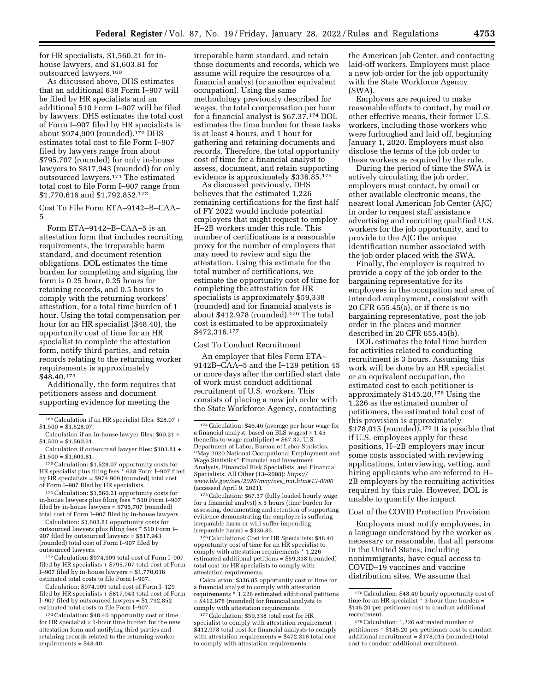for HR specialists, \$1,560.21 for inhouse lawyers, and \$1,603.81 for outsourced lawyers.169

As discussed above, DHS estimates that an additional 638 Form I–907 will be filed by HR specialists and an additional 510 Form I–907 will be filed by lawyers. DHS estimates the total cost of Form I–907 filed by HR specialists is about  $$974,909$  (rounded).<sup>170</sup> DHS estimates total cost to file Form I–907 filed by lawyers range from about \$795,707 (rounded) for only in-house lawyers to \$817,943 (rounded) for only outsourced lawyers.171 The estimated total cost to file Form I–907 range from \$1,770,616 and \$1,792,852.172

Cost To File Form ETA–9142–B–CAA– 5

Form ETA–9142–B–CAA–5 is an attestation form that includes recruiting requirements, the irreparable harm standard, and document retention obligations. DOL estimates the time burden for completing and signing the form is 0.25 hour, 0.25 hours for retaining records, and 0.5 hours to comply with the returning workers' attestation, for a total time burden of 1 hour. Using the total compensation per hour for an HR specialist (\$48.40), the opportunity cost of time for an HR specialist to complete the attestation form, notify third parties, and retain records relating to the returning worker requirements is approximately \$48.40.173

Additionally, the form requires that petitioners assess and document supporting evidence for meeting the

170Calculation: \$1,528.07 opportunity costs for HR specialist plus filing fees \* 638 Form I–907 filed by HR specialists =  $$974,909$  (rounded) total cost of Form I–907 filed by HR specialists.

171Calculation: \$1,560.21 opportunity costs for in-house lawyers plus filing fees \* 510 Form I–907 filed by in-house lawyers = \$795,707 (rounded) total cost of Form I–907 filed by in-house lawyers.

Calculation: \$1,603.81 opportunity costs for outsourced lawyers plus filing fees \* 510 Form I– 907 filed by outsourced lawyers = \$817,943 (rounded) total cost of Form I–907 filed by outsourced lawyers.

172Calculation: \$974,909 total cost of Form I–907 filed by HR specialists + \$795,707 total cost of Form I–907 filed by in-house lawyers = \$1,770,616 estimated total costs to file Form I–907.

Calculation: \$974,909 total cost of Form I–129 filed by HR specialists + \$817,943 total cost of Form I–907 filed by outsourced lawyers = \$1,792,852 estimated total costs to file Form I–907.

173Calculation: \$48.40 opportunity cost of time for HR specialist  $\times$  1-hour time burden for the new attestation form and notifying third parties and retaining records related to the returning worker requirements = \$48.40.

irreparable harm standard, and retain those documents and records, which we assume will require the resources of a financial analyst (or another equivalent occupation). Using the same methodology previously described for wages, the total compensation per hour for a financial analyst is \$67.37.174 DOL estimates the time burden for these tasks is at least 4 hours, and 1 hour for gathering and retaining documents and records. Therefore, the total opportunity cost of time for a financial analyst to assess, document, and retain supporting evidence is approximately \$336.85.175

As discussed previously, DHS believes that the estimated 1,226 remaining certifications for the first half of FY 2022 would include potential employers that might request to employ H–2B workers under this rule. This number of certifications is a reasonable proxy for the number of employers that may need to review and sign the attestation. Using this estimate for the total number of certifications, we estimate the opportunity cost of time for completing the attestation for HR specialists is approximately \$59,338 (rounded) and for financial analysts is about \$412,978 (rounded).176 The total cost is estimated to be approximately \$472,316.177

## Cost To Conduct Recruitment

An employer that files Form ETA– 9142B–CAA–5 and the I–129 petition 45 or more days after the certified start date of work must conduct additional recruitment of U.S. workers. This consists of placing a new job order with the State Workforce Agency, contacting

175Calculation: \$67.37 (fully loaded hourly wage for a financial analyst) x 5 hours (time burden for assessing, documenting and retention of supporting evidence demonstrating the employer is suffering irreparable harm or will suffer impending irreparable harm) = \$336.85.

<sup>176</sup> Calculations: Cost for HR Specialists: \$48.40 opportunity cost of time for an HR specialist to comply with attestation requirements \* 1,226 estimated additional petitions = \$59,338 (rounded) total cost for HR specialists to comply with attestation requirements.

Calculation: \$336.85 opportunity cost of time for a financial analyst to comply with attestation requirements \* 1,226 estimated additional petitions = \$412,978 (rounded) for financial analysts to comply with attestation requirements.

177Calculation: \$59,338 total cost for HR specialist to comply with attestation requirement + \$412,978 total cost for financial analysts to comply with attestation requirements = \$472,316 total cost to comply with attestation requirements.

the American Job Center, and contacting laid-off workers. Employers must place a new job order for the job opportunity with the State Workforce Agency (SWA).

Employers are required to make reasonable efforts to contact, by mail or other effective means, their former U.S. workers, including those workers who were furloughed and laid off, beginning January 1, 2020. Employers must also disclose the terms of the job order to these workers as required by the rule.

During the period of time the SWA is actively circulating the job order, employers must contact, by email or other available electronic means, the nearest local American Job Center (AJC) in order to request staff assistance advertising and recruiting qualified U.S. workers for the job opportunity, and to provide to the AJC the unique identification number associated with the job order placed with the SWA.

Finally, the employer is required to provide a copy of the job order to the bargaining representative for its employees in the occupation and area of intended employment, consistent with 20 CFR 655.45(a), or if there is no bargaining representative, post the job order in the places and manner described in 20 CFR 655.45(b).

DOL estimates the total time burden for activities related to conducting recruitment is 3 hours. Assuming this work will be done by an HR specialist or an equivalent occupation, the estimated cost to each petitioner is approximately \$145.20.178 Using the 1,226 as the estimated number of petitioners, the estimated total cost of this provision is approximately  $$178,015$  (rounded).<sup>179</sup> It is possible that if U.S. employees apply for these positions, H–2B employers may incur some costs associated with reviewing applications, interviewing, vetting, and hiring applicants who are referred to H– 2B employers by the recruiting activities required by this rule. However, DOL is unable to quantify the impact.

### Cost of the COVID Protection Provision

Employers must notify employees, in a language understood by the worker as necessary or reasonable, that all persons in the United States, including nonimmigrants, have equal access to COVID–19 vaccines and vaccine distribution sites. We assume that

<sup>169</sup>Calculation if an HR specialist files: \$28.07 +  $$1,500 = $1,528.07$ .

Calculation if an in-house lawyer files: \$60.21 +  $$1,500 = $1,560.21$ .

Calculation if outsourced lawyer files: \$103.81 +  $$1,500 = $1,603.81$ .

<sup>174</sup>Calculation: \$46.46 (average per hour wage for a financial analyst, based on BLS wages)  $\times$  1.45 (benefits-to-wage multiplier) = \$67.37. U.S. Department of Labor, Bureau of Labor Statistics, ''May 2020 National Occupational Employment and Wage Statistics'' Financial and Investment Analysts, Financial Risk Specialists, and Financial Specialists, All Other (13–2098): *[https://](https://www.bls.gov/oes/2020/may/oes_nat.htm#13-0000) [www.bls.gov/oes/2020/may/oes](https://www.bls.gov/oes/2020/may/oes_nat.htm#13-0000)*\_*nat.htm#13-0000*  (accessed April 9, 2021).

<sup>178</sup>Calculation: \$48.40 hourly opportunity cost of time for an HR specialist \* 3-hour time burden = \$145.20 per petitioner cost to conduct additional recruitment.

<sup>179</sup>Calculation: 1,226 estimated number of petitioners \* \$145.20 per petitioner cost to conduct additional recruitment  $= $178,015$  (rounded) total cost to conduct additional recruitment.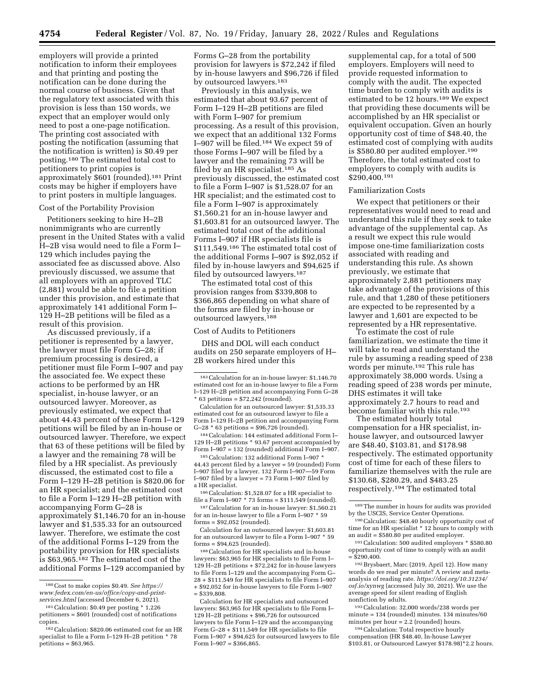employers will provide a printed notification to inform their employees and that printing and posting the notification can be done during the normal course of business. Given that the regulatory text associated with this provision is less than 150 words, we expect that an employer would only need to post a one-page notification. The printing cost associated with posting the notification (assuming that the notification is written) is \$0.49 per posting.180 The estimated total cost to petitioners to print copies is approximately \$601 (rounded).181 Print costs may be higher if employers have to print posters in multiple languages.

## Cost of the Portability Provision

Petitioners seeking to hire H–2B nonimmigrants who are currently present in the United States with a valid H–2B visa would need to file a Form I– 129 which includes paying the associated fee as discussed above. Also previously discussed, we assume that all employers with an approved TLC (2,881) would be able to file a petition under this provision, and estimate that approximately 141 additional Form I– 129 H–2B petitions will be filed as a result of this provision.

As discussed previously, if a petitioner is represented by a lawyer, the lawyer must file Form G–28; if premium processing is desired, a petitioner must file Form I–907 and pay the associated fee. We expect these actions to be performed by an HR specialist, in-house lawyer, or an outsourced lawyer. Moreover, as previously estimated, we expect that about 44.43 percent of these Form I–129 petitions will be filed by an in-house or outsourced lawyer. Therefore, we expect that 63 of these petitions will be filed by a lawyer and the remaining 78 will be filed by a HR specialist. As previously discussed, the estimated cost to file a Form I–129 H–2B petition is \$820.06 for an HR specialist; and the estimated cost to file a Form I–129 H–2B petition with accompanying Form G–28 is approximately \$1,146.70 for an in-house lawyer and \$1,535.33 for an outsourced lawyer. Therefore, we estimate the cost of the additional Forms I–129 from the portability provision for HR specialists is \$63,965.182 The estimated cost of the additional Forms I–129 accompanied by

Forms G–28 from the portability provision for lawyers is \$72,242 if filed by in-house lawyers and \$96,726 if filed by outsourced lawyers.<sup>183</sup>

Previously in this analysis, we estimated that about 93.67 percent of Form I–129 H–2B petitions are filed with Form I–907 for premium processing. As a result of this provision, we expect that an additional 132 Forms I–907 will be filed.184 We expect 59 of those Forms I–907 will be filed by a lawyer and the remaining 73 will be filed by an HR specialist.185 As previously discussed, the estimated cost to file a Form I–907 is \$1,528.07 for an HR specialist; and the estimated cost to file a Form I–907 is approximately \$1,560.21 for an in-house lawyer and \$1,603.81 for an outsourced lawyer. The estimated total cost of the additional Forms I–907 if HR specialists file is \$111,549.186 The estimated total cost of the additional Forms I–907 is \$92,052 if filed by in-house lawyers and \$94,625 if filed by outsourced lawyers.187

The estimated total cost of this provision ranges from \$339,808 to \$366,865 depending on what share of the forms are filed by in-house or outsourced lawyers.188

#### Cost of Audits to Petitioners

DHS and DOL will each conduct audits on 250 separate employers of H– 2B workers hired under this

Calculation for an outsourced lawyer: \$1,535.33 estimated cost for an outsourced lawyer to file a Form I–129 H–2B petition and accompanying Form  $G-28$  \* 63 petitions = \$96,726 (rounded).

184Calculation: 144 estimated additional Form I– 129 H–2B petitions \* 93.67 percent accompanied by Form I–907 = 132 (rounded) additional Form I–907.

185Calculation: 132 additional Form I–907 \* 44.43 percent filed by a lawyer = 59 (rounded) Form I–907 filed by a lawyer. 132 Form I–907—59 Form I–907 filed by a lawyer = 73 Form I–907 filed by a HR specialist.

186Calculation: \$1,528.07 for a HR specialist to file a Form I–907 \* 73 forms = \$111,549 (rounded).

187Calculation for an in-house lawyer: \$1,560.21 for an in-house lawyer to file a Form I–907 \* 59 forms = \$92,052 (rounded).

Calculation for an outsourced lawyer: \$1,603.81 for an outsourced lawyer to file a Form I–907 \* 59 forms = \$94,625 (rounded).

188Calculation for HR specialists and in-house lawyers: \$63,965 for HR specialists to file Form I– 129 H–2B petitions + \$72,242 for in-house lawyers to file Form I–129 and the accompanying Form G– 28 + \$111,549 for HR specialists to file Form I–907 + \$92,052 for in-house lawyers to file Form I–907  $=$  \$339,808.

supplemental cap, for a total of 500 employers. Employers will need to provide requested information to comply with the audit. The expected time burden to comply with audits is estimated to be 12 hours.<sup>189</sup> We expect that providing these documents will be accomplished by an HR specialist or equivalent occupation. Given an hourly opportunity cost of time of \$48.40, the estimated cost of complying with audits is \$580.80 per audited employer.190 Therefore, the total estimated cost to employers to comply with audits is \$290,400.191

### Familiarization Costs

We expect that petitioners or their representatives would need to read and understand this rule if they seek to take advantage of the supplemental cap. As a result we expect this rule would impose one-time familiarization costs associated with reading and understanding this rule. As shown previously, we estimate that approximately 2,881 petitioners may take advantage of the provisions of this rule, and that 1,280 of these petitioners are expected to be represented by a lawyer and 1,601 are expected to be represented by a HR representative.

To estimate the cost of rule familiarization, we estimate the time it will take to read and understand the rule by assuming a reading speed of 238 words per minute.192 This rule has approximately 38,000 words. Using a reading speed of 238 words per minute, DHS estimates it will take approximately 2.7 hours to read and become familiar with this rule.193

The estimated hourly total compensation for a HR specialist, inhouse lawyer, and outsourced lawyer are \$48.40, \$103.81, and \$178.98 respectively. The estimated opportunity cost of time for each of these filers to familiarize themselves with the rule are \$130.68, \$280.29, and \$483.25 respectively.194 The estimated total

192Brysbaert, Marc (2019, April 12). How many words do we read per minute? A review and metaanalysis of reading rate. *[https://doi.org/10.31234/](https://doi.org/10.31234/osf.io/xynwg)  [osf.io/xynwg](https://doi.org/10.31234/osf.io/xynwg)* (accessed July 30, 2021). We use the average speed for silent reading of English nonfiction by adults.

193Calculation: 32,000 words/238 words per minute = 134 (rounded) minutes. 134 minutes/60 minutes per hour = 2.2 (rounded) hours.

194Calculation: Total respective hourly compensation (HR \$48.40, In-house Lawyer \$103.81, or Outsourced Lawyer \$178.98)\*2.2 hours.

<sup>180</sup>Cost to make copies \$0.49. *See [https://](https://www.fedex.com/en-us/office/copy-and-print-services.html) [www.fedex.com/en-us/office/copy-and-print](https://www.fedex.com/en-us/office/copy-and-print-services.html)[services.html](https://www.fedex.com/en-us/office/copy-and-print-services.html)* (accessed December 6, 2021).

<sup>181</sup>Calculation: \$0.49 per posting \* 1,226 petitioners = \$601 (rounded) cost of notifications copies.

<sup>182</sup> Calculation: \$820.06 estimated cost for an HR specialist to file a Form I–129 H–2B petition \* 78 petitions = \$63,965.

<sup>183</sup>Calculation for an in-house lawyer: \$1,146.70 estimated cost for an in-house lawyer to file a Form I–129 H–2B petition and accompanying Form G–28  $*$  63 petitions = \$72,242 (rounded).

Calculation for HR specialists and outsourced lawyers: \$63,965 for HR specialists to file Form I– 129 H–2B petitions + \$96,726 for outsourced lawyers to file Form I–129 and the accompanying Form G–28 + \$111,549 for HR specialists to file Form I–907 + \$94,625 for outsourced lawyers to file Form  $I-907 = $366,865$ .

<sup>189</sup>The number in hours for audits was provided by the USCIS, Service Center Operations.

<sup>190</sup>Calculation: \$48.40 hourly opportunity cost of time for an HR specialist \* 12 hours to comply with an audit = \$580.80 per audited employer.

<sup>191</sup>Calculation: 500 audited employers \* \$580.80 opportunity cost of time to comply with an audit  $=$  \$290,400.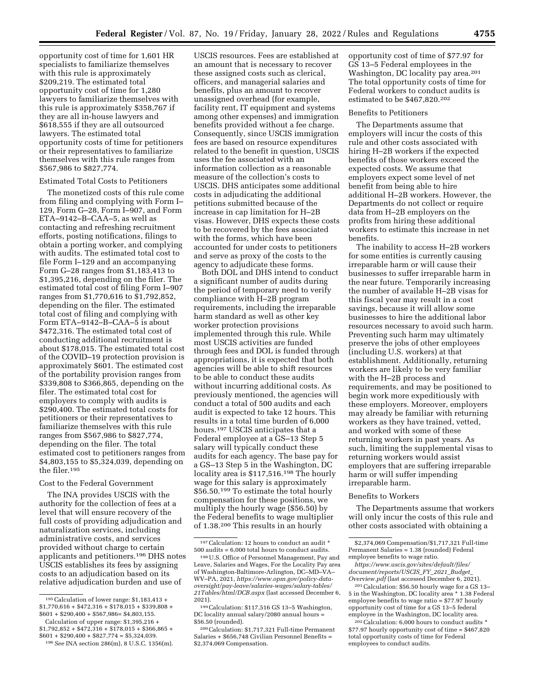opportunity cost of time for 1,601 HR specialists to familiarize themselves with this rule is approximately \$209,219. The estimated total opportunity cost of time for 1,280 lawyers to familiarize themselves with this rule is approximately \$358,767 if they are all in-house lawyers and

\$618,555 if they are all outsourced lawyers. The estimated total opportunity costs of time for petitioners or their representatives to familiarize themselves with this rule ranges from \$567,986 to \$827,774.

#### Estimated Total Costs to Petitioners

The monetized costs of this rule come from filing and complying with Form I– 129, Form G–28, Form I–907, and Form ETA–9142–B–CAA–5, as well as contacting and refreshing recruitment efforts, posting notifications, filings to obtain a porting worker, and complying with audits. The estimated total cost to file Form I–129 and an accompanying Form G–28 ranges from \$1,183,413 to \$1,395,216, depending on the filer. The estimated total cost of filing Form I–907 ranges from \$1,770,616 to \$1,792,852, depending on the filer. The estimated total cost of filing and complying with Form ETA–9142–B–CAA–5 is about \$472,316. The estimated total cost of conducting additional recruitment is about \$178,015. The estimated total cost of the COVID–19 protection provision is approximately \$601. The estimated cost of the portability provision ranges from \$339,808 to \$366,865, depending on the filer. The estimated total cost for employers to comply with audits is \$290,400. The estimated total costs for petitioners or their representatives to familiarize themselves with this rule ranges from \$567,986 to \$827,774, depending on the filer. The total estimated cost to petitioners ranges from \$4,803,155 to \$5,324,039, depending on the filer.195

## Cost to the Federal Government

The INA provides USCIS with the authority for the collection of fees at a level that will ensure recovery of the full costs of providing adjudication and naturalization services, including administrative costs, and services provided without charge to certain applicants and petitioners.196 DHS notes USCIS establishes its fees by assigning costs to an adjudication based on its relative adjudication burden and use of

USCIS resources. Fees are established at an amount that is necessary to recover these assigned costs such as clerical, officers, and managerial salaries and benefits, plus an amount to recover unassigned overhead (for example, facility rent, IT equipment and systems among other expenses) and immigration benefits provided without a fee charge. Consequently, since USCIS immigration fees are based on resource expenditures related to the benefit in question, USCIS uses the fee associated with an information collection as a reasonable measure of the collection's costs to USCIS. DHS anticipates some additional costs in adjudicating the additional petitions submitted because of the increase in cap limitation for H–2B visas. However, DHS expects these costs to be recovered by the fees associated with the forms, which have been accounted for under costs to petitioners and serve as proxy of the costs to the agency to adjudicate these forms.

Both DOL and DHS intend to conduct a significant number of audits during the period of temporary need to verify compliance with H–2B program requirements, including the irreparable harm standard as well as other key worker protection provisions implemented through this rule. While most USCIS activities are funded through fees and DOL is funded through appropriations, it is expected that both agencies will be able to shift resources to be able to conduct these audits without incurring additional costs. As previously mentioned, the agencies will conduct a total of 500 audits and each audit is expected to take 12 hours. This results in a total time burden of 6,000 hours.197 USCIS anticipates that a Federal employee at a GS–13 Step 5 salary will typically conduct these audits for each agency. The base pay for a GS–13 Step 5 in the Washington, DC locality area is \$117,516.198 The hourly wage for this salary is approximately \$56.50.199 To estimate the total hourly compensation for these positions, we multiply the hourly wage (\$56.50) by the Federal benefits to wage multiplier of 1.38.200 This results in an hourly

opportunity cost of time of \$77.97 for GS 13–5 Federal employees in the Washington, DC locality pay area.201 The total opportunity costs of time for Federal workers to conduct audits is estimated to be \$467,820.202

## Benefits to Petitioners

The Departments assume that employers will incur the costs of this rule and other costs associated with hiring H–2B workers if the expected benefits of those workers exceed the expected costs. We assume that employers expect some level of net benefit from being able to hire additional H–2B workers. However, the Departments do not collect or require data from H–2B employers on the profits from hiring these additional workers to estimate this increase in net benefits.

The inability to access H–2B workers for some entities is currently causing irreparable harm or will cause their businesses to suffer irreparable harm in the near future. Temporarily increasing the number of available H–2B visas for this fiscal year may result in a cost savings, because it will allow some businesses to hire the additional labor resources necessary to avoid such harm. Preventing such harm may ultimately preserve the jobs of other employees (including U.S. workers) at that establishment. Additionally, returning workers are likely to be very familiar with the H–2B process and requirements, and may be positioned to begin work more expeditiously with these employers. Moreover, employers may already be familiar with returning workers as they have trained, vetted, and worked with some of these returning workers in past years. As such, limiting the supplemental visas to returning workers would assist employers that are suffering irreparable harm or will suffer impending irreparable harm.

#### Benefits to Workers

The Departments assume that workers will only incur the costs of this rule and other costs associated with obtaining a

<sup>195</sup>Calculation of lower range: \$1,183,413 + \$1,770,616 + \$472,316 + \$178,015 + \$339,808 +  $$601 + $290,400 + $567,986 = $4,803,155.$ 

Calculation of upper range: \$1,395,216 +  $$1,792,852 + $472,316 + $178,015 + $366,865 +$  $$601 + $290,400 + $827,774 = $5,324,039.$ 

<sup>196</sup>*See* INA section 286(m), 8 U.S.C. 1356(m).

<sup>197</sup>Calculation: 12 hours to conduct an audit \* 500 audits = 6,000 total hours to conduct audits.

<sup>198</sup>U.S. Office of Personnel Management, Pay and Leave, Salaries and Wages, For the Locality Pay area of Washington-Baltimore-Arlington, DC–MD–VA– WV–PA, 2021, *[https://www.opm.gov/policy-data](https://www.opm.gov/policy-data-oversight/pay-leave/salaries-wages/salary-tables/21Tables/html/DCB.aspx)[oversight/pay-leave/salaries-wages/salary-tables/](https://www.opm.gov/policy-data-oversight/pay-leave/salaries-wages/salary-tables/21Tables/html/DCB.aspx)  [21Tables/html/DCB.aspx](https://www.opm.gov/policy-data-oversight/pay-leave/salaries-wages/salary-tables/21Tables/html/DCB.aspx)* (last accessed December 6, 2021).

<sup>199</sup>Calculation: \$117,516 GS 13–5 Washington, DC locality annual salary/2080 annual hours = \$56.50 (rounded).

<sup>200</sup>Calculation: \$1,717,321 Full-time Permanent Salaries + \$656,748 Civilian Personnel Benefits = \$2,374,069 Compensation.

<sup>\$2,374,069</sup> Compensation/\$1,717,321 Full-time Permanent Salaries = 1.38 (rounded) Federal employee benefits to wage ratio.

*[https://www.uscis.gov/sites/default/files/](https://www.uscis.gov/sites/default/files/document/reports/USCIS_FY_2021_Budget_Overview.pdf) [document/reports/USCIS](https://www.uscis.gov/sites/default/files/document/reports/USCIS_FY_2021_Budget_Overview.pdf)*\_*FY*\_*2021*\_*Budget*\_ *[Overview.pdf](https://www.uscis.gov/sites/default/files/document/reports/USCIS_FY_2021_Budget_Overview.pdf)* (last accessed December 6, 2021).

<sup>201</sup>Calculation: \$56.50 hourly wage for a GS 13– 5 in the Washington, DC locality area \* 1.38 Federal employee benefits to wage ratio = \$77.97 hourly opportunity cost of time for a GS 13–5 federal employee in the Washington, DC locality area.

<sup>202</sup>Calculation: 6,000 hours to conduct audits \* \$77.97 hourly opportunity cost of time = \$467,820 total opportunity costs of time for Federal employees to conduct audits.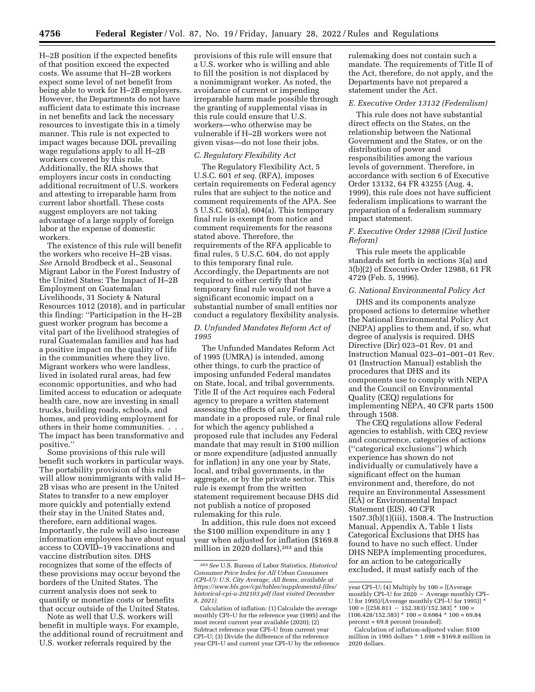H–2B position if the expected benefits of that position exceed the expected costs. We assume that H–2B workers expect some level of net benefit from being able to work for H–2B employers. However, the Departments do not have sufficient data to estimate this increase in net benefits and lack the necessary resources to investigate this in a timely manner. This rule is not expected to impact wages because DOL prevailing wage regulations apply to all H–2B workers covered by this rule. Additionally, the RIA shows that employers incur costs in conducting additional recruitment of U.S. workers and attesting to irreparable harm from current labor shortfall. These costs suggest employers are not taking advantage of a large supply of foreign labor at the expense of domestic workers.

The existence of this rule will benefit the workers who receive H–2B visas. *See* Arnold Brodbeck et al., Seasonal Migrant Labor in the Forest Industry of the United States: The Impact of H–2B Employment on Guatemalan Livelihoods, 31 Society & Natural Resources 1012 (2018), and in particular this finding: ''Participation in the H–2B guest worker program has become a vital part of the livelihood strategies of rural Guatemalan families and has had a positive impact on the quality of life in the communities where they live. Migrant workers who were landless, lived in isolated rural areas, had few economic opportunities, and who had limited access to education or adequate health care, now are investing in small trucks, building roads, schools, and homes, and providing employment for others in their home communities. . . . The impact has been transformative and positive.''

Some provisions of this rule will benefit such workers in particular ways. The portability provision of this rule will allow nonimmigrants with valid H– 2B visas who are present in the United States to transfer to a new employer more quickly and potentially extend their stay in the United States and, therefore, earn additional wages. Importantly, the rule will also increase information employees have about equal access to COVID–19 vaccinations and vaccine distribution sites. DHS recognizes that some of the effects of these provisions may occur beyond the borders of the United States. The current analysis does not seek to quantify or monetize costs or benefits that occur outside of the United States.

Note as well that U.S. workers will benefit in multiple ways. For example, the additional round of recruitment and U.S. worker referrals required by the

provisions of this rule will ensure that a U.S. worker who is willing and able to fill the position is not displaced by a nonimmigrant worker. As noted, the avoidance of current or impending irreparable harm made possible through the granting of supplemental visas in this rule could ensure that U.S. workers—who otherwise may be vulnerable if H–2B workers were not given visas—do not lose their jobs.

## *C. Regulatory Flexibility Act*

The Regulatory Flexibility Act, 5 U.S.C. 601 *et seq.* (RFA), imposes certain requirements on Federal agency rules that are subject to the notice and comment requirements of the APA. See 5 U.S.C. 603(a), 604(a). This temporary final rule is exempt from notice and comment requirements for the reasons stated above. Therefore, the requirements of the RFA applicable to final rules, 5 U.S.C. 604, do not apply to this temporary final rule. Accordingly, the Departments are not required to either certify that the temporary final rule would not have a significant economic impact on a substantial number of small entities nor conduct a regulatory flexibility analysis.

## *D. Unfunded Mandates Reform Act of 1995*

The Unfunded Mandates Reform Act of 1995 (UMRA) is intended, among other things, to curb the practice of imposing unfunded Federal mandates on State, local, and tribal governments. Title II of the Act requires each Federal agency to prepare a written statement assessing the effects of any Federal mandate in a proposed rule, or final rule for which the agency published a proposed rule that includes any Federal mandate that may result in \$100 million or more expenditure (adjusted annually for inflation) in any one year by State, local, and tribal governments, in the aggregate, or by the private sector. This rule is exempt from the written statement requirement because DHS did not publish a notice of proposed rulemaking for this rule.

In addition, this rule does not exceed the \$100 million expenditure in any 1 year when adjusted for inflation (\$169.8 million in 2020 dollars),<sup>203</sup> and this

rulemaking does not contain such a mandate. The requirements of Title II of the Act, therefore, do not apply, and the Departments have not prepared a statement under the Act.

## *E. Executive Order 13132 (Federalism)*

This rule does not have substantial direct effects on the States, on the relationship between the National Government and the States, or on the distribution of power and responsibilities among the various levels of government. Therefore, in accordance with section 6 of Executive Order 13132, 64 FR 43255 (Aug. 4, 1999), this rule does not have sufficient federalism implications to warrant the preparation of a federalism summary impact statement.

## *F. Executive Order 12988 (Civil Justice Reform)*

This rule meets the applicable standards set forth in sections 3(a) and 3(b)(2) of Executive Order 12988, 61 FR 4729 (Feb. 5, 1996).

## *G. National Environmental Policy Act*

DHS and its components analyze proposed actions to determine whether the National Environmental Policy Act (NEPA) applies to them and, if so, what degree of analysis is required. DHS Directive (Dir) 023–01 Rev. 01 and Instruction Manual 023–01–001–01 Rev. 01 (Instruction Manual) establish the procedures that DHS and its components use to comply with NEPA and the Council on Environmental Quality (CEQ) regulations for implementing NEPA, 40 CFR parts 1500 through 1508.

The CEQ regulations allow Federal agencies to establish, with CEQ review and concurrence, categories of actions (''categorical exclusions'') which experience has shown do not individually or cumulatively have a significant effect on the human environment and, therefore, do not require an Environmental Assessment (EA) or Environmental Impact Statement (EIS). 40 CFR 1507.3(b)(1)(iii), 1508.4. The Instruction Manual, Appendix A, Table 1 lists Categorical Exclusions that DHS has found to have no such effect. Under DHS NEPA implementing procedures, for an action to be categorically excluded, it must satisfy each of the

<sup>203</sup>*See* U.S. Bureau of Labor Statistics, *Historical Consumer Price Index for All Urban Consumers (CPI–U): U.S. City Average, All Items, available at [https://www.bls.gov/cpi/tables/supplemental-files/](https://www.bls.gov/cpi/tables/supplemental-files/historical-cpi-u-202103.pdf) [historical-cpi-u-202103.pdf](https://www.bls.gov/cpi/tables/supplemental-files/historical-cpi-u-202103.pdf) (last visited December 8, 2021).* 

Calculation of inflation: (1) Calculate the average monthly CPI–U for the reference year (1995) and the most recent current year available (2020); (2) Subtract reference year CPI–U from current year CPI–U; (3) Divide the difference of the reference year CPI–U and current year CPI–U by the reference

year CPI–U; (4) Multiply by 100 = [(Average monthly CPI–U for  $2020 -$  Average monthly CPI– U for 1995)/(Average monthly CPI–U for 1995)] \*  $100 = [(258.811 - 152.383)/152.383] * 100 =$  $(106.428/152.383) * 100 = 0.6984 * 100 = 69.84$ percent = 69.8 percent (rounded).

Calculation of inflation-adjusted value: \$100 million in 1995 dollars \* 1.698 = \$169.8 million in 2020 dollars.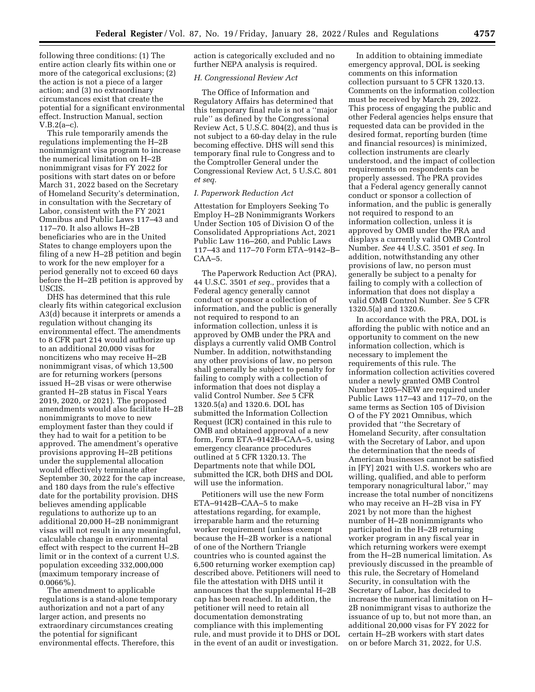following three conditions: (1) The entire action clearly fits within one or more of the categorical exclusions; (2) the action is not a piece of a larger action; and (3) no extraordinary circumstances exist that create the potential for a significant environmental effect. Instruction Manual, section V.B.2(a–c).

This rule temporarily amends the regulations implementing the H–2B nonimmigrant visa program to increase the numerical limitation on H–2B nonimmigrant visas for FY 2022 for positions with start dates on or before March 31, 2022 based on the Secretary of Homeland Security's determination, in consultation with the Secretary of Labor, consistent with the FY 2021 Omnibus and Public Laws 117–43 and 117–70. It also allows H–2B beneficiaries who are in the United States to change employers upon the filing of a new H–2B petition and begin to work for the new employer for a period generally not to exceed 60 days before the H–2B petition is approved by USCIS.

DHS has determined that this rule clearly fits within categorical exclusion A3(d) because it interprets or amends a regulation without changing its environmental effect. The amendments to 8 CFR part 214 would authorize up to an additional 20,000 visas for noncitizens who may receive H–2B nonimmigrant visas, of which 13,500 are for returning workers (persons issued H–2B visas or were otherwise granted H–2B status in Fiscal Years 2019, 2020, or 2021). The proposed amendments would also facilitate H–2B nonimmigrants to move to new employment faster than they could if they had to wait for a petition to be approved. The amendment's operative provisions approving H–2B petitions under the supplemental allocation would effectively terminate after September 30, 2022 for the cap increase, and 180 days from the rule's effective date for the portability provision. DHS believes amending applicable regulations to authorize up to an additional 20,000 H–2B nonimmigrant visas will not result in any meaningful, calculable change in environmental effect with respect to the current H–2B limit or in the context of a current U.S. population exceeding 332,000,000 (maximum temporary increase of  $0.0066\%$ ).

The amendment to applicable regulations is a stand-alone temporary authorization and not a part of any larger action, and presents no extraordinary circumstances creating the potential for significant environmental effects. Therefore, this

action is categorically excluded and no further NEPA analysis is required.

### *H. Congressional Review Act*

The Office of Information and Regulatory Affairs has determined that this temporary final rule is not a ''major rule'' as defined by the Congressional Review Act, 5 U.S.C. 804(2), and thus is not subject to a 60-day delay in the rule becoming effective. DHS will send this temporary final rule to Congress and to the Comptroller General under the Congressional Review Act, 5 U.S.C. 801 *et seq.* 

### *I. Paperwork Reduction Act*

Attestation for Employers Seeking To Employ H–2B Nonimmigrants Workers Under Section 105 of Division O of the Consolidated Appropriations Act, 2021 Public Law 116–260, and Public Laws 117–43 and 117–70 Form ETA–9142–B–  $CAA-5.$ 

The Paperwork Reduction Act (PRA), 44 U.S.C. 3501 *et seq.,* provides that a Federal agency generally cannot conduct or sponsor a collection of information, and the public is generally not required to respond to an information collection, unless it is approved by OMB under the PRA and displays a currently valid OMB Control Number. In addition, notwithstanding any other provisions of law, no person shall generally be subject to penalty for failing to comply with a collection of information that does not display a valid Control Number. *See* 5 CFR 1320.5(a) and 1320.6. DOL has submitted the Information Collection Request (ICR) contained in this rule to OMB and obtained approval of a new form, Form ETA–9142B–CAA–5, using emergency clearance procedures outlined at 5 CFR 1320.13. The Departments note that while DOL submitted the ICR, both DHS and DOL will use the information.

Petitioners will use the new Form ETA–9142B–CAA–5 to make attestations regarding, for example, irreparable harm and the returning worker requirement (unless exempt because the H–2B worker is a national of one of the Northern Triangle countries who is counted against the 6,500 returning worker exemption cap) described above. Petitioners will need to file the attestation with DHS until it announces that the supplemental H–2B cap has been reached. In addition, the petitioner will need to retain all documentation demonstrating compliance with this implementing rule, and must provide it to DHS or DOL in the event of an audit or investigation.

In addition to obtaining immediate emergency approval, DOL is seeking comments on this information collection pursuant to 5 CFR 1320.13. Comments on the information collection must be received by March 29, 2022. This process of engaging the public and other Federal agencies helps ensure that requested data can be provided in the desired format, reporting burden (time and financial resources) is minimized, collection instruments are clearly understood, and the impact of collection requirements on respondents can be properly assessed. The PRA provides that a Federal agency generally cannot conduct or sponsor a collection of information, and the public is generally not required to respond to an information collection, unless it is approved by OMB under the PRA and displays a currently valid OMB Control Number. *See* 44 U.S.C. 3501 *et seq.* In addition, notwithstanding any other provisions of law, no person must generally be subject to a penalty for failing to comply with a collection of information that does not display a valid OMB Control Number. *See* 5 CFR 1320.5(a) and 1320.6.

In accordance with the PRA, DOL is affording the public with notice and an opportunity to comment on the new information collection, which is necessary to implement the requirements of this rule. The information collection activities covered under a newly granted OMB Control Number 1205–NEW are required under Public Laws 117–43 and 117–70, on the same terms as Section 105 of Division O of the FY 2021 Omnibus, which provided that ''the Secretary of Homeland Security, after consultation with the Secretary of Labor, and upon the determination that the needs of American businesses cannot be satisfied in [FY] 2021 with U.S. workers who are willing, qualified, and able to perform temporary nonagricultural labor,'' may increase the total number of noncitizens who may receive an H–2B visa in FY 2021 by not more than the highest number of H–2B nonimmigrants who participated in the H–2B returning worker program in any fiscal year in which returning workers were exempt from the H–2B numerical limitation. As previously discussed in the preamble of this rule, the Secretary of Homeland Security, in consultation with the Secretary of Labor, has decided to increase the numerical limitation on H– 2B nonimmigrant visas to authorize the issuance of up to, but not more than, an additional 20,000 visas for FY 2022 for certain H–2B workers with start dates on or before March 31, 2022, for U.S.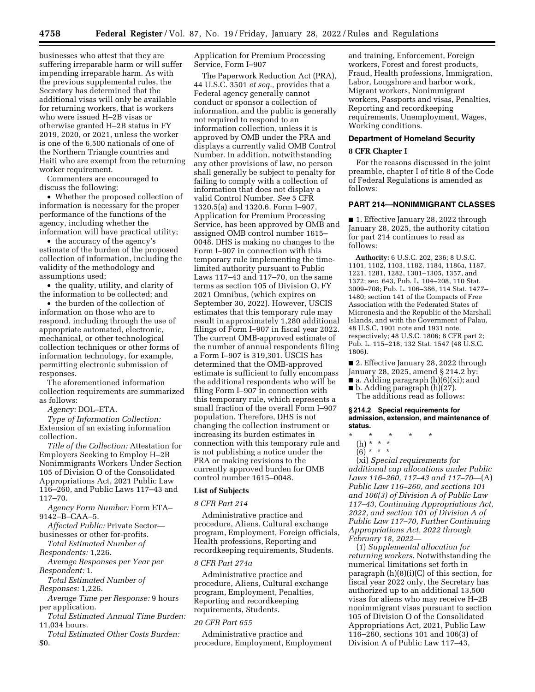businesses who attest that they are suffering irreparable harm or will suffer impending irreparable harm. As with the previous supplemental rules, the Secretary has determined that the additional visas will only be available for returning workers, that is workers who were issued H–2B visas or otherwise granted H–2B status in FY 2019, 2020, or 2021, unless the worker is one of the 6,500 nationals of one of the Northern Triangle countries and Haiti who are exempt from the returning worker requirement.

Commenters are encouraged to discuss the following:

• Whether the proposed collection of information is necessary for the proper performance of the functions of the agency, including whether the information will have practical utility;

• the accuracy of the agency's estimate of the burden of the proposed collection of information, including the validity of the methodology and assumptions used;

• the quality, utility, and clarity of the information to be collected; and

• the burden of the collection of information on those who are to respond, including through the use of appropriate automated, electronic, mechanical, or other technological collection techniques or other forms of information technology, for example, permitting electronic submission of responses.

The aforementioned information collection requirements are summarized as follows:

*Agency:* DOL–ETA.

*Type of Information Collection:*  Extension of an existing information collection.

*Title of the Collection:* Attestation for Employers Seeking to Employ H–2B Nonimmigrants Workers Under Section 105 of Division O of the Consolidated Appropriations Act, 2021 Public Law 116–260, and Public Laws 117–43 and 117–70.

*Agency Form Number:* Form ETA– 9142–B–CAA–5.

*Affected Public:* Private Sector businesses or other for-profits.

*Total Estimated Number of* 

*Respondents:* 1,226.

*Average Responses per Year per Respondent:* 1.

*Total Estimated Number of Responses:* 1,226.

*Average Time per Response:* 9 hours per application.

*Total Estimated Annual Time Burden:*  11,034 hours.

*Total Estimated Other Costs Burden:*  \$0.

Application for Premium Processing Service, Form I–907

The Paperwork Reduction Act (PRA), 44 U.S.C. 3501 *et seq.,* provides that a Federal agency generally cannot conduct or sponsor a collection of information, and the public is generally not required to respond to an information collection, unless it is approved by OMB under the PRA and displays a currently valid OMB Control Number. In addition, notwithstanding any other provisions of law, no person shall generally be subject to penalty for failing to comply with a collection of information that does not display a valid Control Number. *See* 5 CFR 1320.5(a) and 1320.6. Form I–907, Application for Premium Processing Service, has been approved by OMB and assigned OMB control number 1615– 0048. DHS is making no changes to the Form I–907 in connection with this temporary rule implementing the timelimited authority pursuant to Public Laws 117–43 and 117–70, on the same terms as section 105 of Division O, FY 2021 Omnibus, (which expires on September 30, 2022). However, USCIS estimates that this temporary rule may result in approximately 1,280 additional filings of Form I–907 in fiscal year 2022. The current OMB-approved estimate of the number of annual respondents filing a Form I–907 is 319,301. USCIS has determined that the OMB-approved estimate is sufficient to fully encompass the additional respondents who will be filing Form I–907 in connection with this temporary rule, which represents a small fraction of the overall Form I–907 population. Therefore, DHS is not changing the collection instrument or increasing its burden estimates in connection with this temporary rule and is not publishing a notice under the PRA or making revisions to the currently approved burden for OMB control number 1615–0048.

### **List of Subjects**

#### *8 CFR Part 214*

Administrative practice and procedure, Aliens, Cultural exchange program, Employment, Foreign officials, Health professions, Reporting and recordkeeping requirements, Students.

### *8 CFR Part 274a*

Administrative practice and procedure, Aliens, Cultural exchange program, Employment, Penalties, Reporting and recordkeeping requirements, Students.

#### *20 CFR Part 655*

Administrative practice and procedure, Employment, Employment and training, Enforcement, Foreign workers, Forest and forest products, Fraud, Health professions, Immigration, Labor, Longshore and harbor work, Migrant workers, Nonimmigrant workers, Passports and visas, Penalties, Reporting and recordkeeping requirements, Unemployment, Wages, Working conditions.

### **Department of Homeland Security**

#### **8 CFR Chapter I**

For the reasons discussed in the joint preamble, chapter I of title 8 of the Code of Federal Regulations is amended as follows:

### **PART 214—NONIMMIGRANT CLASSES**

■ 1. Effective January 28, 2022 through January 28, 2025, the authority citation for part 214 continues to read as follows:

**Authority:** 6 U.S.C. 202, 236; 8 U.S.C. 1101, 1102, 1103, 1182, 1184, 1186a, 1187, 1221, 1281, 1282, 1301–1305, 1357, and 1372; sec. 643, Pub. L. 104–208, 110 Stat. 3009–708; Pub. L. 106–386, 114 Stat. 1477– 1480; section 141 of the Compacts of Free Association with the Federated States of Micronesia and the Republic of the Marshall Islands, and with the Government of Palau, 48 U.S.C. 1901 note and 1931 note, respectively; 48 U.S.C. 1806; 8 CFR part 2; Pub. L. 115–218, 132 Stat. 1547 (48 U.S.C. 1806).

■ 2. Effective January 28, 2022 through January 28, 2025, amend § 214.2 by:

- $\blacksquare$  a. Adding paragraph (h)(6)(xi); and
- b. Adding paragraph (h)(27). The additions read as follows:

**§ 214.2 Special requirements for admission, extension, and maintenance of status.** 

- \* \* \* \* \*
	- (h) \* \* \*
	- $(6)^*$  \* \* \*

(xi) *Special requirements for additional cap allocations under Public Laws 116–260, 117–43 and 117–70*—(A) *Public Law 116–260, and sections 101 and 106(3) of Division A of Public Law 117–43, Continuing Appropriations Act, 2022, and section 101 of Division A of Public Law 117–70, Further Continuing Appropriations Act, 2022 through February 18, 2022*—

(*1*) *Supplemental allocation for returning workers.* Notwithstanding the numerical limitations set forth in paragraph (h)(8)(i)(C) of this section, for fiscal year 2022 only, the Secretary has authorized up to an additional 13,500 visas for aliens who may receive H–2B nonimmigrant visas pursuant to section 105 of Division O of the Consolidated Appropriations Act, 2021, Public Law 116–260, sections 101 and 106(3) of Division A of Public Law 117–43,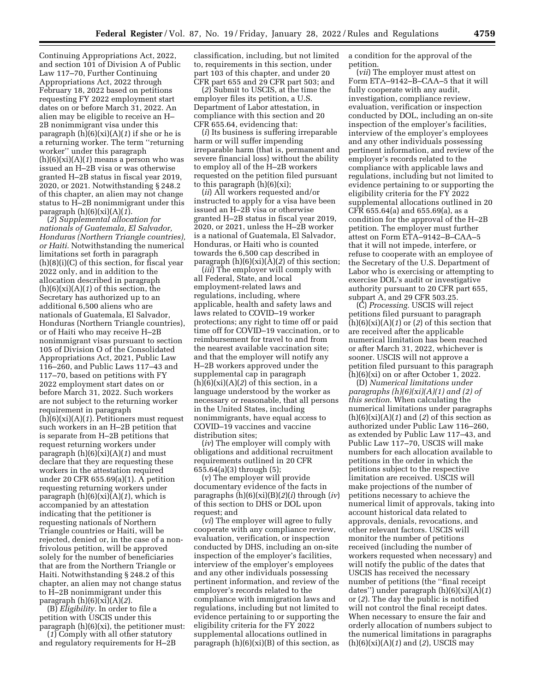Continuing Appropriations Act, 2022, and section 101 of Division A of Public Law 117–70, Further Continuing Appropriations Act, 2022 through February 18, 2022 based on petitions requesting FY 2022 employment start dates on or before March 31, 2022. An alien may be eligible to receive an H– 2B nonimmigrant visa under this paragraph (h)(6)(xi)(A)(*1*) if she or he is a returning worker. The term ''returning worker'' under this paragraph (h)(6)(xi)(A)(*1*) means a person who was issued an H–2B visa or was otherwise granted H–2B status in fiscal year 2019, 2020, or 2021. Notwithstanding § 248.2 of this chapter, an alien may not change status to H–2B nonimmigrant under this paragraph (h)(6)(xi)(A)(*1*).

(*2*) *Supplemental allocation for nationals of Guatemala, El Salvador, Honduras (Northern Triangle countries), or Haiti.* Notwithstanding the numerical limitations set forth in paragraph (h)(8)(i)(C) of this section, for fiscal year 2022 only, and in addition to the allocation described in paragraph (h)(6)(xi)(A)(*1*) of this section, the Secretary has authorized up to an additional 6,500 aliens who are nationals of Guatemala, El Salvador, Honduras (Northern Triangle countries), or of Haiti who may receive H–2B nonimmigrant visas pursuant to section 105 of Division O of the Consolidated Appropriations Act, 2021, Public Law 116–260, and Public Laws 117–43 and 117–70, based on petitions with FY 2022 employment start dates on or before March 31, 2022. Such workers are not subject to the returning worker requirement in paragraph (h)(6)(xi)(A)(*1*). Petitioners must request such workers in an H–2B petition that is separate from H–2B petitions that request returning workers under paragraph (h)(6)(xi)(A)(*1*) and must declare that they are requesting these workers in the attestation required under 20 CFR 655.69(a)(1). A petition requesting returning workers under paragraph (h)(6)(xi)(A)(*1*), which is accompanied by an attestation indicating that the petitioner is requesting nationals of Northern Triangle countries or Haiti, will be rejected, denied or, in the case of a nonfrivolous petition, will be approved solely for the number of beneficiaries that are from the Northern Triangle or Haiti. Notwithstanding § 248.2 of this chapter, an alien may not change status to H–2B nonimmigrant under this paragraph (h)(6)(xi)(A)(*2*).

(B) *Eligibility.* In order to file a petition with USCIS under this paragraph (h)(6)(xi), the petitioner must:

(*1*) Comply with all other statutory and regulatory requirements for H–2B classification, including, but not limited to, requirements in this section, under part 103 of this chapter, and under 20 CFR part 655 and 29 CFR part 503; and

(*2*) Submit to USCIS, at the time the employer files its petition, a U.S. Department of Labor attestation, in compliance with this section and 20 CFR 655.64, evidencing that:

(*i*) Its business is suffering irreparable harm or will suffer impending irreparable harm (that is, permanent and severe financial loss) without the ability to employ all of the H–2B workers requested on the petition filed pursuant to this paragraph  $(h)(6)(xi)$ ;

(*ii*) All workers requested and/or instructed to apply for a visa have been issued an H–2B visa or otherwise granted H–2B status in fiscal year 2019, 2020, or 2021, unless the H–2B worker is a national of Guatemala, El Salvador, Honduras, or Haiti who is counted towards the 6,500 cap described in paragraph (h)(6)(xi)(A)(*2*) of this section;

(*iii*) The employer will comply with all Federal, State, and local employment-related laws and regulations, including, where applicable, health and safety laws and laws related to COVID–19 worker protections; any right to time off or paid time off for COVID–19 vaccination, or to reimbursement for travel to and from the nearest available vaccination site; and that the employer will notify any H–2B workers approved under the supplemental cap in paragraph  $(h)(6)(xi)(A)(2)$  of this section, in a language understood by the worker as necessary or reasonable, that all persons in the United States, including nonimmigrants, have equal access to COVID–19 vaccines and vaccine distribution sites;

(*iv*) The employer will comply with obligations and additional recruitment requirements outlined in 20 CFR  $655.64(a)(3)$  through  $(5)$ 

(*v*) The employer will provide documentary evidence of the facts in paragraphs (h)(6)(xi)(B)(*2*)(*i*) through (*iv*) of this section to DHS or DOL upon request; and

(*vi*) The employer will agree to fully cooperate with any compliance review, evaluation, verification, or inspection conducted by DHS, including an on-site inspection of the employer's facilities, interview of the employer's employees and any other individuals possessing pertinent information, and review of the employer's records related to the compliance with immigration laws and regulations, including but not limited to evidence pertaining to or supporting the eligibility criteria for the FY 2022 supplemental allocations outlined in paragraph  $(h)(6)(xi)(B)$  of this section, as

a condition for the approval of the petition.

(*vii*) The employer must attest on Form ETA–9142–B–CAA–5 that it will fully cooperate with any audit, investigation, compliance review, evaluation, verification or inspection conducted by DOL, including an on-site inspection of the employer's facilities, interview of the employer's employees and any other individuals possessing pertinent information, and review of the employer's records related to the compliance with applicable laws and regulations, including but not limited to evidence pertaining to or supporting the eligibility criteria for the FY 2022 supplemental allocations outlined in 20 CFR 655.64(a) and 655.69(a), as a condition for the approval of the H–2B petition. The employer must further attest on Form ETA–9142–B–CAA–5 that it will not impede, interfere, or refuse to cooperate with an employee of the Secretary of the U.S. Department of Labor who is exercising or attempting to exercise DOL's audit or investigative authority pursuant to 20 CFR part 655, subpart A, and 29 CFR 503.25.

(C) *Processing.* USCIS will reject petitions filed pursuant to paragraph  $(h)(6)(xi)(A)(1)$  or  $(2)$  of this section that are received after the applicable numerical limitation has been reached or after March 31, 2022, whichever is sooner. USCIS will not approve a petition filed pursuant to this paragraph  $(h)(6)(xi)$  on or after October 1, 2022.

(D) *Numerical limitations under paragraphs (h)(6)(xi)(A)(1) and (2) of this section.* When calculating the numerical limitations under paragraphs  $(h)(6)(xi)(A)(1)$  and  $(2)$  of this section as authorized under Public Law 116–260, as extended by Public Law 117–43, and Public Law 117–70, USCIS will make numbers for each allocation available to petitions in the order in which the petitions subject to the respective limitation are received. USCIS will make projections of the number of petitions necessary to achieve the numerical limit of approvals, taking into account historical data related to approvals, denials, revocations, and other relevant factors. USCIS will monitor the number of petitions received (including the number of workers requested when necessary) and will notify the public of the dates that USCIS has received the necessary number of petitions (the ''final receipt dates'') under paragraph (h)(6)(xi)(A)(*1*) or (*2*). The day the public is notified will not control the final receipt dates. When necessary to ensure the fair and orderly allocation of numbers subject to the numerical limitations in paragraphs (h)(6)(xi)(A)(*1*) and (*2*), USCIS may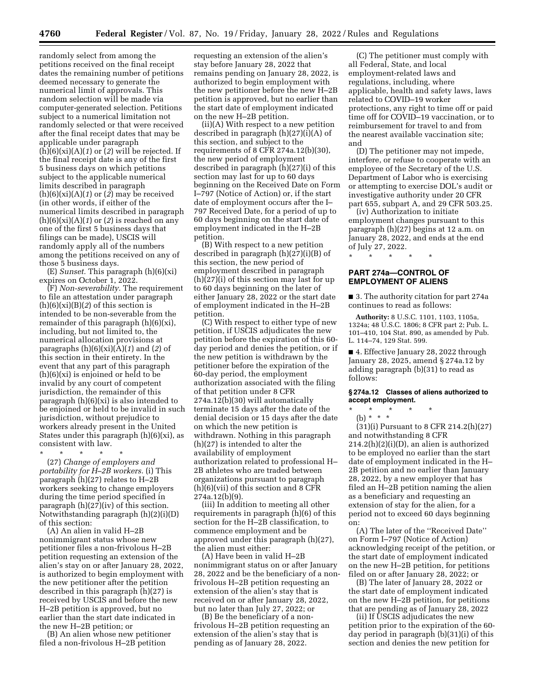randomly select from among the petitions received on the final receipt dates the remaining number of petitions deemed necessary to generate the numerical limit of approvals. This random selection will be made via computer-generated selection. Petitions subject to a numerical limitation not randomly selected or that were received after the final receipt dates that may be applicable under paragraph (h)(6)(xi)(A)(*1*) or (*2*) will be rejected. If the final receipt date is any of the first 5 business days on which petitions subject to the applicable numerical limits described in paragraph (h)(6)(xi)(A)(*1*) or (*2*) may be received (in other words, if either of the numerical limits described in paragraph (h)(6)(xi)(A)(*1*) or (*2*) is reached on any one of the first 5 business days that filings can be made), USCIS will randomly apply all of the numbers among the petitions received on any of those 5 business days.

(E) *Sunset.* This paragraph (h)(6)(xi) expires on October 1, 2022.

(F) *Non-severability.* The requirement to file an attestation under paragraph  $(h)(6)(xi)(B)(2)$  of this section is intended to be non-severable from the remainder of this paragraph (h)(6)(xi), including, but not limited to, the numerical allocation provisions at paragraphs (h)(6)(xi)(A)(*1*) and (*2*) of this section in their entirety. In the event that any part of this paragraph (h)(6)(xi) is enjoined or held to be invalid by any court of competent jurisdiction, the remainder of this paragraph (h)(6)(xi) is also intended to be enjoined or held to be invalid in such jurisdiction, without prejudice to workers already present in the United States under this paragraph  $(h)(6)(xi)$ , as consistent with law.

\* \* \* \* \* (27) *Change of employers and portability for H–2B workers.* (i) This paragraph (h)(27) relates to H–2B workers seeking to change employers during the time period specified in paragraph  $(h)(27)(iv)$  of this section. Notwithstanding paragraph (h)(2)(i)(D) of this section:

(A) An alien in valid H–2B nonimmigrant status whose new petitioner files a non-frivolous H–2B petition requesting an extension of the alien's stay on or after January 28, 2022, is authorized to begin employment with the new petitioner after the petition described in this paragraph (h)(27) is received by USCIS and before the new H–2B petition is approved, but no earlier than the start date indicated in the new H–2B petition; or

(B) An alien whose new petitioner filed a non-frivolous H–2B petition

requesting an extension of the alien's stay before January 28, 2022 that remains pending on January 28, 2022, is authorized to begin employment with the new petitioner before the new H–2B petition is approved, but no earlier than the start date of employment indicated on the new H–2B petition.

(ii)(A) With respect to a new petition described in paragraph (h)(27)(i)(A) of this section, and subject to the requirements of 8 CFR 274a.12(b)(30), the new period of employment described in paragraph (h)(27)(i) of this section may last for up to 60 days beginning on the Received Date on Form I–797 (Notice of Action) or, if the start date of employment occurs after the I– 797 Received Date, for a period of up to 60 days beginning on the start date of employment indicated in the H–2B petition.

(B) With respect to a new petition described in paragraph (h)(27)(i)(B) of this section, the new period of employment described in paragraph (h)(27)(i) of this section may last for up to 60 days beginning on the later of either January 28, 2022 or the start date of employment indicated in the H–2B petition.

(C) With respect to either type of new petition, if USCIS adjudicates the new petition before the expiration of this 60 day period and denies the petition, or if the new petition is withdrawn by the petitioner before the expiration of the 60-day period, the employment authorization associated with the filing of that petition under 8 CFR 274a.12(b)(30) will automatically terminate 15 days after the date of the denial decision or 15 days after the date on which the new petition is withdrawn. Nothing in this paragraph (h)(27) is intended to alter the availability of employment authorization related to professional H– 2B athletes who are traded between organizations pursuant to paragraph (h)(6)(vii) of this section and 8 CFR 274a.12(b)(9).

(iii) In addition to meeting all other requirements in paragraph (h)(6) of this section for the H–2B classification, to commence employment and be approved under this paragraph (h)(27), the alien must either:

(A) Have been in valid H–2B nonimmigrant status on or after January 28, 2022 and be the beneficiary of a nonfrivolous H–2B petition requesting an extension of the alien's stay that is received on or after January 28, 2022, but no later than July 27, 2022; or

(B) Be the beneficiary of a nonfrivolous H–2B petition requesting an extension of the alien's stay that is pending as of January 28, 2022.

(C) The petitioner must comply with all Federal, State, and local employment-related laws and regulations, including, where applicable, health and safety laws, laws related to COVID–19 worker protections, any right to time off or paid time off for COVID–19 vaccination, or to reimbursement for travel to and from the nearest available vaccination site; and

(D) The petitioner may not impede, interfere, or refuse to cooperate with an employee of the Secretary of the U.S. Department of Labor who is exercising or attempting to exercise DOL's audit or investigative authority under 20 CFR part 655, subpart A, and 29 CFR 503.25.

(iv) Authorization to initiate employment changes pursuant to this paragraph (h)(27) begins at 12 a.m. on January 28, 2022, and ends at the end of July 27, 2022.

**PART 274a—CONTROL OF EMPLOYMENT OF ALIENS** 

\* \* \* \* \*

■ 3. The authority citation for part 274a continues to read as follows:

**Authority:** 8 U.S.C. 1101, 1103, 1105a, 1324a; 48 U.S.C. 1806; 8 CFR part 2; Pub. L. 101–410, 104 Stat. 890, as amended by Pub. L. 114–74, 129 Stat. 599.

■ 4. Effective January 28, 2022 through January 28, 2025, amend § 274a.12 by adding paragraph (b)(31) to read as follows:

### **§ 274a.12 Classes of aliens authorized to accept employment.**

\* \* \* \* \*

(b) \* \* \*

(31)(i) Pursuant to 8 CFR 214.2(h)(27) and notwithstanding 8 CFR 214.2(h)(2)(i)(D), an alien is authorized to be employed no earlier than the start date of employment indicated in the H– 2B petition and no earlier than January 28, 2022, by a new employer that has filed an H–2B petition naming the alien as a beneficiary and requesting an extension of stay for the alien, for a period not to exceed 60 days beginning on:

(A) The later of the ''Received Date'' on Form I–797 (Notice of Action) acknowledging receipt of the petition, or the start date of employment indicated on the new H–2B petition, for petitions filed on or after January 28, 2022; or

(B) The later of January 28, 2022 or the start date of employment indicated on the new H–2B petition, for petitions that are pending as of January 28, 2022

(ii) If USCIS adjudicates the new petition prior to the expiration of the 60 day period in paragraph (b)(31)(i) of this section and denies the new petition for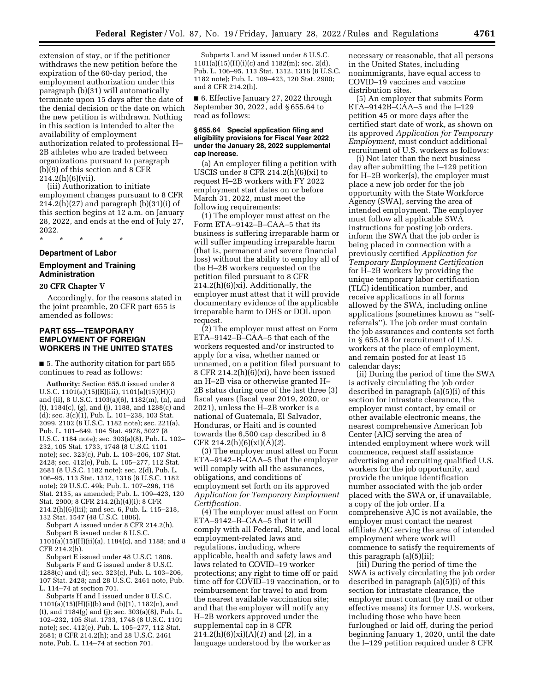extension of stay, or if the petitioner withdraws the new petition before the expiration of the 60-day period, the employment authorization under this paragraph (b)(31) will automatically terminate upon 15 days after the date of the denial decision or the date on which the new petition is withdrawn. Nothing in this section is intended to alter the availability of employment authorization related to professional H– 2B athletes who are traded between organizations pursuant to paragraph (b)(9) of this section and 8 CFR  $214.2(h)(6)(vii)$ .

(iii) Authorization to initiate employment changes pursuant to 8 CFR 214.2(h)(27) and paragraph (b)(31)(i) of this section begins at 12 a.m. on January 28, 2022, and ends at the end of July 27, 2022.

# \* \* \* \* \* **Department of Labor**

# **Employment and Training Administration**

## **20 CFR Chapter V**

Accordingly, for the reasons stated in the joint preamble, 20 CFR part 655 is amended as follows:

## **PART 655—TEMPORARY EMPLOYMENT OF FOREIGN WORKERS IN THE UNITED STATES**

■ 5. The authority citation for part 655 continues to read as follows:

**Authority:** Section 655.0 issued under 8 U.S.C. 1101(a)(15)(E)(iii), 1101(a)(15)(H)(i) and (ii), 8 U.S.C. 1103(a)(6), 1182(m), (n), and (t), 1184(c), (g), and (j), 1188, and 1288(c) and (d); sec. 3(c)(1), Pub. L. 101–238, 103 Stat. 2099, 2102 (8 U.S.C. 1182 note); sec. 221(a), Pub. L. 101–649, 104 Stat. 4978, 5027 (8 U.S.C. 1184 note); sec. 303(a)(8), Pub. L. 102– 232, 105 Stat. 1733, 1748 (8 U.S.C. 1101 note); sec. 323(c), Pub. L. 103–206, 107 Stat. 2428; sec. 412(e), Pub. L. 105–277, 112 Stat. 2681 (8 U.S.C. 1182 note); sec. 2(d), Pub. L. 106–95, 113 Stat. 1312, 1316 (8 U.S.C. 1182 note); 29 U.S.C. 49k; Pub. L. 107–296, 116 Stat. 2135, as amended; Pub. L. 109–423, 120 Stat. 2900; 8 CFR 214.2(h)(4)(i); 8 CFR 214.2(h)(6)(iii); and sec. 6, Pub. L. 115–218, 132 Stat. 1547 (48 U.S.C. 1806).

Subpart A issued under 8 CFR 214.2(h). Subpart B issued under 8 U.S.C.

1101(a)(15)(H)(ii)(a), 1184(c), and 1188; and 8 CFR 214.2(h).

Subpart E issued under 48 U.S.C. 1806. Subparts F and G issued under 8 U.S.C.  $1288(c)$  and (d); sec.  $323(c)$ , Pub. L.  $103-206$ , 107 Stat. 2428; and 28 U.S.C. 2461 note, Pub. L. 114–74 at section 701.

Subparts H and I issued under 8 U.S.C.  $1101(a)(15)(H)(i)(b)$  and  $(b)(1), 1182(n),$  and (t), and 1184(g) and (j); sec. 303(a)(8), Pub. L. 102–232, 105 Stat. 1733, 1748 (8 U.S.C. 1101 note); sec. 412(e), Pub. L. 105–277, 112 Stat. 2681; 8 CFR 214.2(h); and 28 U.S.C. 2461 note, Pub. L. 114–74 at section 701.

Subparts L and M issued under 8 U.S.C. 1101(a)(15)(H)(i)(c) and 1182(m); sec. 2(d), Pub. L. 106–95, 113 Stat. 1312, 1316 (8 U.S.C. 1182 note); Pub. L. 109–423, 120 Stat. 2900; and 8 CFR 214.2(h).

■ 6. Effective January 27, 2022 through September 30, 2022, add § 655.64 to read as follows:

#### **§ 655.64 Special application filing and eligibility provisions for Fiscal Year 2022 under the January 28, 2022 supplemental cap increase.**

(a) An employer filing a petition with USCIS under 8 CFR 214.2(h)(6)(xi) to request H–2B workers with FY 2022 employment start dates on or before March 31, 2022, must meet the following requirements:

(1) The employer must attest on the Form ETA–9142–B–CAA–5 that its business is suffering irreparable harm or will suffer impending irreparable harm (that is, permanent and severe financial loss) without the ability to employ all of the H–2B workers requested on the petition filed pursuant to 8 CFR  $214.2(h)(6)(xi)$ . Additionally, the employer must attest that it will provide documentary evidence of the applicable irreparable harm to DHS or DOL upon request.

(2) The employer must attest on Form ETA–9142–B–CAA–5 that each of the workers requested and/or instructed to apply for a visa, whether named or unnamed, on a petition filed pursuant to 8 CFR 214.2(h) $(6)(xi)$ , have been issued an H–2B visa or otherwise granted H– 2B status during one of the last three (3) fiscal years (fiscal year 2019, 2020, or 2021), unless the H–2B worker is a national of Guatemala, El Salvador, Honduras, or Haiti and is counted towards the 6,500 cap described in 8 CFR 214.2(h)(6)(xi)(A)(*2*).

(3) The employer must attest on Form ETA–9142–B–CAA–5 that the employer will comply with all the assurances, obligations, and conditions of employment set forth on its approved *Application for Temporary Employment Certification.* 

(4) The employer must attest on Form ETA–9142–B–CAA–5 that it will comply with all Federal, State, and local employment-related laws and regulations, including, where applicable, health and safety laws and laws related to COVID–19 worker protections; any right to time off or paid time off for COVID–19 vaccination, or to reimbursement for travel to and from the nearest available vaccination site; and that the employer will notify any H–2B workers approved under the supplemental cap in 8 CFR 214.2(h)(6)(xi)(A)(*1*) and (*2*), in a language understood by the worker as

necessary or reasonable, that all persons in the United States, including nonimmigrants, have equal access to COVID–19 vaccines and vaccine distribution sites.

(5) An employer that submits Form ETA–9142B–CAA–5 and the I–129 petition 45 or more days after the certified start date of work, as shown on its approved *Application for Temporary Employment,* must conduct additional recruitment of U.S. workers as follows:

(i) Not later than the next business day after submitting the I–129 petition for H–2B worker(s), the employer must place a new job order for the job opportunity with the State Workforce Agency (SWA), serving the area of intended employment. The employer must follow all applicable SWA instructions for posting job orders, inform the SWA that the job order is being placed in connection with a previously certified *Application for Temporary Employment Certification*  for H–2B workers by providing the unique temporary labor certification (TLC) identification number, and receive applications in all forms allowed by the SWA, including online applications (sometimes known as ''selfreferrals''). The job order must contain the job assurances and contents set forth in § 655.18 for recruitment of U.S. workers at the place of employment, and remain posted for at least 15 calendar days;

(ii) During the period of time the SWA is actively circulating the job order described in paragraph (a)(5)(i) of this section for intrastate clearance, the employer must contact, by email or other available electronic means, the nearest comprehensive American Job Center (AJC) serving the area of intended employment where work will commence, request staff assistance advertising and recruiting qualified U.S. workers for the job opportunity, and provide the unique identification number associated with the job order placed with the SWA or, if unavailable, a copy of the job order. If a comprehensive AJC is not available, the employer must contact the nearest affiliate AJC serving the area of intended employment where work will commence to satisfy the requirements of this paragraph (a)(5)(ii);

(iii) During the period of time the SWA is actively circulating the job order described in paragraph (a)(5)(i) of this section for intrastate clearance, the employer must contact (by mail or other effective means) its former U.S. workers, including those who have been furloughed or laid off, during the period beginning January 1, 2020, until the date the I–129 petition required under 8 CFR